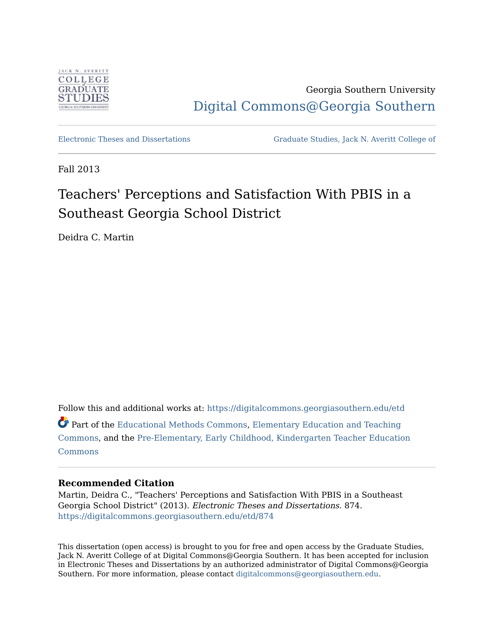

Georgia Southern University [Digital Commons@Georgia Southern](https://digitalcommons.georgiasouthern.edu/) 

[Electronic Theses and Dissertations](https://digitalcommons.georgiasouthern.edu/etd) [Graduate Studies, Jack N. Averitt College of](https://digitalcommons.georgiasouthern.edu/cogs) 

Fall 2013

# Teachers' Perceptions and Satisfaction With PBIS in a Southeast Georgia School District

Deidra C. Martin

Follow this and additional works at: [https://digitalcommons.georgiasouthern.edu/etd](https://digitalcommons.georgiasouthern.edu/etd?utm_source=digitalcommons.georgiasouthern.edu%2Fetd%2F874&utm_medium=PDF&utm_campaign=PDFCoverPages)  Part of the [Educational Methods Commons,](http://network.bepress.com/hgg/discipline/1227?utm_source=digitalcommons.georgiasouthern.edu%2Fetd%2F874&utm_medium=PDF&utm_campaign=PDFCoverPages) [Elementary Education and Teaching](http://network.bepress.com/hgg/discipline/805?utm_source=digitalcommons.georgiasouthern.edu%2Fetd%2F874&utm_medium=PDF&utm_campaign=PDFCoverPages) [Commons](http://network.bepress.com/hgg/discipline/805?utm_source=digitalcommons.georgiasouthern.edu%2Fetd%2F874&utm_medium=PDF&utm_campaign=PDFCoverPages), and the [Pre-Elementary, Early Childhood, Kindergarten Teacher Education](http://network.bepress.com/hgg/discipline/808?utm_source=digitalcommons.georgiasouthern.edu%2Fetd%2F874&utm_medium=PDF&utm_campaign=PDFCoverPages)  [Commons](http://network.bepress.com/hgg/discipline/808?utm_source=digitalcommons.georgiasouthern.edu%2Fetd%2F874&utm_medium=PDF&utm_campaign=PDFCoverPages)

### **Recommended Citation**

Martin, Deidra C., "Teachers' Perceptions and Satisfaction With PBIS in a Southeast Georgia School District" (2013). Electronic Theses and Dissertations. 874. [https://digitalcommons.georgiasouthern.edu/etd/874](https://digitalcommons.georgiasouthern.edu/etd/874?utm_source=digitalcommons.georgiasouthern.edu%2Fetd%2F874&utm_medium=PDF&utm_campaign=PDFCoverPages) 

This dissertation (open access) is brought to you for free and open access by the Graduate Studies, Jack N. Averitt College of at Digital Commons@Georgia Southern. It has been accepted for inclusion in Electronic Theses and Dissertations by an authorized administrator of Digital Commons@Georgia Southern. For more information, please contact [digitalcommons@georgiasouthern.edu](mailto:digitalcommons@georgiasouthern.edu).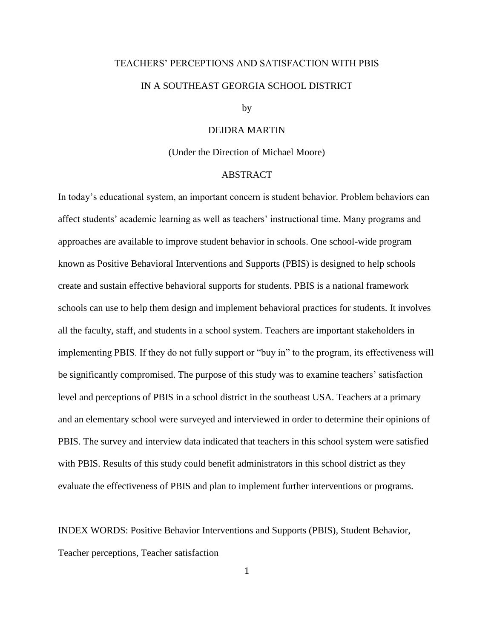# TEACHERS' PERCEPTIONS AND SATISFACTION WITH PBIS IN A SOUTHEAST GEORGIA SCHOOL DISTRICT

#### by

### DEIDRA MARTIN

#### (Under the Direction of Michael Moore)

### ABSTRACT

In today's educational system, an important concern is student behavior. Problem behaviors can affect students' academic learning as well as teachers' instructional time. Many programs and approaches are available to improve student behavior in schools. One school-wide program known as Positive Behavioral Interventions and Supports (PBIS) is designed to help schools create and sustain effective behavioral supports for students. PBIS is a national framework schools can use to help them design and implement behavioral practices for students. It involves all the faculty, staff, and students in a school system. Teachers are important stakeholders in implementing PBIS. If they do not fully support or "buy in" to the program, its effectiveness will be significantly compromised. The purpose of this study was to examine teachers' satisfaction level and perceptions of PBIS in a school district in the southeast USA. Teachers at a primary and an elementary school were surveyed and interviewed in order to determine their opinions of PBIS. The survey and interview data indicated that teachers in this school system were satisfied with PBIS. Results of this study could benefit administrators in this school district as they evaluate the effectiveness of PBIS and plan to implement further interventions or programs.

INDEX WORDS: Positive Behavior Interventions and Supports (PBIS), Student Behavior, Teacher perceptions, Teacher satisfaction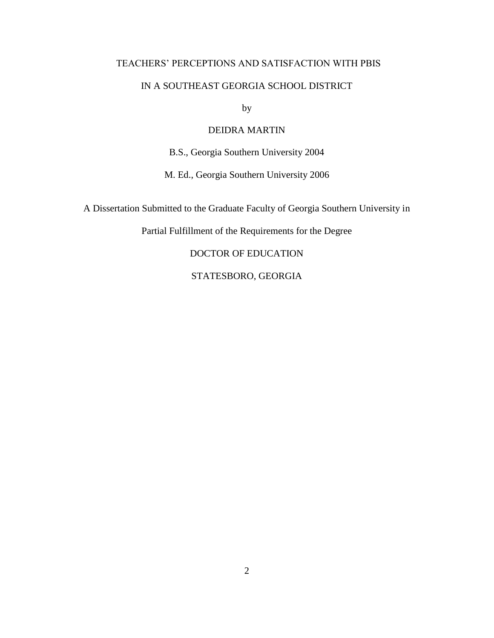### TEACHERS' PERCEPTIONS AND SATISFACTION WITH PBIS

### IN A SOUTHEAST GEORGIA SCHOOL DISTRICT

by

### DEIDRA MARTIN

B.S., Georgia Southern University 2004

M. Ed., Georgia Southern University 2006

A Dissertation Submitted to the Graduate Faculty of Georgia Southern University in

Partial Fulfillment of the Requirements for the Degree

DOCTOR OF EDUCATION

STATESBORO, GEORGIA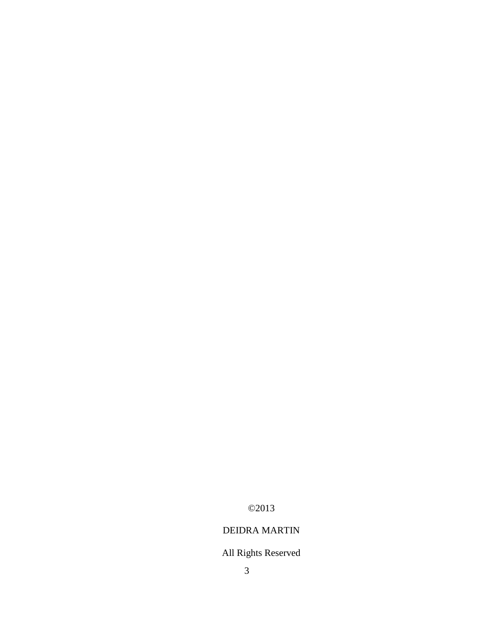©2013

# DEIDRA MARTIN

# All Rights Reserved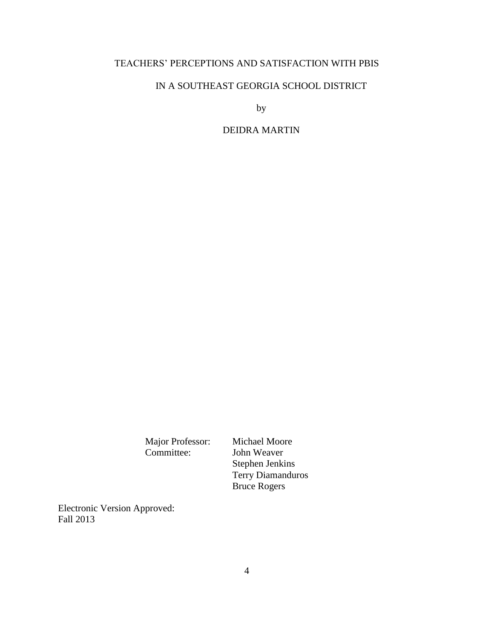### TEACHERS' PERCEPTIONS AND SATISFACTION WITH PBIS

### IN A SOUTHEAST GEORGIA SCHOOL DISTRICT

by

# DEIDRA MARTIN

Major Professor: Michael Moore<br>Committee: John Weaver

John Weaver Stephen Jenkins Terry Diamanduros Bruce Rogers

Electronic Version Approved: Fall 2013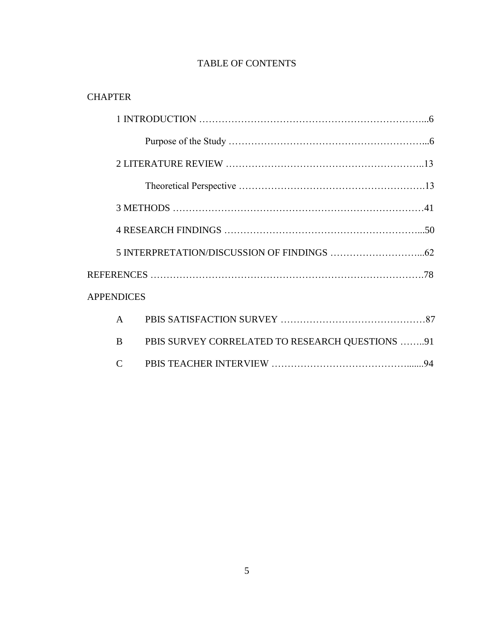## TABLE OF CONTENTS

# **CHAPTER**

| <b>APPENDICES</b> |                                                 |  |
|-------------------|-------------------------------------------------|--|
| A                 |                                                 |  |
| B                 | PBIS SURVEY CORRELATED TO RESEARCH QUESTIONS 91 |  |
| $\mathsf{C}$      |                                                 |  |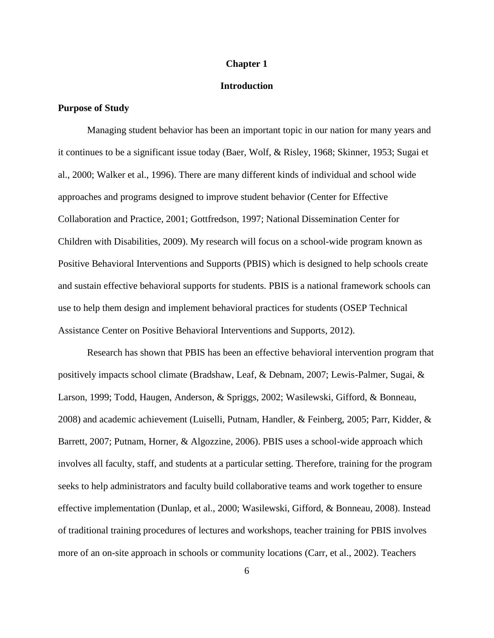### **Chapter 1**

### **Introduction**

### **Purpose of Study**

Managing student behavior has been an important topic in our nation for many years and it continues to be a significant issue today (Baer, Wolf, & Risley, 1968; Skinner, 1953; Sugai et al., 2000; Walker et al., 1996). There are many different kinds of individual and school wide approaches and programs designed to improve student behavior (Center for Effective Collaboration and Practice, 2001; Gottfredson, 1997; National Dissemination Center for Children with Disabilities, 2009). My research will focus on a school-wide program known as Positive Behavioral Interventions and Supports (PBIS) which is designed to help schools create and sustain effective behavioral supports for students. PBIS is a national framework schools can use to help them design and implement behavioral practices for students (OSEP Technical Assistance Center on Positive Behavioral Interventions and Supports, 2012).

Research has shown that PBIS has been an effective behavioral intervention program that positively impacts school climate (Bradshaw, Leaf, & Debnam, 2007; Lewis-Palmer, Sugai, & Larson, 1999; Todd, Haugen, Anderson, & Spriggs, 2002; Wasilewski, Gifford, & Bonneau, 2008) and academic achievement (Luiselli, Putnam, Handler, & Feinberg, 2005; Parr, Kidder, & Barrett, 2007; Putnam, Horner, & Algozzine, 2006). PBIS uses a school-wide approach which involves all faculty, staff, and students at a particular setting. Therefore, training for the program seeks to help administrators and faculty build collaborative teams and work together to ensure effective implementation (Dunlap, et al., 2000; Wasilewski, Gifford, & Bonneau, 2008). Instead of traditional training procedures of lectures and workshops, teacher training for PBIS involves more of an on-site approach in schools or community locations (Carr, et al., 2002). Teachers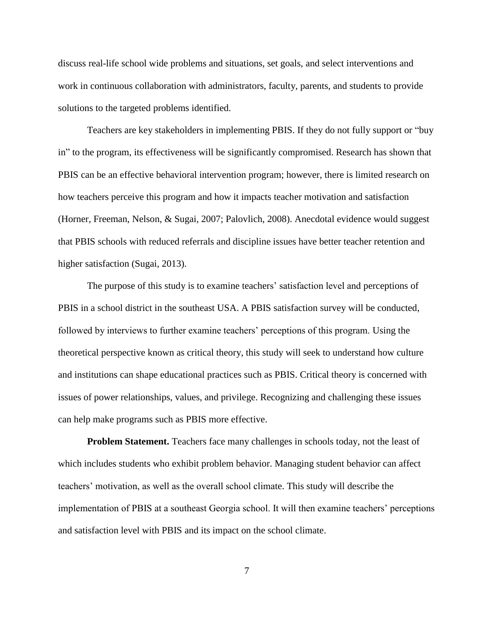discuss real-life school wide problems and situations, set goals, and select interventions and work in continuous collaboration with administrators, faculty, parents, and students to provide solutions to the targeted problems identified.

Teachers are key stakeholders in implementing PBIS. If they do not fully support or "buy in" to the program, its effectiveness will be significantly compromised. Research has shown that PBIS can be an effective behavioral intervention program; however, there is limited research on how teachers perceive this program and how it impacts teacher motivation and satisfaction (Horner, Freeman, Nelson, & Sugai, 2007; Palovlich, 2008). Anecdotal evidence would suggest that PBIS schools with reduced referrals and discipline issues have better teacher retention and higher satisfaction (Sugai, 2013).

The purpose of this study is to examine teachers' satisfaction level and perceptions of PBIS in a school district in the southeast USA. A PBIS satisfaction survey will be conducted, followed by interviews to further examine teachers' perceptions of this program. Using the theoretical perspective known as critical theory, this study will seek to understand how culture and institutions can shape educational practices such as PBIS. Critical theory is concerned with issues of power relationships, values, and privilege. Recognizing and challenging these issues can help make programs such as PBIS more effective.

**Problem Statement.** Teachers face many challenges in schools today, not the least of which includes students who exhibit problem behavior. Managing student behavior can affect teachers' motivation, as well as the overall school climate. This study will describe the implementation of PBIS at a southeast Georgia school. It will then examine teachers' perceptions and satisfaction level with PBIS and its impact on the school climate.

7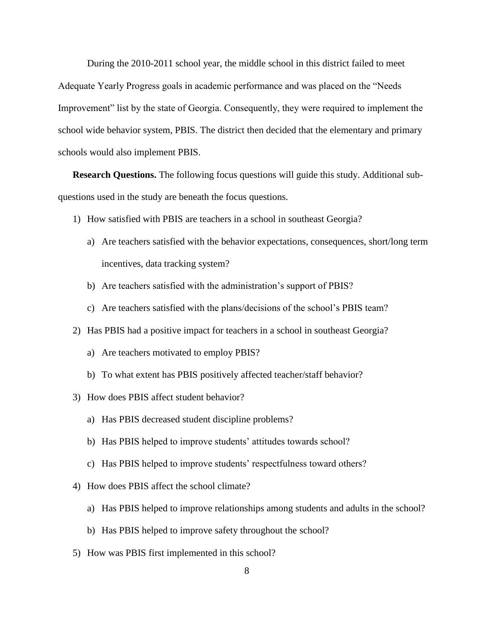During the 2010-2011 school year, the middle school in this district failed to meet Adequate Yearly Progress goals in academic performance and was placed on the "Needs Improvement" list by the state of Georgia. Consequently, they were required to implement the school wide behavior system, PBIS. The district then decided that the elementary and primary schools would also implement PBIS.

**Research Questions.** The following focus questions will guide this study. Additional subquestions used in the study are beneath the focus questions.

- 1) How satisfied with PBIS are teachers in a school in southeast Georgia?
	- a) Are teachers satisfied with the behavior expectations, consequences, short/long term incentives, data tracking system?
	- b) Are teachers satisfied with the administration's support of PBIS?
	- c) Are teachers satisfied with the plans/decisions of the school's PBIS team?
- 2) Has PBIS had a positive impact for teachers in a school in southeast Georgia?
	- a) Are teachers motivated to employ PBIS?
	- b) To what extent has PBIS positively affected teacher/staff behavior?
- 3) How does PBIS affect student behavior?
	- a) Has PBIS decreased student discipline problems?
	- b) Has PBIS helped to improve students' attitudes towards school?
	- c) Has PBIS helped to improve students' respectfulness toward others?
- 4) How does PBIS affect the school climate?
	- a) Has PBIS helped to improve relationships among students and adults in the school?
	- b) Has PBIS helped to improve safety throughout the school?
- 5) How was PBIS first implemented in this school?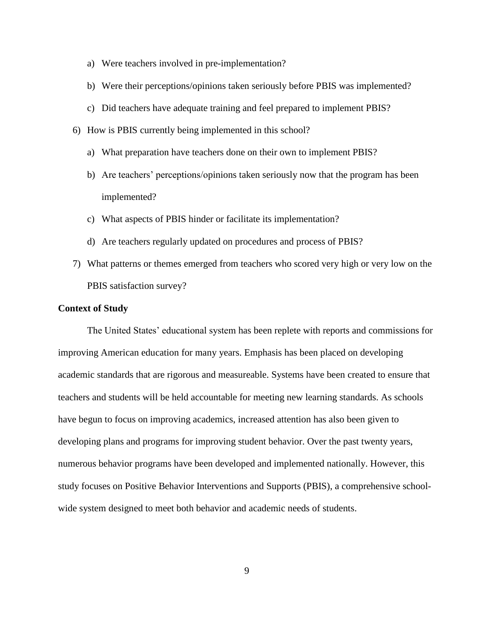- a) Were teachers involved in pre-implementation?
- b) Were their perceptions/opinions taken seriously before PBIS was implemented?
- c) Did teachers have adequate training and feel prepared to implement PBIS?
- 6) How is PBIS currently being implemented in this school?
	- a) What preparation have teachers done on their own to implement PBIS?
	- b) Are teachers' perceptions/opinions taken seriously now that the program has been implemented?
	- c) What aspects of PBIS hinder or facilitate its implementation?
	- d) Are teachers regularly updated on procedures and process of PBIS?
- 7) What patterns or themes emerged from teachers who scored very high or very low on the PBIS satisfaction survey?

### **Context of Study**

The United States' educational system has been replete with reports and commissions for improving American education for many years. Emphasis has been placed on developing academic standards that are rigorous and measureable. Systems have been created to ensure that teachers and students will be held accountable for meeting new learning standards. As schools have begun to focus on improving academics, increased attention has also been given to developing plans and programs for improving student behavior. Over the past twenty years, numerous behavior programs have been developed and implemented nationally. However, this study focuses on Positive Behavior Interventions and Supports (PBIS), a comprehensive schoolwide system designed to meet both behavior and academic needs of students.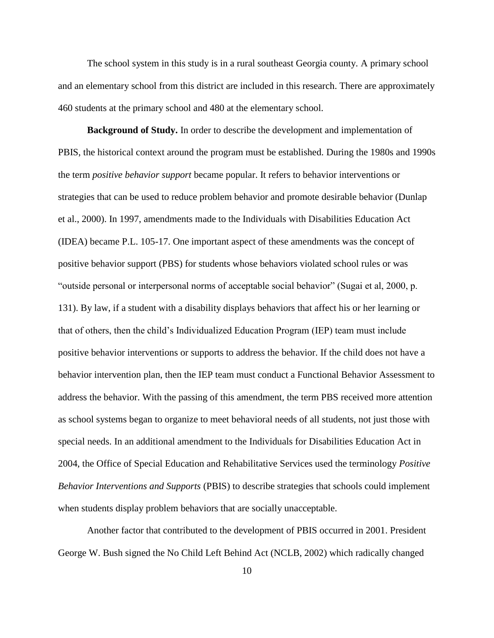The school system in this study is in a rural southeast Georgia county. A primary school and an elementary school from this district are included in this research. There are approximately 460 students at the primary school and 480 at the elementary school.

**Background of Study.** In order to describe the development and implementation of PBIS, the historical context around the program must be established. During the 1980s and 1990s the term *positive behavior support* became popular. It refers to behavior interventions or strategies that can be used to reduce problem behavior and promote desirable behavior (Dunlap et al., 2000). In 1997, amendments made to the Individuals with Disabilities Education Act (IDEA) became P.L. 105-17. One important aspect of these amendments was the concept of positive behavior support (PBS) for students whose behaviors violated school rules or was "outside personal or interpersonal norms of acceptable social behavior" (Sugai et al, 2000, p. 131). By law, if a student with a disability displays behaviors that affect his or her learning or that of others, then the child's Individualized Education Program (IEP) team must include positive behavior interventions or supports to address the behavior. If the child does not have a behavior intervention plan, then the IEP team must conduct a Functional Behavior Assessment to address the behavior. With the passing of this amendment, the term PBS received more attention as school systems began to organize to meet behavioral needs of all students, not just those with special needs. In an additional amendment to the Individuals for Disabilities Education Act in 2004, the Office of Special Education and Rehabilitative Services used the terminology *Positive Behavior Interventions and Supports* (PBIS) to describe strategies that schools could implement when students display problem behaviors that are socially unacceptable.

Another factor that contributed to the development of PBIS occurred in 2001. President George W. Bush signed the No Child Left Behind Act (NCLB, 2002) which radically changed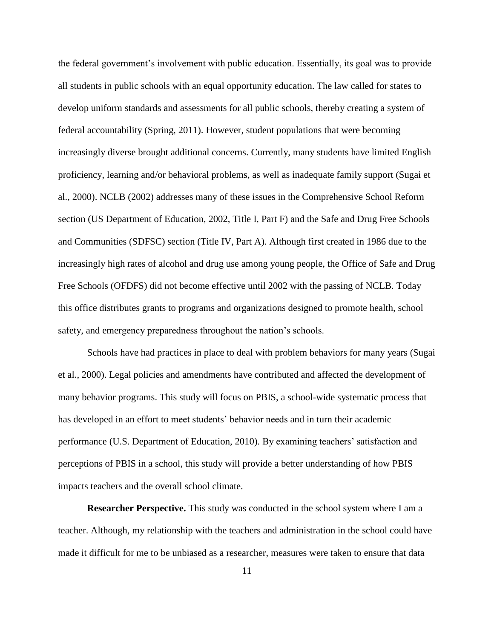the federal government's involvement with public education. Essentially, its goal was to provide all students in public schools with an equal opportunity education. The law called for states to develop uniform standards and assessments for all public schools, thereby creating a system of federal accountability (Spring, 2011). However, student populations that were becoming increasingly diverse brought additional concerns. Currently, many students have limited English proficiency, learning and/or behavioral problems, as well as inadequate family support (Sugai et al., 2000). NCLB (2002) addresses many of these issues in the Comprehensive School Reform section (US Department of Education, 2002, Title I, Part F) and the Safe and Drug Free Schools and Communities (SDFSC) section (Title IV, Part A). Although first created in 1986 due to the increasingly high rates of alcohol and drug use among young people, the Office of Safe and Drug Free Schools (OFDFS) did not become effective until 2002 with the passing of NCLB. Today this office distributes grants to programs and organizations designed to promote health, school safety, and emergency preparedness throughout the nation's schools.

Schools have had practices in place to deal with problem behaviors for many years (Sugai et al., 2000). Legal policies and amendments have contributed and affected the development of many behavior programs. This study will focus on PBIS, a school-wide systematic process that has developed in an effort to meet students' behavior needs and in turn their academic performance (U.S. Department of Education, 2010). By examining teachers' satisfaction and perceptions of PBIS in a school, this study will provide a better understanding of how PBIS impacts teachers and the overall school climate.

**Researcher Perspective.** This study was conducted in the school system where I am a teacher. Although, my relationship with the teachers and administration in the school could have made it difficult for me to be unbiased as a researcher, measures were taken to ensure that data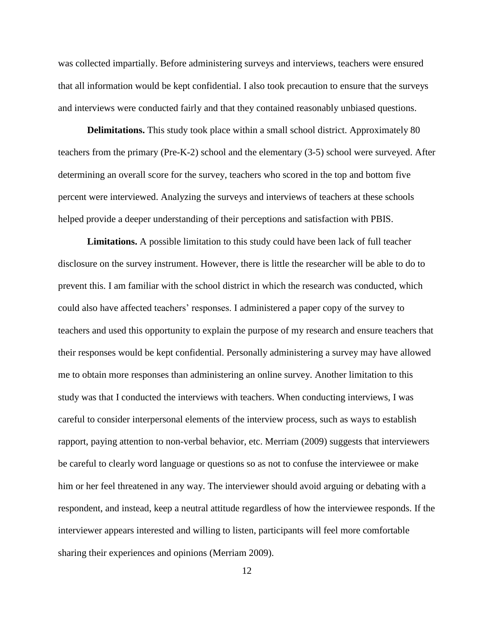was collected impartially. Before administering surveys and interviews, teachers were ensured that all information would be kept confidential. I also took precaution to ensure that the surveys and interviews were conducted fairly and that they contained reasonably unbiased questions.

**Delimitations.** This study took place within a small school district. Approximately 80 teachers from the primary (Pre-K-2) school and the elementary (3-5) school were surveyed. After determining an overall score for the survey, teachers who scored in the top and bottom five percent were interviewed. Analyzing the surveys and interviews of teachers at these schools helped provide a deeper understanding of their perceptions and satisfaction with PBIS.

**Limitations.** A possible limitation to this study could have been lack of full teacher disclosure on the survey instrument. However, there is little the researcher will be able to do to prevent this. I am familiar with the school district in which the research was conducted, which could also have affected teachers' responses. I administered a paper copy of the survey to teachers and used this opportunity to explain the purpose of my research and ensure teachers that their responses would be kept confidential. Personally administering a survey may have allowed me to obtain more responses than administering an online survey. Another limitation to this study was that I conducted the interviews with teachers. When conducting interviews, I was careful to consider interpersonal elements of the interview process, such as ways to establish rapport, paying attention to non-verbal behavior, etc. Merriam (2009) suggests that interviewers be careful to clearly word language or questions so as not to confuse the interviewee or make him or her feel threatened in any way. The interviewer should avoid arguing or debating with a respondent, and instead, keep a neutral attitude regardless of how the interviewee responds. If the interviewer appears interested and willing to listen, participants will feel more comfortable sharing their experiences and opinions (Merriam 2009).

12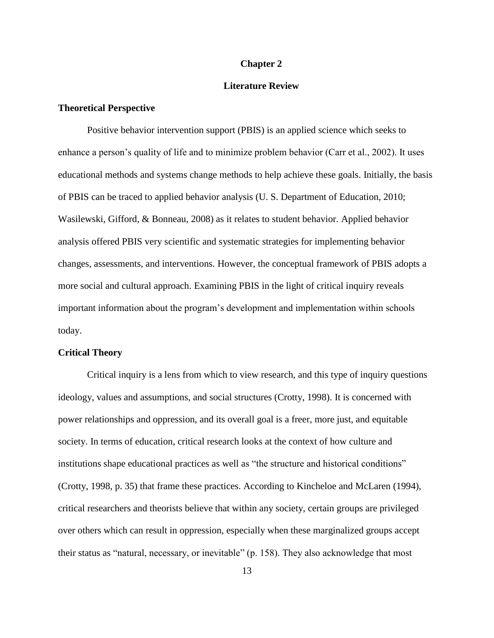#### **Chapter 2**

### **Literature Review**

### **Theoretical Perspective**

Positive behavior intervention support (PBIS) is an applied science which seeks to enhance a person's quality of life and to minimize problem behavior (Carr et al., 2002). It uses educational methods and systems change methods to help achieve these goals. Initially, the basis of PBIS can be traced to applied behavior analysis (U. S. Department of Education, 2010; Wasilewski, Gifford, & Bonneau, 2008) as it relates to student behavior. Applied behavior analysis offered PBIS very scientific and systematic strategies for implementing behavior changes, assessments, and interventions. However, the conceptual framework of PBIS adopts a more social and cultural approach. Examining PBIS in the light of critical inquiry reveals important information about the program's development and implementation within schools today.

### **Critical Theory**

Critical inquiry is a lens from which to view research, and this type of inquiry questions ideology, values and assumptions, and social structures (Crotty, 1998). It is concerned with power relationships and oppression, and its overall goal is a freer, more just, and equitable society. In terms of education, critical research looks at the context of how culture and institutions shape educational practices as well as "the structure and historical conditions" (Crotty, 1998, p. 35) that frame these practices. According to Kincheloe and McLaren (1994), critical researchers and theorists believe that within any society, certain groups are privileged over others which can result in oppression, especially when these marginalized groups accept their status as "natural, necessary, or inevitable" (p. 158). They also acknowledge that most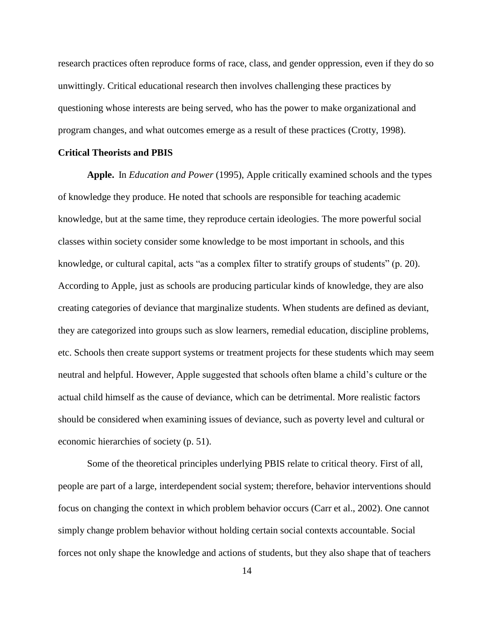research practices often reproduce forms of race, class, and gender oppression, even if they do so unwittingly. Critical educational research then involves challenging these practices by questioning whose interests are being served, who has the power to make organizational and program changes, and what outcomes emerge as a result of these practices (Crotty, 1998).

### **Critical Theorists and PBIS**

**Apple.** In *Education and Power* (1995), Apple critically examined schools and the types of knowledge they produce. He noted that schools are responsible for teaching academic knowledge, but at the same time, they reproduce certain ideologies. The more powerful social classes within society consider some knowledge to be most important in schools, and this knowledge, or cultural capital, acts "as a complex filter to stratify groups of students" (p. 20). According to Apple, just as schools are producing particular kinds of knowledge, they are also creating categories of deviance that marginalize students. When students are defined as deviant, they are categorized into groups such as slow learners, remedial education, discipline problems, etc. Schools then create support systems or treatment projects for these students which may seem neutral and helpful. However, Apple suggested that schools often blame a child's culture or the actual child himself as the cause of deviance, which can be detrimental. More realistic factors should be considered when examining issues of deviance, such as poverty level and cultural or economic hierarchies of society (p. 51).

Some of the theoretical principles underlying PBIS relate to critical theory. First of all, people are part of a large, interdependent social system; therefore, behavior interventions should focus on changing the context in which problem behavior occurs (Carr et al., 2002). One cannot simply change problem behavior without holding certain social contexts accountable. Social forces not only shape the knowledge and actions of students, but they also shape that of teachers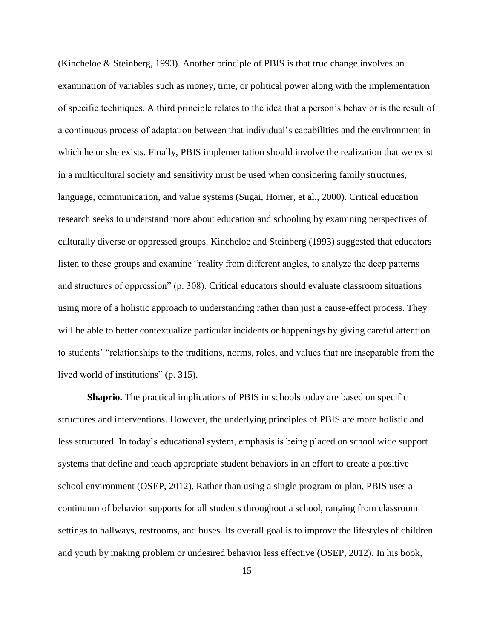(Kincheloe & Steinberg, 1993). Another principle of PBIS is that true change involves an examination of variables such as money, time, or political power along with the implementation of specific techniques. A third principle relates to the idea that a person's behavior is the result of a continuous process of adaptation between that individual's capabilities and the environment in which he or she exists. Finally, PBIS implementation should involve the realization that we exist in a multicultural society and sensitivity must be used when considering family structures, language, communication, and value systems (Sugai, Horner, et al., 2000). Critical education research seeks to understand more about education and schooling by examining perspectives of culturally diverse or oppressed groups. Kincheloe and Steinberg (1993) suggested that educators listen to these groups and examine "reality from different angles, to analyze the deep patterns and structures of oppression" (p. 308). Critical educators should evaluate classroom situations using more of a holistic approach to understanding rather than just a cause-effect process. They will be able to better contextualize particular incidents or happenings by giving careful attention to students' "relationships to the traditions, norms, roles, and values that are inseparable from the lived world of institutions" (p. 315).

**Shaprio.** The practical implications of PBIS in schools today are based on specific structures and interventions. However, the underlying principles of PBIS are more holistic and less structured. In today's educational system, emphasis is being placed on school wide support systems that define and teach appropriate student behaviors in an effort to create a positive school environment (OSEP, 2012). Rather than using a single program or plan, PBIS uses a continuum of behavior supports for all students throughout a school, ranging from classroom settings to hallways, restrooms, and buses. Its overall goal is to improve the lifestyles of children and youth by making problem or undesired behavior less effective (OSEP, 2012). In his book,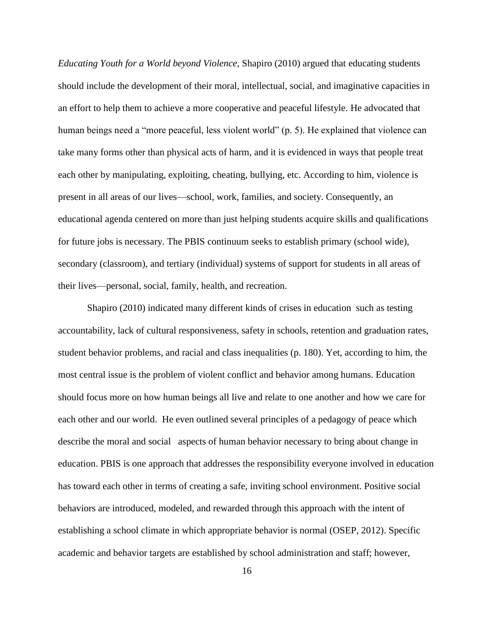*Educating Youth for a World beyond Violence*, Shapiro (2010) argued that educating students should include the development of their moral, intellectual, social, and imaginative capacities in an effort to help them to achieve a more cooperative and peaceful lifestyle. He advocated that human beings need a "more peaceful, less violent world" (p. 5). He explained that violence can take many forms other than physical acts of harm, and it is evidenced in ways that people treat each other by manipulating, exploiting, cheating, bullying, etc. According to him, violence is present in all areas of our lives—school, work, families, and society. Consequently, an educational agenda centered on more than just helping students acquire skills and qualifications for future jobs is necessary. The PBIS continuum seeks to establish primary (school wide), secondary (classroom), and tertiary (individual) systems of support for students in all areas of their lives—personal, social, family, health, and recreation.

Shapiro (2010) indicated many different kinds of crises in education such as testing accountability, lack of cultural responsiveness, safety in schools, retention and graduation rates, student behavior problems, and racial and class inequalities (p. 180). Yet, according to him, the most central issue is the problem of violent conflict and behavior among humans. Education should focus more on how human beings all live and relate to one another and how we care for each other and our world. He even outlined several principles of a pedagogy of peace which describe the moral and social aspects of human behavior necessary to bring about change in education. PBIS is one approach that addresses the responsibility everyone involved in education has toward each other in terms of creating a safe, inviting school environment. Positive social behaviors are introduced, modeled, and rewarded through this approach with the intent of establishing a school climate in which appropriate behavior is normal (OSEP, 2012). Specific academic and behavior targets are established by school administration and staff; however,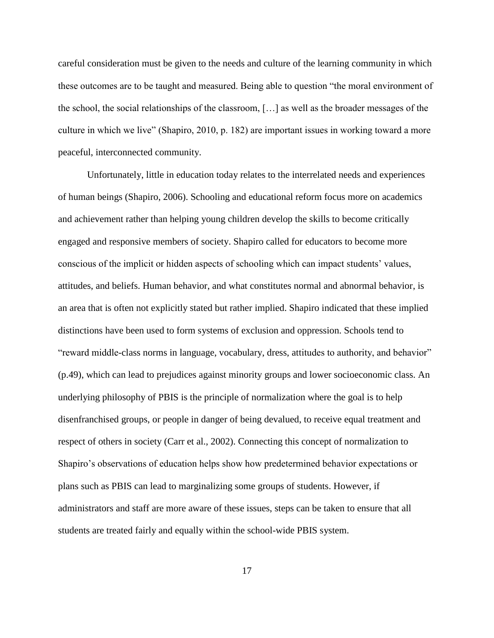careful consideration must be given to the needs and culture of the learning community in which these outcomes are to be taught and measured. Being able to question "the moral environment of the school, the social relationships of the classroom, […] as well as the broader messages of the culture in which we live" (Shapiro, 2010, p. 182) are important issues in working toward a more peaceful, interconnected community.

Unfortunately, little in education today relates to the interrelated needs and experiences of human beings (Shapiro, 2006). Schooling and educational reform focus more on academics and achievement rather than helping young children develop the skills to become critically engaged and responsive members of society. Shapiro called for educators to become more conscious of the implicit or hidden aspects of schooling which can impact students' values, attitudes, and beliefs. Human behavior, and what constitutes normal and abnormal behavior, is an area that is often not explicitly stated but rather implied. Shapiro indicated that these implied distinctions have been used to form systems of exclusion and oppression. Schools tend to "reward middle-class norms in language, vocabulary, dress, attitudes to authority, and behavior" (p.49), which can lead to prejudices against minority groups and lower socioeconomic class. An underlying philosophy of PBIS is the principle of normalization where the goal is to help disenfranchised groups, or people in danger of being devalued, to receive equal treatment and respect of others in society (Carr et al., 2002). Connecting this concept of normalization to Shapiro's observations of education helps show how predetermined behavior expectations or plans such as PBIS can lead to marginalizing some groups of students. However, if administrators and staff are more aware of these issues, steps can be taken to ensure that all students are treated fairly and equally within the school-wide PBIS system.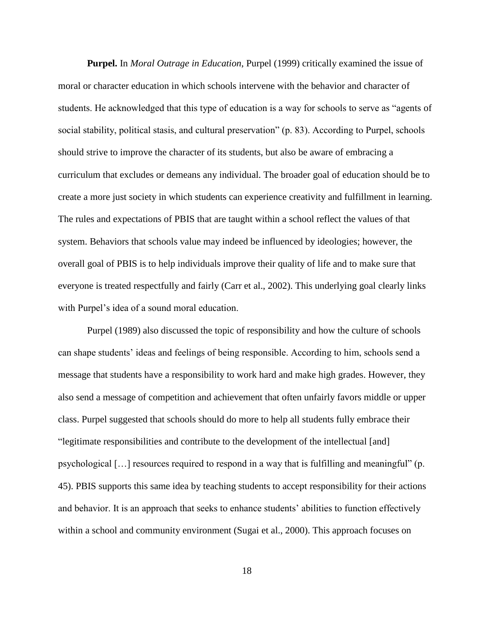**Purpel.** In *Moral Outrage in Education*, Purpel (1999) critically examined the issue of moral or character education in which schools intervene with the behavior and character of students. He acknowledged that this type of education is a way for schools to serve as "agents of social stability, political stasis, and cultural preservation" (p. 83). According to Purpel, schools should strive to improve the character of its students, but also be aware of embracing a curriculum that excludes or demeans any individual. The broader goal of education should be to create a more just society in which students can experience creativity and fulfillment in learning. The rules and expectations of PBIS that are taught within a school reflect the values of that system. Behaviors that schools value may indeed be influenced by ideologies; however, the overall goal of PBIS is to help individuals improve their quality of life and to make sure that everyone is treated respectfully and fairly (Carr et al., 2002). This underlying goal clearly links with Purpel's idea of a sound moral education.

Purpel (1989) also discussed the topic of responsibility and how the culture of schools can shape students' ideas and feelings of being responsible. According to him, schools send a message that students have a responsibility to work hard and make high grades. However, they also send a message of competition and achievement that often unfairly favors middle or upper class. Purpel suggested that schools should do more to help all students fully embrace their "legitimate responsibilities and contribute to the development of the intellectual [and] psychological […] resources required to respond in a way that is fulfilling and meaningful" (p. 45). PBIS supports this same idea by teaching students to accept responsibility for their actions and behavior. It is an approach that seeks to enhance students' abilities to function effectively within a school and community environment (Sugai et al., 2000). This approach focuses on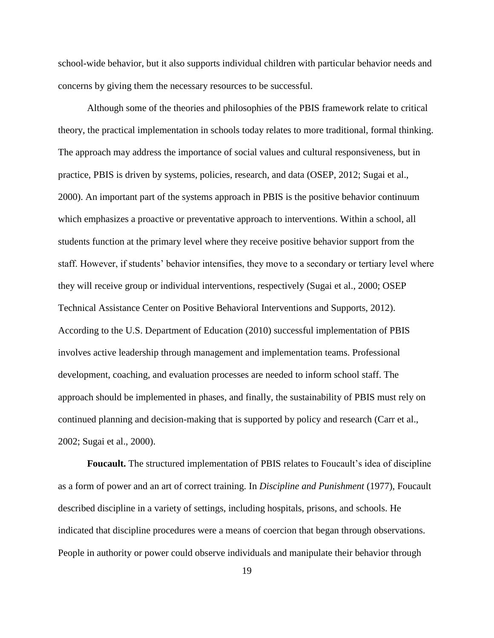school-wide behavior, but it also supports individual children with particular behavior needs and concerns by giving them the necessary resources to be successful.

Although some of the theories and philosophies of the PBIS framework relate to critical theory, the practical implementation in schools today relates to more traditional, formal thinking. The approach may address the importance of social values and cultural responsiveness, but in practice, PBIS is driven by systems, policies, research, and data (OSEP, 2012; Sugai et al., 2000). An important part of the systems approach in PBIS is the positive behavior continuum which emphasizes a proactive or preventative approach to interventions. Within a school, all students function at the primary level where they receive positive behavior support from the staff. However, if students' behavior intensifies, they move to a secondary or tertiary level where they will receive group or individual interventions, respectively (Sugai et al., 2000; OSEP Technical Assistance Center on Positive Behavioral Interventions and Supports, 2012). According to the U.S. Department of Education (2010) successful implementation of PBIS involves active leadership through management and implementation teams. Professional development, coaching, and evaluation processes are needed to inform school staff. The approach should be implemented in phases, and finally, the sustainability of PBIS must rely on continued planning and decision-making that is supported by policy and research (Carr et al., 2002; Sugai et al., 2000).

**Foucault.** The structured implementation of PBIS relates to Foucault's idea of discipline as a form of power and an art of correct training. In *Discipline and Punishment* (1977), Foucault described discipline in a variety of settings, including hospitals, prisons, and schools. He indicated that discipline procedures were a means of coercion that began through observations. People in authority or power could observe individuals and manipulate their behavior through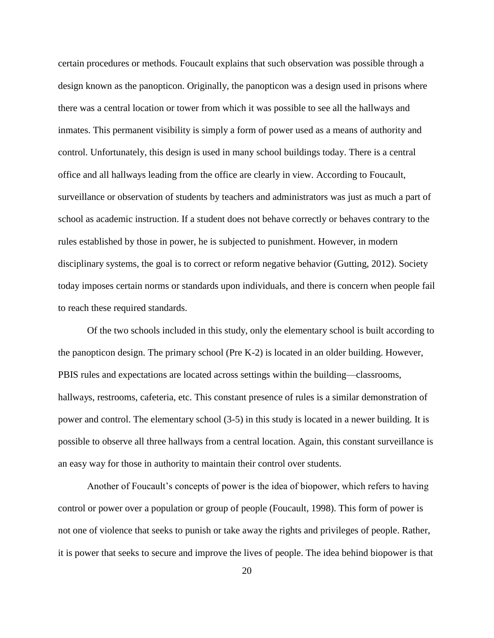certain procedures or methods. Foucault explains that such observation was possible through a design known as the panopticon. Originally, the panopticon was a design used in prisons where there was a central location or tower from which it was possible to see all the hallways and inmates. This permanent visibility is simply a form of power used as a means of authority and control. Unfortunately, this design is used in many school buildings today. There is a central office and all hallways leading from the office are clearly in view. According to Foucault, surveillance or observation of students by teachers and administrators was just as much a part of school as academic instruction. If a student does not behave correctly or behaves contrary to the rules established by those in power, he is subjected to punishment. However, in modern disciplinary systems, the goal is to correct or reform negative behavior (Gutting, 2012). Society today imposes certain norms or standards upon individuals, and there is concern when people fail to reach these required standards.

Of the two schools included in this study, only the elementary school is built according to the panopticon design. The primary school (Pre K-2) is located in an older building. However, PBIS rules and expectations are located across settings within the building—classrooms, hallways, restrooms, cafeteria, etc. This constant presence of rules is a similar demonstration of power and control. The elementary school (3-5) in this study is located in a newer building. It is possible to observe all three hallways from a central location. Again, this constant surveillance is an easy way for those in authority to maintain their control over students.

Another of Foucault's concepts of power is the idea of biopower, which refers to having control or power over a population or group of people (Foucault, 1998). This form of power is not one of violence that seeks to punish or take away the rights and privileges of people. Rather, it is power that seeks to secure and improve the lives of people. The idea behind biopower is that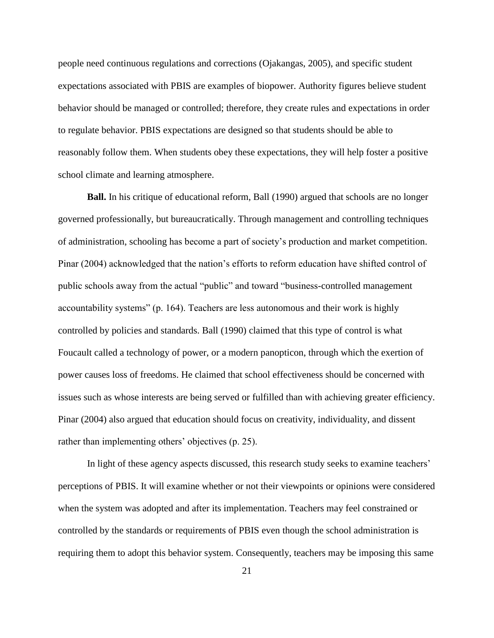people need continuous regulations and corrections (Ojakangas, 2005), and specific student expectations associated with PBIS are examples of biopower. Authority figures believe student behavior should be managed or controlled; therefore, they create rules and expectations in order to regulate behavior. PBIS expectations are designed so that students should be able to reasonably follow them. When students obey these expectations, they will help foster a positive school climate and learning atmosphere.

**Ball.** In his critique of educational reform, Ball (1990) argued that schools are no longer governed professionally, but bureaucratically. Through management and controlling techniques of administration, schooling has become a part of society's production and market competition. Pinar (2004) acknowledged that the nation's efforts to reform education have shifted control of public schools away from the actual "public" and toward "business-controlled management accountability systems" (p. 164). Teachers are less autonomous and their work is highly controlled by policies and standards. Ball (1990) claimed that this type of control is what Foucault called a technology of power, or a modern panopticon, through which the exertion of power causes loss of freedoms. He claimed that school effectiveness should be concerned with issues such as whose interests are being served or fulfilled than with achieving greater efficiency. Pinar (2004) also argued that education should focus on creativity, individuality, and dissent rather than implementing others' objectives (p. 25).

In light of these agency aspects discussed, this research study seeks to examine teachers' perceptions of PBIS. It will examine whether or not their viewpoints or opinions were considered when the system was adopted and after its implementation. Teachers may feel constrained or controlled by the standards or requirements of PBIS even though the school administration is requiring them to adopt this behavior system. Consequently, teachers may be imposing this same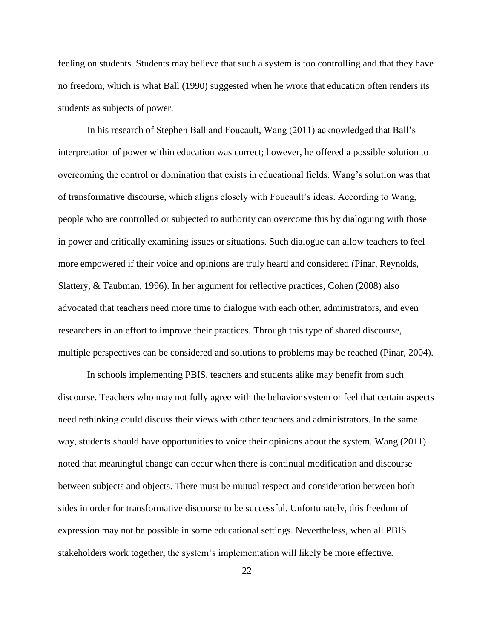feeling on students. Students may believe that such a system is too controlling and that they have no freedom, which is what Ball (1990) suggested when he wrote that education often renders its students as subjects of power.

In his research of Stephen Ball and Foucault, Wang (2011) acknowledged that Ball's interpretation of power within education was correct; however, he offered a possible solution to overcoming the control or domination that exists in educational fields. Wang's solution was that of transformative discourse, which aligns closely with Foucault's ideas. According to Wang, people who are controlled or subjected to authority can overcome this by dialoguing with those in power and critically examining issues or situations. Such dialogue can allow teachers to feel more empowered if their voice and opinions are truly heard and considered (Pinar, Reynolds, Slattery, & Taubman, 1996). In her argument for reflective practices, Cohen (2008) also advocated that teachers need more time to dialogue with each other, administrators, and even researchers in an effort to improve their practices. Through this type of shared discourse, multiple perspectives can be considered and solutions to problems may be reached (Pinar, 2004).

In schools implementing PBIS, teachers and students alike may benefit from such discourse. Teachers who may not fully agree with the behavior system or feel that certain aspects need rethinking could discuss their views with other teachers and administrators. In the same way, students should have opportunities to voice their opinions about the system. Wang (2011) noted that meaningful change can occur when there is continual modification and discourse between subjects and objects. There must be mutual respect and consideration between both sides in order for transformative discourse to be successful. Unfortunately, this freedom of expression may not be possible in some educational settings. Nevertheless, when all PBIS stakeholders work together, the system's implementation will likely be more effective.

22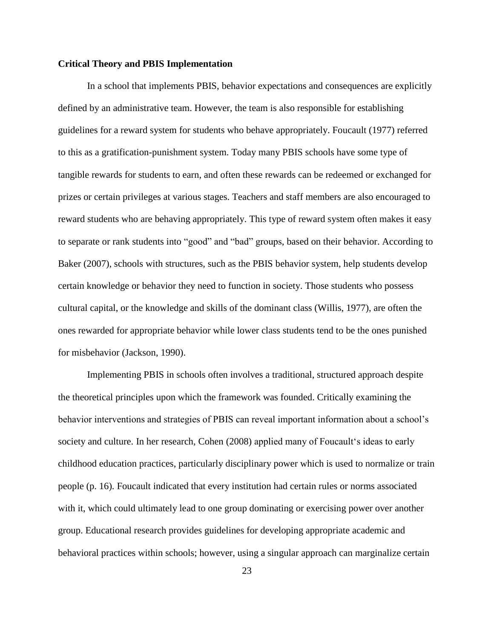### **Critical Theory and PBIS Implementation**

In a school that implements PBIS, behavior expectations and consequences are explicitly defined by an administrative team. However, the team is also responsible for establishing guidelines for a reward system for students who behave appropriately. Foucault (1977) referred to this as a gratification-punishment system. Today many PBIS schools have some type of tangible rewards for students to earn, and often these rewards can be redeemed or exchanged for prizes or certain privileges at various stages. Teachers and staff members are also encouraged to reward students who are behaving appropriately. This type of reward system often makes it easy to separate or rank students into "good" and "bad" groups, based on their behavior. According to Baker (2007), schools with structures, such as the PBIS behavior system, help students develop certain knowledge or behavior they need to function in society. Those students who possess cultural capital, or the knowledge and skills of the dominant class (Willis, 1977), are often the ones rewarded for appropriate behavior while lower class students tend to be the ones punished for misbehavior (Jackson, 1990).

Implementing PBIS in schools often involves a traditional, structured approach despite the theoretical principles upon which the framework was founded. Critically examining the behavior interventions and strategies of PBIS can reveal important information about a school's society and culture. In her research, Cohen (2008) applied many of Foucault's ideas to early childhood education practices, particularly disciplinary power which is used to normalize or train people (p. 16). Foucault indicated that every institution had certain rules or norms associated with it, which could ultimately lead to one group dominating or exercising power over another group. Educational research provides guidelines for developing appropriate academic and behavioral practices within schools; however, using a singular approach can marginalize certain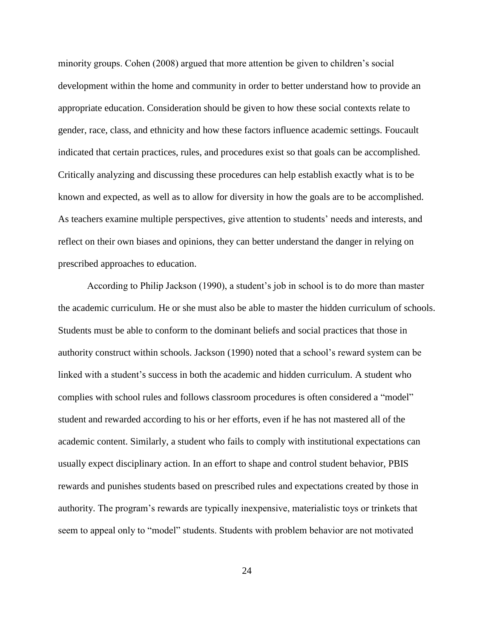minority groups. Cohen (2008) argued that more attention be given to children's social development within the home and community in order to better understand how to provide an appropriate education. Consideration should be given to how these social contexts relate to gender, race, class, and ethnicity and how these factors influence academic settings. Foucault indicated that certain practices, rules, and procedures exist so that goals can be accomplished. Critically analyzing and discussing these procedures can help establish exactly what is to be known and expected, as well as to allow for diversity in how the goals are to be accomplished. As teachers examine multiple perspectives, give attention to students' needs and interests, and reflect on their own biases and opinions, they can better understand the danger in relying on prescribed approaches to education.

According to Philip Jackson (1990), a student's job in school is to do more than master the academic curriculum. He or she must also be able to master the hidden curriculum of schools. Students must be able to conform to the dominant beliefs and social practices that those in authority construct within schools. Jackson (1990) noted that a school's reward system can be linked with a student's success in both the academic and hidden curriculum. A student who complies with school rules and follows classroom procedures is often considered a "model" student and rewarded according to his or her efforts, even if he has not mastered all of the academic content. Similarly, a student who fails to comply with institutional expectations can usually expect disciplinary action. In an effort to shape and control student behavior, PBIS rewards and punishes students based on prescribed rules and expectations created by those in authority. The program's rewards are typically inexpensive, materialistic toys or trinkets that seem to appeal only to "model" students. Students with problem behavior are not motivated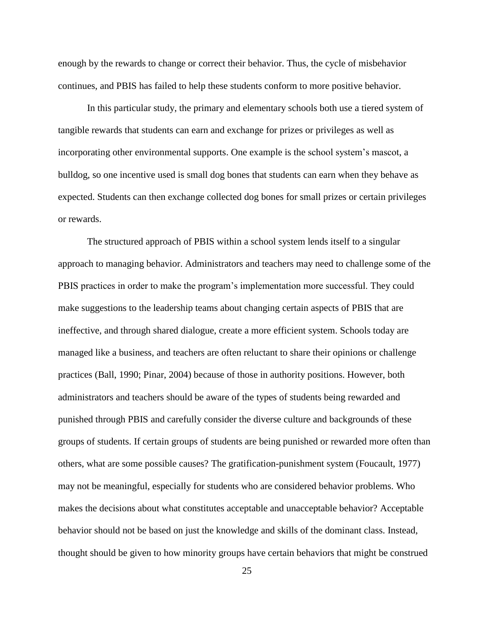enough by the rewards to change or correct their behavior. Thus, the cycle of misbehavior continues, and PBIS has failed to help these students conform to more positive behavior.

In this particular study, the primary and elementary schools both use a tiered system of tangible rewards that students can earn and exchange for prizes or privileges as well as incorporating other environmental supports. One example is the school system's mascot, a bulldog, so one incentive used is small dog bones that students can earn when they behave as expected. Students can then exchange collected dog bones for small prizes or certain privileges or rewards.

The structured approach of PBIS within a school system lends itself to a singular approach to managing behavior. Administrators and teachers may need to challenge some of the PBIS practices in order to make the program's implementation more successful. They could make suggestions to the leadership teams about changing certain aspects of PBIS that are ineffective, and through shared dialogue, create a more efficient system. Schools today are managed like a business, and teachers are often reluctant to share their opinions or challenge practices (Ball, 1990; Pinar, 2004) because of those in authority positions. However, both administrators and teachers should be aware of the types of students being rewarded and punished through PBIS and carefully consider the diverse culture and backgrounds of these groups of students. If certain groups of students are being punished or rewarded more often than others, what are some possible causes? The gratification-punishment system (Foucault, 1977) may not be meaningful, especially for students who are considered behavior problems. Who makes the decisions about what constitutes acceptable and unacceptable behavior? Acceptable behavior should not be based on just the knowledge and skills of the dominant class. Instead, thought should be given to how minority groups have certain behaviors that might be construed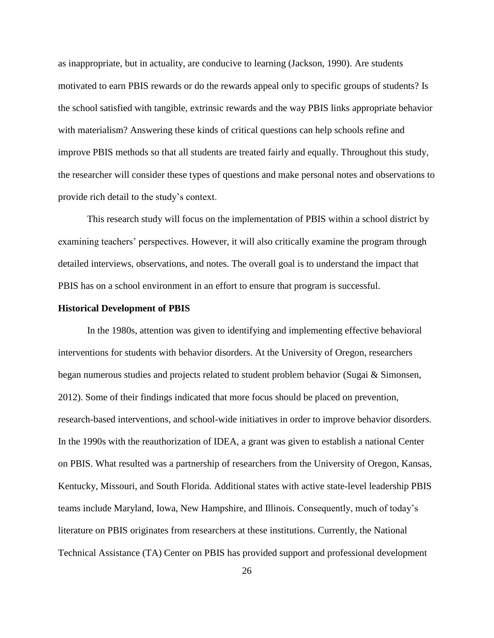as inappropriate, but in actuality, are conducive to learning (Jackson, 1990). Are students motivated to earn PBIS rewards or do the rewards appeal only to specific groups of students? Is the school satisfied with tangible, extrinsic rewards and the way PBIS links appropriate behavior with materialism? Answering these kinds of critical questions can help schools refine and improve PBIS methods so that all students are treated fairly and equally. Throughout this study, the researcher will consider these types of questions and make personal notes and observations to provide rich detail to the study's context.

This research study will focus on the implementation of PBIS within a school district by examining teachers' perspectives. However, it will also critically examine the program through detailed interviews, observations, and notes. The overall goal is to understand the impact that PBIS has on a school environment in an effort to ensure that program is successful.

#### **Historical Development of PBIS**

In the 1980s, attention was given to identifying and implementing effective behavioral interventions for students with behavior disorders. At the University of Oregon, researchers began numerous studies and projects related to student problem behavior (Sugai & Simonsen, 2012). Some of their findings indicated that more focus should be placed on prevention, research-based interventions, and school-wide initiatives in order to improve behavior disorders. In the 1990s with the reauthorization of IDEA, a grant was given to establish a national Center on PBIS. What resulted was a partnership of researchers from the University of Oregon, Kansas, Kentucky, Missouri, and South Florida. Additional states with active state-level leadership PBIS teams include Maryland, Iowa, New Hampshire, and Illinois. Consequently, much of today's literature on PBIS originates from researchers at these institutions. Currently, the National Technical Assistance (TA) Center on PBIS has provided support and professional development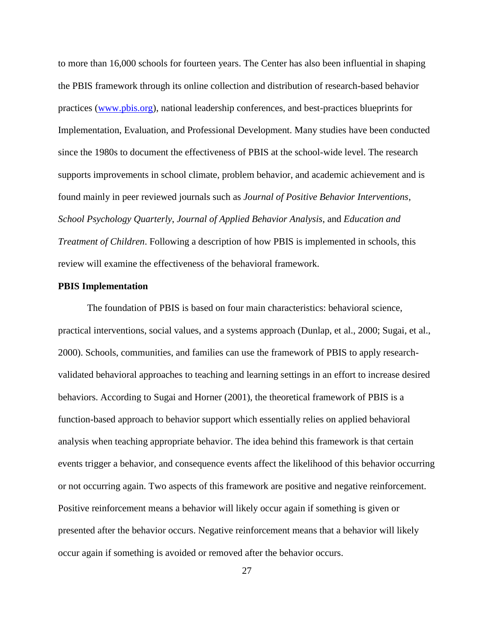to more than 16,000 schools for fourteen years. The Center has also been influential in shaping the PBIS framework through its online collection and distribution of research-based behavior practices [\(www.pbis.org\)](http://www.pbis.org/), national leadership conferences, and best-practices blueprints for Implementation, Evaluation, and Professional Development. Many studies have been conducted since the 1980s to document the effectiveness of PBIS at the school-wide level. The research supports improvements in school climate, problem behavior, and academic achievement and is found mainly in peer reviewed journals such as *Journal of Positive Behavior Interventions*, *School Psychology Quarterly*, *Journal of Applied Behavior Analysis*, and *Education and Treatment of Children*. Following a description of how PBIS is implemented in schools, this review will examine the effectiveness of the behavioral framework.

### **PBIS Implementation**

The foundation of PBIS is based on four main characteristics: behavioral science, practical interventions, social values, and a systems approach (Dunlap, et al., 2000; Sugai, et al., 2000). Schools, communities, and families can use the framework of PBIS to apply researchvalidated behavioral approaches to teaching and learning settings in an effort to increase desired behaviors. According to Sugai and Horner (2001), the theoretical framework of PBIS is a function-based approach to behavior support which essentially relies on applied behavioral analysis when teaching appropriate behavior. The idea behind this framework is that certain events trigger a behavior, and consequence events affect the likelihood of this behavior occurring or not occurring again. Two aspects of this framework are positive and negative reinforcement. Positive reinforcement means a behavior will likely occur again if something is given or presented after the behavior occurs. Negative reinforcement means that a behavior will likely occur again if something is avoided or removed after the behavior occurs.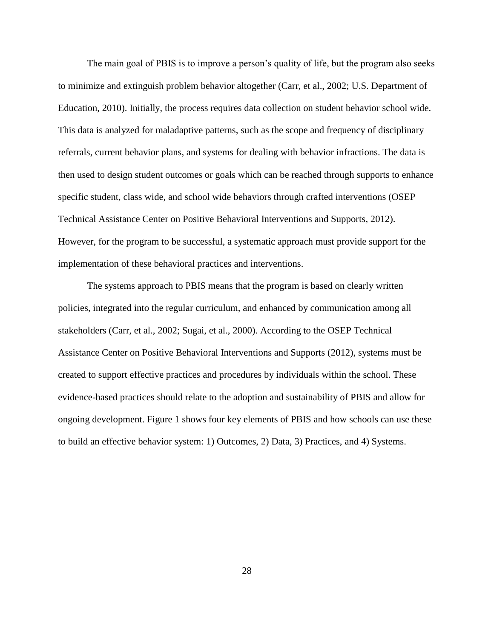The main goal of PBIS is to improve a person's quality of life, but the program also seeks to minimize and extinguish problem behavior altogether (Carr, et al., 2002; U.S. Department of Education, 2010). Initially, the process requires data collection on student behavior school wide. This data is analyzed for maladaptive patterns, such as the scope and frequency of disciplinary referrals, current behavior plans, and systems for dealing with behavior infractions. The data is then used to design student outcomes or goals which can be reached through supports to enhance specific student, class wide, and school wide behaviors through crafted interventions (OSEP Technical Assistance Center on Positive Behavioral Interventions and Supports, 2012). However, for the program to be successful, a systematic approach must provide support for the implementation of these behavioral practices and interventions.

The systems approach to PBIS means that the program is based on clearly written policies, integrated into the regular curriculum, and enhanced by communication among all stakeholders (Carr, et al., 2002; Sugai, et al., 2000). According to the OSEP Technical Assistance Center on Positive Behavioral Interventions and Supports (2012), systems must be created to support effective practices and procedures by individuals within the school. These evidence-based practices should relate to the adoption and sustainability of PBIS and allow for ongoing development. Figure 1 shows four key elements of PBIS and how schools can use these to build an effective behavior system: 1) Outcomes, 2) Data, 3) Practices, and 4) Systems.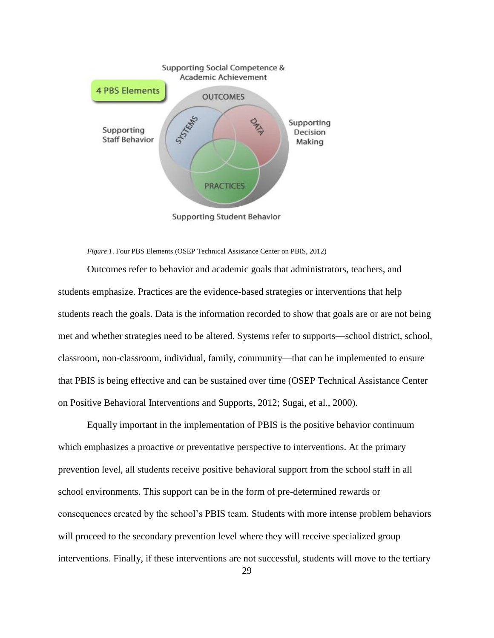

**Supporting Student Behavior** 

*Figure 1*. Four PBS Elements (OSEP Technical Assistance Center on PBIS, 2012)

Outcomes refer to behavior and academic goals that administrators, teachers, and students emphasize. Practices are the evidence-based strategies or interventions that help students reach the goals. Data is the information recorded to show that goals are or are not being met and whether strategies need to be altered. Systems refer to supports—school district, school, classroom, non-classroom, individual, family, community—that can be implemented to ensure that PBIS is being effective and can be sustained over time (OSEP Technical Assistance Center on Positive Behavioral Interventions and Supports, 2012; Sugai, et al., 2000).

Equally important in the implementation of PBIS is the positive behavior continuum which emphasizes a proactive or preventative perspective to interventions. At the primary prevention level, all students receive positive behavioral support from the school staff in all school environments. This support can be in the form of pre-determined rewards or consequences created by the school's PBIS team. Students with more intense problem behaviors will proceed to the secondary prevention level where they will receive specialized group interventions. Finally, if these interventions are not successful, students will move to the tertiary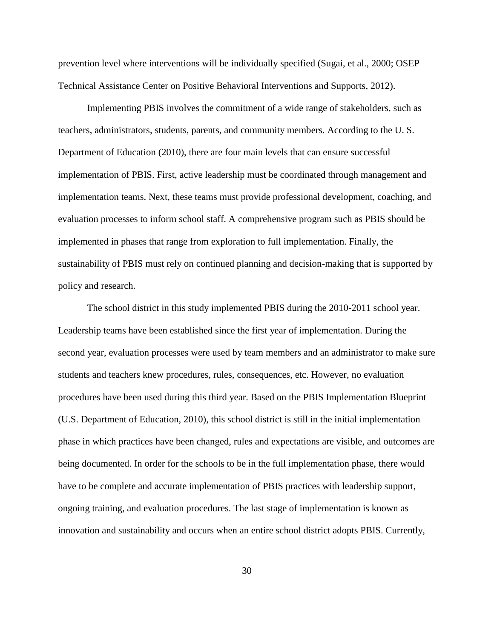prevention level where interventions will be individually specified (Sugai, et al., 2000; OSEP Technical Assistance Center on Positive Behavioral Interventions and Supports, 2012).

Implementing PBIS involves the commitment of a wide range of stakeholders, such as teachers, administrators, students, parents, and community members. According to the U. S. Department of Education (2010), there are four main levels that can ensure successful implementation of PBIS. First, active leadership must be coordinated through management and implementation teams. Next, these teams must provide professional development, coaching, and evaluation processes to inform school staff. A comprehensive program such as PBIS should be implemented in phases that range from exploration to full implementation. Finally, the sustainability of PBIS must rely on continued planning and decision-making that is supported by policy and research.

The school district in this study implemented PBIS during the 2010-2011 school year. Leadership teams have been established since the first year of implementation. During the second year, evaluation processes were used by team members and an administrator to make sure students and teachers knew procedures, rules, consequences, etc. However, no evaluation procedures have been used during this third year. Based on the PBIS Implementation Blueprint (U.S. Department of Education, 2010), this school district is still in the initial implementation phase in which practices have been changed, rules and expectations are visible, and outcomes are being documented. In order for the schools to be in the full implementation phase, there would have to be complete and accurate implementation of PBIS practices with leadership support, ongoing training, and evaluation procedures. The last stage of implementation is known as innovation and sustainability and occurs when an entire school district adopts PBIS. Currently,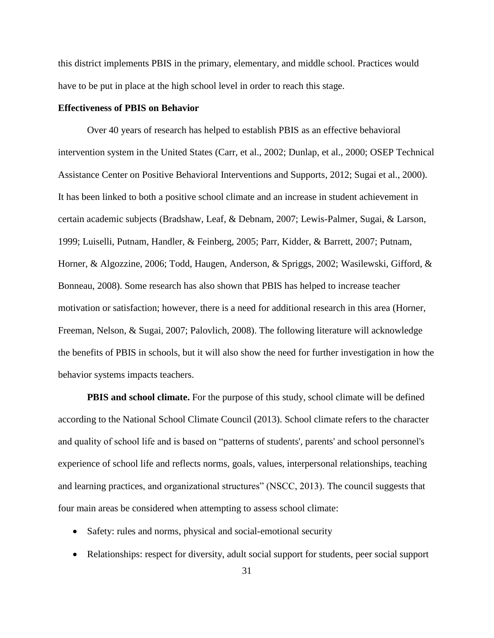this district implements PBIS in the primary, elementary, and middle school. Practices would have to be put in place at the high school level in order to reach this stage.

### **Effectiveness of PBIS on Behavior**

Over 40 years of research has helped to establish PBIS as an effective behavioral intervention system in the United States (Carr, et al., 2002; Dunlap, et al., 2000; OSEP Technical Assistance Center on Positive Behavioral Interventions and Supports, 2012; Sugai et al., 2000). It has been linked to both a positive school climate and an increase in student achievement in certain academic subjects (Bradshaw, Leaf, & Debnam, 2007; Lewis-Palmer, Sugai, & Larson, 1999; Luiselli, Putnam, Handler, & Feinberg, 2005; Parr, Kidder, & Barrett, 2007; Putnam, Horner, & Algozzine, 2006; Todd, Haugen, Anderson, & Spriggs, 2002; Wasilewski, Gifford, & Bonneau, 2008). Some research has also shown that PBIS has helped to increase teacher motivation or satisfaction; however, there is a need for additional research in this area (Horner, Freeman, Nelson, & Sugai, 2007; Palovlich, 2008). The following literature will acknowledge the benefits of PBIS in schools, but it will also show the need for further investigation in how the behavior systems impacts teachers.

**PBIS and school climate.** For the purpose of this study, school climate will be defined according to the National School Climate Council (2013). School climate refers to the character and quality of school life and is based on "patterns of students', parents' and school personnel's experience of school life and reflects norms, goals, values, interpersonal relationships, teaching and learning practices, and organizational structures" (NSCC, 2013). The council suggests that four main areas be considered when attempting to assess school climate:

- Safety: rules and norms, physical and social-emotional security
- Relationships: respect for diversity, adult social support for students, peer social support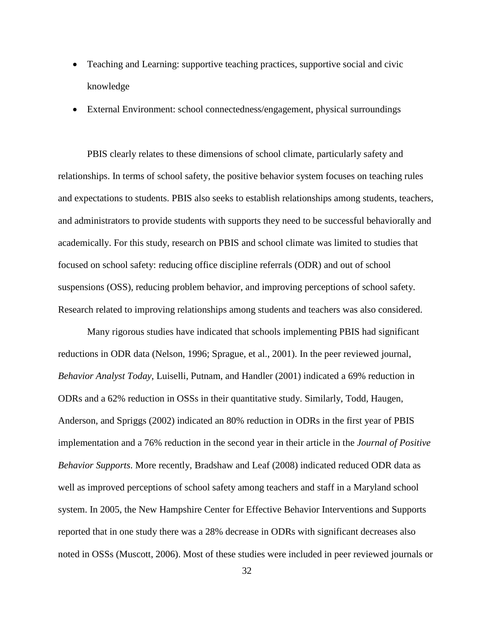- Teaching and Learning: supportive teaching practices, supportive social and civic knowledge
- External Environment: school connectedness/engagement, physical surroundings

PBIS clearly relates to these dimensions of school climate, particularly safety and relationships. In terms of school safety, the positive behavior system focuses on teaching rules and expectations to students. PBIS also seeks to establish relationships among students, teachers, and administrators to provide students with supports they need to be successful behaviorally and academically. For this study, research on PBIS and school climate was limited to studies that focused on school safety: reducing office discipline referrals (ODR) and out of school suspensions (OSS), reducing problem behavior, and improving perceptions of school safety. Research related to improving relationships among students and teachers was also considered.

Many rigorous studies have indicated that schools implementing PBIS had significant reductions in ODR data (Nelson, 1996; Sprague, et al., 2001). In the peer reviewed journal, *Behavior Analyst Today*, Luiselli, Putnam, and Handler (2001) indicated a 69% reduction in ODRs and a 62% reduction in OSSs in their quantitative study. Similarly, Todd, Haugen, Anderson, and Spriggs (2002) indicated an 80% reduction in ODRs in the first year of PBIS implementation and a 76% reduction in the second year in their article in the *Journal of Positive Behavior Supports*. More recently, Bradshaw and Leaf (2008) indicated reduced ODR data as well as improved perceptions of school safety among teachers and staff in a Maryland school system. In 2005, the New Hampshire Center for Effective Behavior Interventions and Supports reported that in one study there was a 28% decrease in ODRs with significant decreases also noted in OSSs (Muscott, 2006). Most of these studies were included in peer reviewed journals or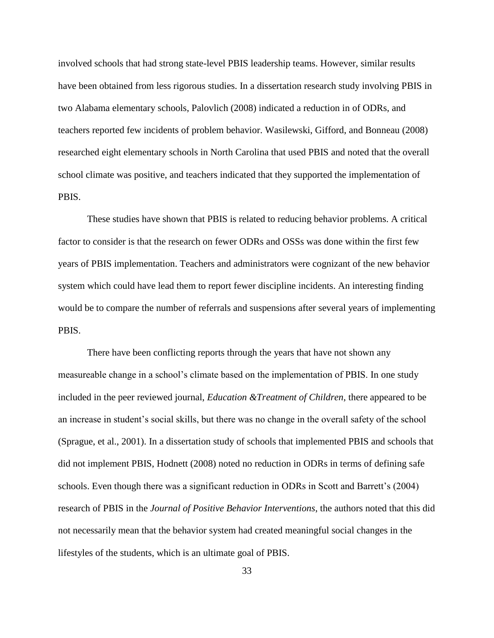involved schools that had strong state-level PBIS leadership teams. However, similar results have been obtained from less rigorous studies. In a dissertation research study involving PBIS in two Alabama elementary schools, Palovlich (2008) indicated a reduction in of ODRs, and teachers reported few incidents of problem behavior. Wasilewski, Gifford, and Bonneau (2008) researched eight elementary schools in North Carolina that used PBIS and noted that the overall school climate was positive, and teachers indicated that they supported the implementation of PBIS.

These studies have shown that PBIS is related to reducing behavior problems. A critical factor to consider is that the research on fewer ODRs and OSSs was done within the first few years of PBIS implementation. Teachers and administrators were cognizant of the new behavior system which could have lead them to report fewer discipline incidents. An interesting finding would be to compare the number of referrals and suspensions after several years of implementing PBIS.

There have been conflicting reports through the years that have not shown any measureable change in a school's climate based on the implementation of PBIS. In one study included in the peer reviewed journal, *Education &Treatment of Children*, there appeared to be an increase in student's social skills, but there was no change in the overall safety of the school (Sprague, et al., 2001). In a dissertation study of schools that implemented PBIS and schools that did not implement PBIS, Hodnett (2008) noted no reduction in ODRs in terms of defining safe schools. Even though there was a significant reduction in ODRs in Scott and Barrett's (2004) research of PBIS in the *Journal of Positive Behavior Interventions*, the authors noted that this did not necessarily mean that the behavior system had created meaningful social changes in the lifestyles of the students, which is an ultimate goal of PBIS.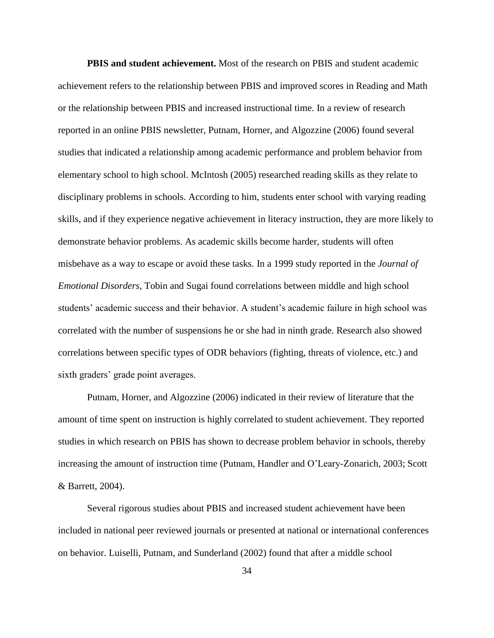**PBIS and student achievement.** Most of the research on PBIS and student academic achievement refers to the relationship between PBIS and improved scores in Reading and Math or the relationship between PBIS and increased instructional time. In a review of research reported in an online PBIS newsletter, Putnam, Horner, and Algozzine (2006) found several studies that indicated a relationship among academic performance and problem behavior from elementary school to high school. McIntosh (2005) researched reading skills as they relate to disciplinary problems in schools. According to him, students enter school with varying reading skills, and if they experience negative achievement in literacy instruction, they are more likely to demonstrate behavior problems. As academic skills become harder, students will often misbehave as a way to escape or avoid these tasks. In a 1999 study reported in the *Journal of Emotional Disorders*, Tobin and Sugai found correlations between middle and high school students' academic success and their behavior. A student's academic failure in high school was correlated with the number of suspensions he or she had in ninth grade. Research also showed correlations between specific types of ODR behaviors (fighting, threats of violence, etc.) and sixth graders' grade point averages.

Putnam, Horner, and Algozzine (2006) indicated in their review of literature that the amount of time spent on instruction is highly correlated to student achievement. They reported studies in which research on PBIS has shown to decrease problem behavior in schools, thereby increasing the amount of instruction time (Putnam, Handler and O'Leary-Zonarich, 2003; Scott & Barrett, 2004).

Several rigorous studies about PBIS and increased student achievement have been included in national peer reviewed journals or presented at national or international conferences on behavior. Luiselli, Putnam, and Sunderland (2002) found that after a middle school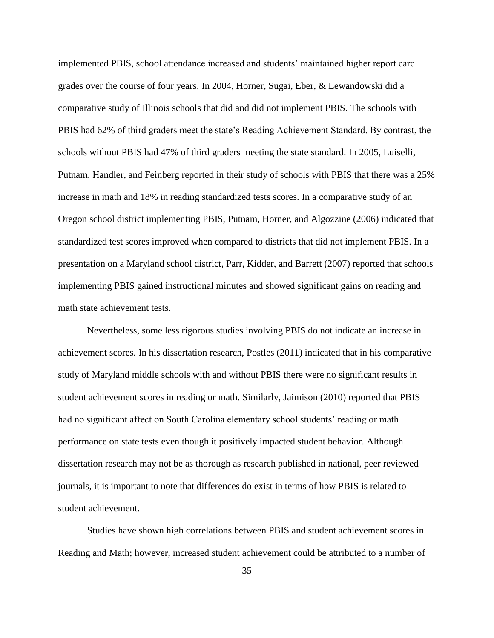implemented PBIS, school attendance increased and students' maintained higher report card grades over the course of four years. In 2004, Horner, Sugai, Eber, & Lewandowski did a comparative study of Illinois schools that did and did not implement PBIS. The schools with PBIS had 62% of third graders meet the state's Reading Achievement Standard. By contrast, the schools without PBIS had 47% of third graders meeting the state standard. In 2005, Luiselli, Putnam, Handler, and Feinberg reported in their study of schools with PBIS that there was a 25% increase in math and 18% in reading standardized tests scores. In a comparative study of an Oregon school district implementing PBIS, Putnam, Horner, and Algozzine (2006) indicated that standardized test scores improved when compared to districts that did not implement PBIS. In a presentation on a Maryland school district, Parr, Kidder, and Barrett (2007) reported that schools implementing PBIS gained instructional minutes and showed significant gains on reading and math state achievement tests.

Nevertheless, some less rigorous studies involving PBIS do not indicate an increase in achievement scores. In his dissertation research, Postles (2011) indicated that in his comparative study of Maryland middle schools with and without PBIS there were no significant results in student achievement scores in reading or math. Similarly, Jaimison (2010) reported that PBIS had no significant affect on South Carolina elementary school students' reading or math performance on state tests even though it positively impacted student behavior. Although dissertation research may not be as thorough as research published in national, peer reviewed journals, it is important to note that differences do exist in terms of how PBIS is related to student achievement.

Studies have shown high correlations between PBIS and student achievement scores in Reading and Math; however, increased student achievement could be attributed to a number of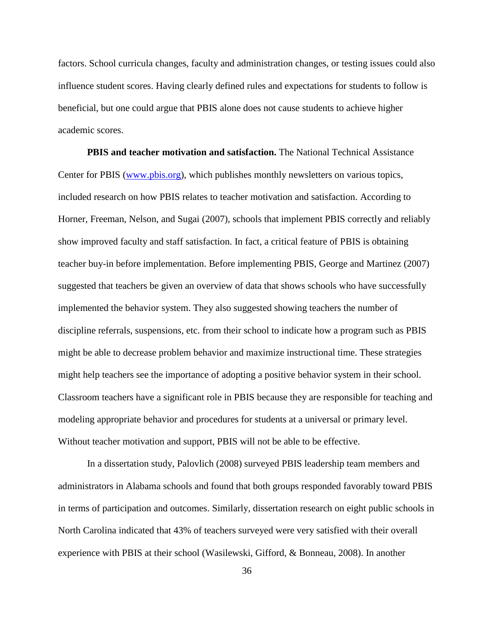factors. School curricula changes, faculty and administration changes, or testing issues could also influence student scores. Having clearly defined rules and expectations for students to follow is beneficial, but one could argue that PBIS alone does not cause students to achieve higher academic scores.

**PBIS and teacher motivation and satisfaction.** The National Technical Assistance Center for PBIS [\(www.pbis.org\)](http://www.pbis.org/), which publishes monthly newsletters on various topics, included research on how PBIS relates to teacher motivation and satisfaction. According to Horner, Freeman, Nelson, and Sugai (2007), schools that implement PBIS correctly and reliably show improved faculty and staff satisfaction. In fact, a critical feature of PBIS is obtaining teacher buy-in before implementation. Before implementing PBIS, George and Martinez (2007) suggested that teachers be given an overview of data that shows schools who have successfully implemented the behavior system. They also suggested showing teachers the number of discipline referrals, suspensions, etc. from their school to indicate how a program such as PBIS might be able to decrease problem behavior and maximize instructional time. These strategies might help teachers see the importance of adopting a positive behavior system in their school. Classroom teachers have a significant role in PBIS because they are responsible for teaching and modeling appropriate behavior and procedures for students at a universal or primary level. Without teacher motivation and support, PBIS will not be able to be effective.

In a dissertation study, Palovlich (2008) surveyed PBIS leadership team members and administrators in Alabama schools and found that both groups responded favorably toward PBIS in terms of participation and outcomes. Similarly, dissertation research on eight public schools in North Carolina indicated that 43% of teachers surveyed were very satisfied with their overall experience with PBIS at their school (Wasilewski, Gifford, & Bonneau, 2008). In another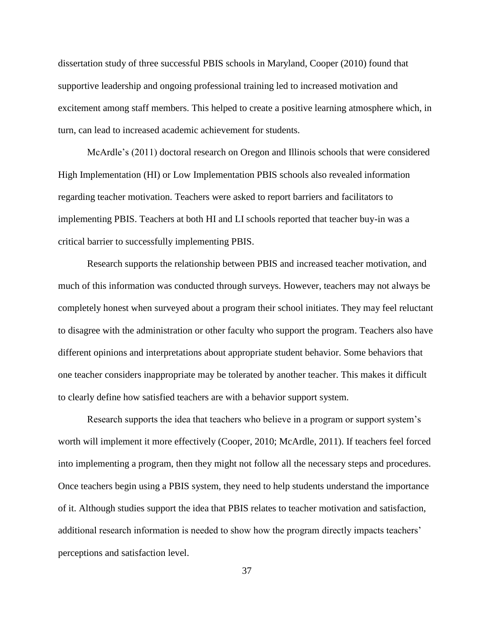dissertation study of three successful PBIS schools in Maryland, Cooper (2010) found that supportive leadership and ongoing professional training led to increased motivation and excitement among staff members. This helped to create a positive learning atmosphere which, in turn, can lead to increased academic achievement for students.

McArdle's (2011) doctoral research on Oregon and Illinois schools that were considered High Implementation (HI) or Low Implementation PBIS schools also revealed information regarding teacher motivation. Teachers were asked to report barriers and facilitators to implementing PBIS. Teachers at both HI and LI schools reported that teacher buy-in was a critical barrier to successfully implementing PBIS.

Research supports the relationship between PBIS and increased teacher motivation, and much of this information was conducted through surveys. However, teachers may not always be completely honest when surveyed about a program their school initiates. They may feel reluctant to disagree with the administration or other faculty who support the program. Teachers also have different opinions and interpretations about appropriate student behavior. Some behaviors that one teacher considers inappropriate may be tolerated by another teacher. This makes it difficult to clearly define how satisfied teachers are with a behavior support system.

Research supports the idea that teachers who believe in a program or support system's worth will implement it more effectively (Cooper, 2010; McArdle, 2011). If teachers feel forced into implementing a program, then they might not follow all the necessary steps and procedures. Once teachers begin using a PBIS system, they need to help students understand the importance of it. Although studies support the idea that PBIS relates to teacher motivation and satisfaction, additional research information is needed to show how the program directly impacts teachers' perceptions and satisfaction level.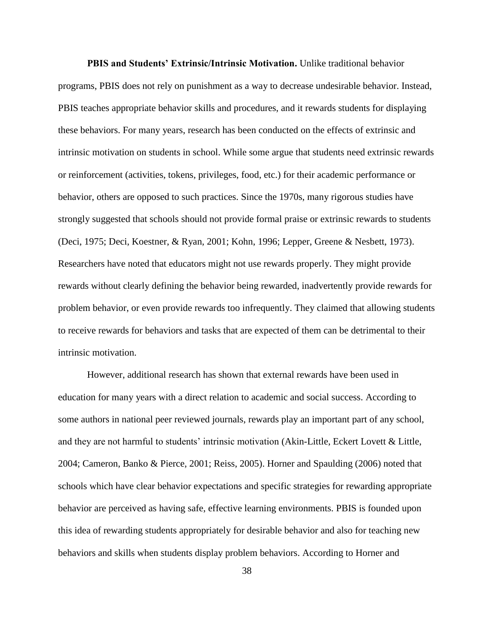**PBIS and Students' Extrinsic/Intrinsic Motivation.** Unlike traditional behavior programs, PBIS does not rely on punishment as a way to decrease undesirable behavior. Instead, PBIS teaches appropriate behavior skills and procedures, and it rewards students for displaying these behaviors. For many years, research has been conducted on the effects of extrinsic and intrinsic motivation on students in school. While some argue that students need extrinsic rewards or reinforcement (activities, tokens, privileges, food, etc.) for their academic performance or behavior, others are opposed to such practices. Since the 1970s, many rigorous studies have strongly suggested that schools should not provide formal praise or extrinsic rewards to students (Deci, 1975; Deci, Koestner, & Ryan, 2001; Kohn, 1996; Lepper, Greene & Nesbett, 1973). Researchers have noted that educators might not use rewards properly. They might provide rewards without clearly defining the behavior being rewarded, inadvertently provide rewards for problem behavior, or even provide rewards too infrequently. They claimed that allowing students to receive rewards for behaviors and tasks that are expected of them can be detrimental to their intrinsic motivation.

However, additional research has shown that external rewards have been used in education for many years with a direct relation to academic and social success. According to some authors in national peer reviewed journals, rewards play an important part of any school, and they are not harmful to students' intrinsic motivation (Akin-Little, Eckert Lovett & Little, 2004; Cameron, Banko & Pierce, 2001; Reiss, 2005). Horner and Spaulding (2006) noted that schools which have clear behavior expectations and specific strategies for rewarding appropriate behavior are perceived as having safe, effective learning environments. PBIS is founded upon this idea of rewarding students appropriately for desirable behavior and also for teaching new behaviors and skills when students display problem behaviors. According to Horner and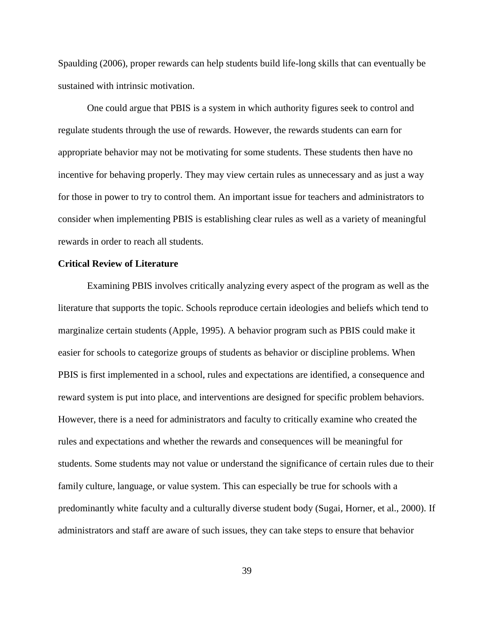Spaulding (2006), proper rewards can help students build life-long skills that can eventually be sustained with intrinsic motivation.

One could argue that PBIS is a system in which authority figures seek to control and regulate students through the use of rewards. However, the rewards students can earn for appropriate behavior may not be motivating for some students. These students then have no incentive for behaving properly. They may view certain rules as unnecessary and as just a way for those in power to try to control them. An important issue for teachers and administrators to consider when implementing PBIS is establishing clear rules as well as a variety of meaningful rewards in order to reach all students.

## **Critical Review of Literature**

Examining PBIS involves critically analyzing every aspect of the program as well as the literature that supports the topic. Schools reproduce certain ideologies and beliefs which tend to marginalize certain students (Apple, 1995). A behavior program such as PBIS could make it easier for schools to categorize groups of students as behavior or discipline problems. When PBIS is first implemented in a school, rules and expectations are identified, a consequence and reward system is put into place, and interventions are designed for specific problem behaviors. However, there is a need for administrators and faculty to critically examine who created the rules and expectations and whether the rewards and consequences will be meaningful for students. Some students may not value or understand the significance of certain rules due to their family culture, language, or value system. This can especially be true for schools with a predominantly white faculty and a culturally diverse student body (Sugai, Horner, et al., 2000). If administrators and staff are aware of such issues, they can take steps to ensure that behavior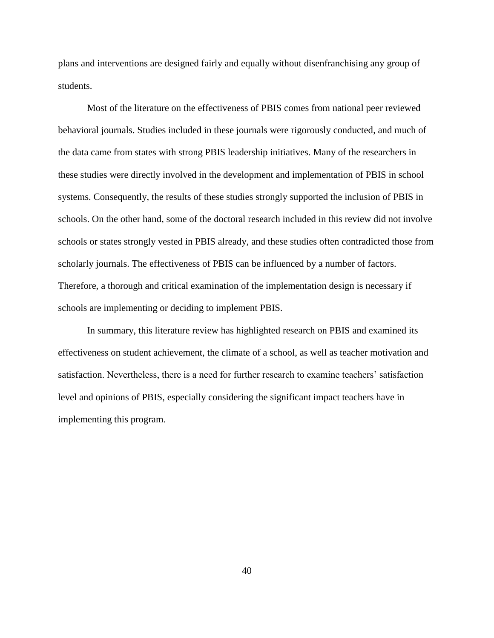plans and interventions are designed fairly and equally without disenfranchising any group of students.

Most of the literature on the effectiveness of PBIS comes from national peer reviewed behavioral journals. Studies included in these journals were rigorously conducted, and much of the data came from states with strong PBIS leadership initiatives. Many of the researchers in these studies were directly involved in the development and implementation of PBIS in school systems. Consequently, the results of these studies strongly supported the inclusion of PBIS in schools. On the other hand, some of the doctoral research included in this review did not involve schools or states strongly vested in PBIS already, and these studies often contradicted those from scholarly journals. The effectiveness of PBIS can be influenced by a number of factors. Therefore, a thorough and critical examination of the implementation design is necessary if schools are implementing or deciding to implement PBIS.

In summary, this literature review has highlighted research on PBIS and examined its effectiveness on student achievement, the climate of a school, as well as teacher motivation and satisfaction. Nevertheless, there is a need for further research to examine teachers' satisfaction level and opinions of PBIS, especially considering the significant impact teachers have in implementing this program.

40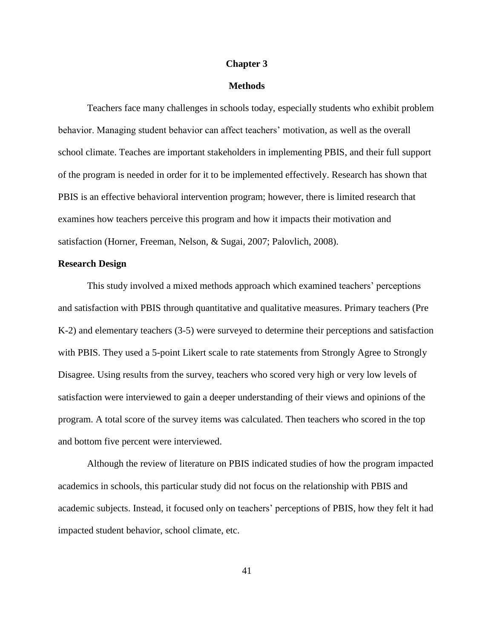#### **Chapter 3**

#### **Methods**

Teachers face many challenges in schools today, especially students who exhibit problem behavior. Managing student behavior can affect teachers' motivation, as well as the overall school climate. Teaches are important stakeholders in implementing PBIS, and their full support of the program is needed in order for it to be implemented effectively. Research has shown that PBIS is an effective behavioral intervention program; however, there is limited research that examines how teachers perceive this program and how it impacts their motivation and satisfaction (Horner, Freeman, Nelson, & Sugai, 2007; Palovlich, 2008).

#### **Research Design**

This study involved a mixed methods approach which examined teachers' perceptions and satisfaction with PBIS through quantitative and qualitative measures. Primary teachers (Pre K-2) and elementary teachers (3-5) were surveyed to determine their perceptions and satisfaction with PBIS. They used a 5-point Likert scale to rate statements from Strongly Agree to Strongly Disagree. Using results from the survey, teachers who scored very high or very low levels of satisfaction were interviewed to gain a deeper understanding of their views and opinions of the program. A total score of the survey items was calculated. Then teachers who scored in the top and bottom five percent were interviewed.

Although the review of literature on PBIS indicated studies of how the program impacted academics in schools, this particular study did not focus on the relationship with PBIS and academic subjects. Instead, it focused only on teachers' perceptions of PBIS, how they felt it had impacted student behavior, school climate, etc.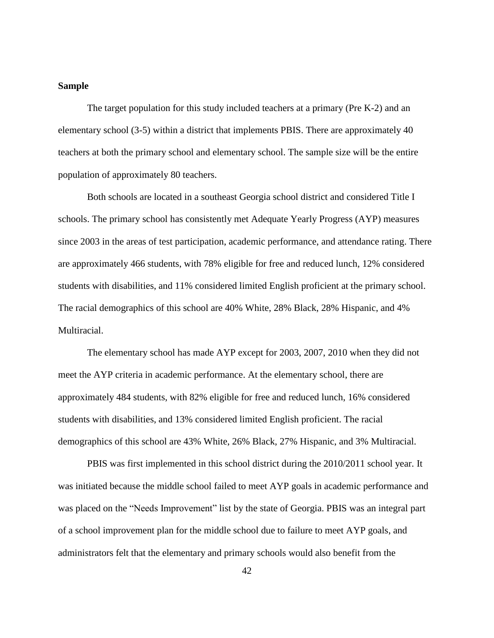#### **Sample**

The target population for this study included teachers at a primary (Pre K-2) and an elementary school (3-5) within a district that implements PBIS. There are approximately 40 teachers at both the primary school and elementary school. The sample size will be the entire population of approximately 80 teachers.

Both schools are located in a southeast Georgia school district and considered Title I schools. The primary school has consistently met Adequate Yearly Progress (AYP) measures since 2003 in the areas of test participation, academic performance, and attendance rating. There are approximately 466 students, with 78% eligible for free and reduced lunch, 12% considered students with disabilities, and 11% considered limited English proficient at the primary school. The racial demographics of this school are 40% White, 28% Black, 28% Hispanic, and 4% Multiracial.

The elementary school has made AYP except for 2003, 2007, 2010 when they did not meet the AYP criteria in academic performance. At the elementary school, there are approximately 484 students, with 82% eligible for free and reduced lunch, 16% considered students with disabilities, and 13% considered limited English proficient. The racial demographics of this school are 43% White, 26% Black, 27% Hispanic, and 3% Multiracial.

PBIS was first implemented in this school district during the 2010/2011 school year. It was initiated because the middle school failed to meet AYP goals in academic performance and was placed on the "Needs Improvement" list by the state of Georgia. PBIS was an integral part of a school improvement plan for the middle school due to failure to meet AYP goals, and administrators felt that the elementary and primary schools would also benefit from the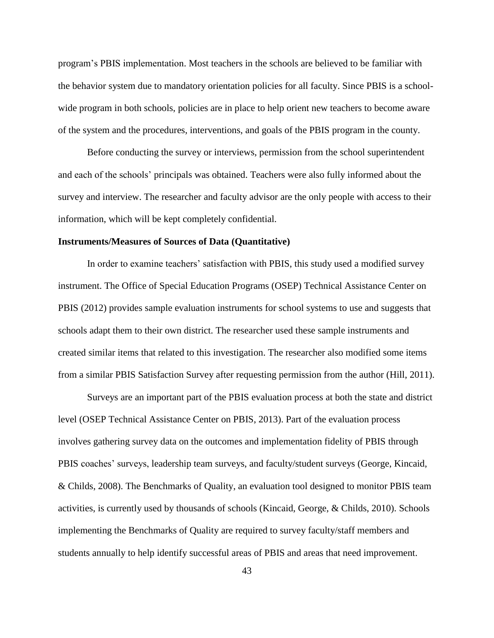program's PBIS implementation. Most teachers in the schools are believed to be familiar with the behavior system due to mandatory orientation policies for all faculty. Since PBIS is a schoolwide program in both schools, policies are in place to help orient new teachers to become aware of the system and the procedures, interventions, and goals of the PBIS program in the county.

Before conducting the survey or interviews, permission from the school superintendent and each of the schools' principals was obtained. Teachers were also fully informed about the survey and interview. The researcher and faculty advisor are the only people with access to their information, which will be kept completely confidential.

#### **Instruments/Measures of Sources of Data (Quantitative)**

In order to examine teachers' satisfaction with PBIS, this study used a modified survey instrument. The Office of Special Education Programs (OSEP) Technical Assistance Center on PBIS (2012) provides sample evaluation instruments for school systems to use and suggests that schools adapt them to their own district. The researcher used these sample instruments and created similar items that related to this investigation. The researcher also modified some items from a similar PBIS Satisfaction Survey after requesting permission from the author (Hill, 2011).

Surveys are an important part of the PBIS evaluation process at both the state and district level (OSEP Technical Assistance Center on PBIS, 2013). Part of the evaluation process involves gathering survey data on the outcomes and implementation fidelity of PBIS through PBIS coaches' surveys, leadership team surveys, and faculty/student surveys (George, Kincaid, & Childs, 2008). The Benchmarks of Quality, an evaluation tool designed to monitor PBIS team activities, is currently used by thousands of schools (Kincaid, George, & Childs, 2010). Schools implementing the Benchmarks of Quality are required to survey faculty/staff members and students annually to help identify successful areas of PBIS and areas that need improvement.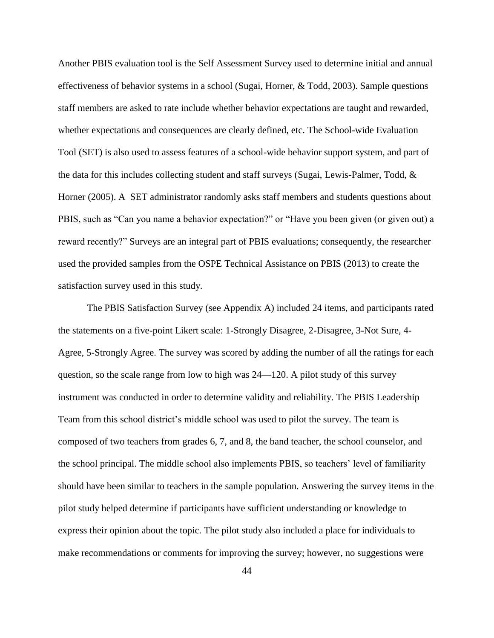Another PBIS evaluation tool is the Self Assessment Survey used to determine initial and annual effectiveness of behavior systems in a school (Sugai, Horner, & Todd, 2003). Sample questions staff members are asked to rate include whether behavior expectations are taught and rewarded, whether expectations and consequences are clearly defined, etc. The School-wide Evaluation Tool (SET) is also used to assess features of a school-wide behavior support system, and part of the data for this includes collecting student and staff surveys (Sugai, Lewis-Palmer, Todd, & Horner (2005). A SET administrator randomly asks staff members and students questions about PBIS, such as "Can you name a behavior expectation?" or "Have you been given (or given out) a reward recently?" Surveys are an integral part of PBIS evaluations; consequently, the researcher used the provided samples from the OSPE Technical Assistance on PBIS (2013) to create the satisfaction survey used in this study.

The PBIS Satisfaction Survey (see Appendix A) included 24 items, and participants rated the statements on a five-point Likert scale: 1-Strongly Disagree, 2-Disagree, 3-Not Sure, 4- Agree, 5-Strongly Agree. The survey was scored by adding the number of all the ratings for each question, so the scale range from low to high was 24—120. A pilot study of this survey instrument was conducted in order to determine validity and reliability. The PBIS Leadership Team from this school district's middle school was used to pilot the survey. The team is composed of two teachers from grades 6, 7, and 8, the band teacher, the school counselor, and the school principal. The middle school also implements PBIS, so teachers' level of familiarity should have been similar to teachers in the sample population. Answering the survey items in the pilot study helped determine if participants have sufficient understanding or knowledge to express their opinion about the topic. The pilot study also included a place for individuals to make recommendations or comments for improving the survey; however, no suggestions were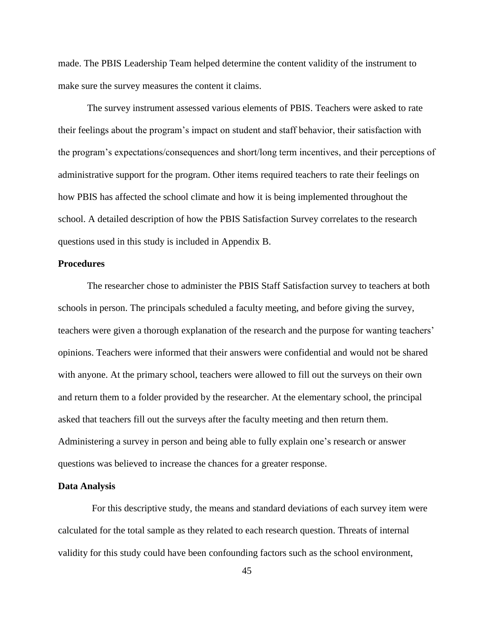made. The PBIS Leadership Team helped determine the content validity of the instrument to make sure the survey measures the content it claims.

The survey instrument assessed various elements of PBIS. Teachers were asked to rate their feelings about the program's impact on student and staff behavior, their satisfaction with the program's expectations/consequences and short/long term incentives, and their perceptions of administrative support for the program. Other items required teachers to rate their feelings on how PBIS has affected the school climate and how it is being implemented throughout the school. A detailed description of how the PBIS Satisfaction Survey correlates to the research questions used in this study is included in Appendix B.

## **Procedures**

The researcher chose to administer the PBIS Staff Satisfaction survey to teachers at both schools in person. The principals scheduled a faculty meeting, and before giving the survey, teachers were given a thorough explanation of the research and the purpose for wanting teachers' opinions. Teachers were informed that their answers were confidential and would not be shared with anyone. At the primary school, teachers were allowed to fill out the surveys on their own and return them to a folder provided by the researcher. At the elementary school, the principal asked that teachers fill out the surveys after the faculty meeting and then return them. Administering a survey in person and being able to fully explain one's research or answer questions was believed to increase the chances for a greater response.

#### **Data Analysis**

For this descriptive study, the means and standard deviations of each survey item were calculated for the total sample as they related to each research question. Threats of internal validity for this study could have been confounding factors such as the school environment,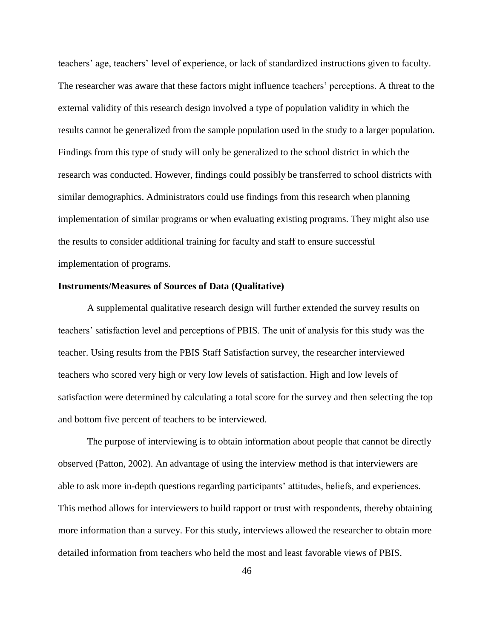teachers' age, teachers' level of experience, or lack of standardized instructions given to faculty. The researcher was aware that these factors might influence teachers' perceptions. A threat to the external validity of this research design involved a type of population validity in which the results cannot be generalized from the sample population used in the study to a larger population. Findings from this type of study will only be generalized to the school district in which the research was conducted. However, findings could possibly be transferred to school districts with similar demographics. Administrators could use findings from this research when planning implementation of similar programs or when evaluating existing programs. They might also use the results to consider additional training for faculty and staff to ensure successful implementation of programs.

#### **Instruments/Measures of Sources of Data (Qualitative)**

A supplemental qualitative research design will further extended the survey results on teachers' satisfaction level and perceptions of PBIS. The unit of analysis for this study was the teacher. Using results from the PBIS Staff Satisfaction survey, the researcher interviewed teachers who scored very high or very low levels of satisfaction. High and low levels of satisfaction were determined by calculating a total score for the survey and then selecting the top and bottom five percent of teachers to be interviewed.

The purpose of interviewing is to obtain information about people that cannot be directly observed (Patton, 2002). An advantage of using the interview method is that interviewers are able to ask more in-depth questions regarding participants' attitudes, beliefs, and experiences. This method allows for interviewers to build rapport or trust with respondents, thereby obtaining more information than a survey. For this study, interviews allowed the researcher to obtain more detailed information from teachers who held the most and least favorable views of PBIS.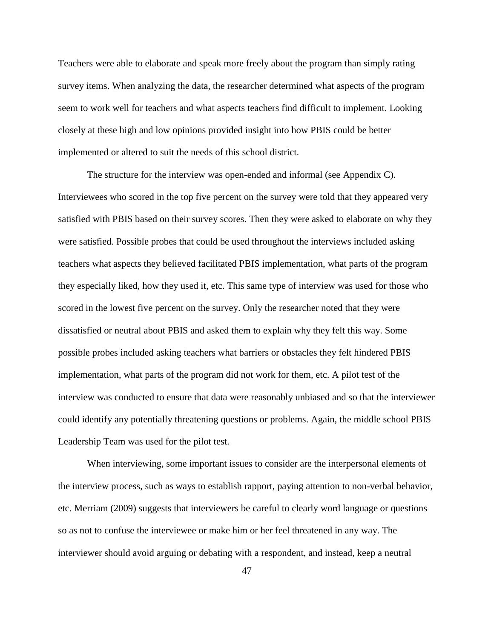Teachers were able to elaborate and speak more freely about the program than simply rating survey items. When analyzing the data, the researcher determined what aspects of the program seem to work well for teachers and what aspects teachers find difficult to implement. Looking closely at these high and low opinions provided insight into how PBIS could be better implemented or altered to suit the needs of this school district.

The structure for the interview was open-ended and informal (see Appendix C). Interviewees who scored in the top five percent on the survey were told that they appeared very satisfied with PBIS based on their survey scores. Then they were asked to elaborate on why they were satisfied. Possible probes that could be used throughout the interviews included asking teachers what aspects they believed facilitated PBIS implementation, what parts of the program they especially liked, how they used it, etc. This same type of interview was used for those who scored in the lowest five percent on the survey. Only the researcher noted that they were dissatisfied or neutral about PBIS and asked them to explain why they felt this way. Some possible probes included asking teachers what barriers or obstacles they felt hindered PBIS implementation, what parts of the program did not work for them, etc. A pilot test of the interview was conducted to ensure that data were reasonably unbiased and so that the interviewer could identify any potentially threatening questions or problems. Again, the middle school PBIS Leadership Team was used for the pilot test.

When interviewing, some important issues to consider are the interpersonal elements of the interview process, such as ways to establish rapport, paying attention to non-verbal behavior, etc. Merriam (2009) suggests that interviewers be careful to clearly word language or questions so as not to confuse the interviewee or make him or her feel threatened in any way. The interviewer should avoid arguing or debating with a respondent, and instead, keep a neutral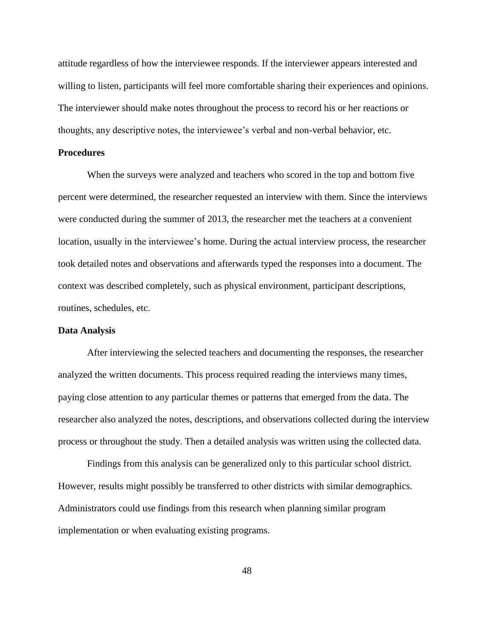attitude regardless of how the interviewee responds. If the interviewer appears interested and willing to listen, participants will feel more comfortable sharing their experiences and opinions. The interviewer should make notes throughout the process to record his or her reactions or thoughts, any descriptive notes, the interviewee's verbal and non-verbal behavior, etc.

### **Procedures**

When the surveys were analyzed and teachers who scored in the top and bottom five percent were determined, the researcher requested an interview with them. Since the interviews were conducted during the summer of 2013, the researcher met the teachers at a convenient location, usually in the interviewee's home. During the actual interview process, the researcher took detailed notes and observations and afterwards typed the responses into a document. The context was described completely, such as physical environment, participant descriptions, routines, schedules, etc.

### **Data Analysis**

After interviewing the selected teachers and documenting the responses, the researcher analyzed the written documents. This process required reading the interviews many times, paying close attention to any particular themes or patterns that emerged from the data. The researcher also analyzed the notes, descriptions, and observations collected during the interview process or throughout the study. Then a detailed analysis was written using the collected data.

Findings from this analysis can be generalized only to this particular school district. However, results might possibly be transferred to other districts with similar demographics. Administrators could use findings from this research when planning similar program implementation or when evaluating existing programs.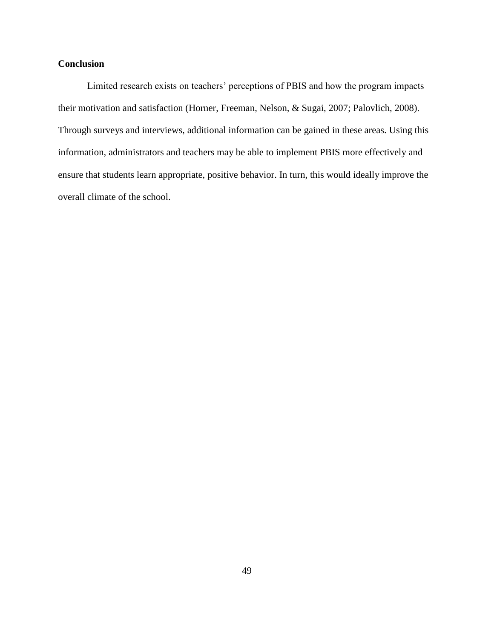# **Conclusion**

Limited research exists on teachers' perceptions of PBIS and how the program impacts their motivation and satisfaction (Horner, Freeman, Nelson, & Sugai, 2007; Palovlich, 2008). Through surveys and interviews, additional information can be gained in these areas. Using this information, administrators and teachers may be able to implement PBIS more effectively and ensure that students learn appropriate, positive behavior. In turn, this would ideally improve the overall climate of the school.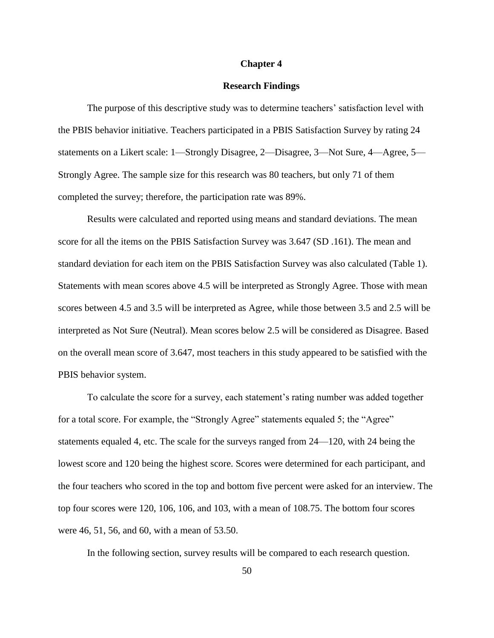#### **Chapter 4**

#### **Research Findings**

The purpose of this descriptive study was to determine teachers' satisfaction level with the PBIS behavior initiative. Teachers participated in a PBIS Satisfaction Survey by rating 24 statements on a Likert scale: 1—Strongly Disagree, 2—Disagree, 3—Not Sure, 4—Agree, 5— Strongly Agree. The sample size for this research was 80 teachers, but only 71 of them completed the survey; therefore, the participation rate was 89%.

Results were calculated and reported using means and standard deviations. The mean score for all the items on the PBIS Satisfaction Survey was 3.647 (SD .161). The mean and standard deviation for each item on the PBIS Satisfaction Survey was also calculated (Table 1). Statements with mean scores above 4.5 will be interpreted as Strongly Agree. Those with mean scores between 4.5 and 3.5 will be interpreted as Agree, while those between 3.5 and 2.5 will be interpreted as Not Sure (Neutral). Mean scores below 2.5 will be considered as Disagree. Based on the overall mean score of 3.647, most teachers in this study appeared to be satisfied with the PBIS behavior system.

To calculate the score for a survey, each statement's rating number was added together for a total score. For example, the "Strongly Agree" statements equaled 5; the "Agree" statements equaled 4, etc. The scale for the surveys ranged from 24—120, with 24 being the lowest score and 120 being the highest score. Scores were determined for each participant, and the four teachers who scored in the top and bottom five percent were asked for an interview. The top four scores were 120, 106, 106, and 103, with a mean of 108.75. The bottom four scores were 46, 51, 56, and 60, with a mean of 53.50.

In the following section, survey results will be compared to each research question.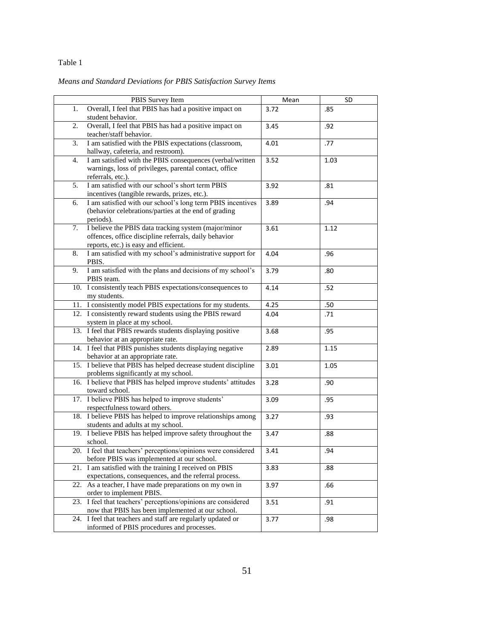## Table 1

# *Means and Standard Deviations for PBIS Satisfaction Survey Items*

|     | PBIS Survey Item                                                                                             | Mean | SD   |
|-----|--------------------------------------------------------------------------------------------------------------|------|------|
| 1.  | Overall, I feel that PBIS has had a positive impact on                                                       | 3.72 | .85  |
|     | student behavior.                                                                                            |      |      |
| 2.  | Overall, I feel that PBIS has had a positive impact on                                                       | 3.45 | .92  |
|     | teacher/staff behavior.                                                                                      |      |      |
| 3.  | I am satisfied with the PBIS expectations (classroom,                                                        | 4.01 | .77  |
|     | hallway, cafeteria, and restroom).                                                                           |      |      |
| 4.  | I am satisfied with the PBIS consequences (verbal/written                                                    | 3.52 | 1.03 |
|     | warnings, loss of privileges, parental contact, office                                                       |      |      |
|     | referrals, etc.).                                                                                            |      |      |
| 5.  | I am satisfied with our school's short term PBIS                                                             | 3.92 | .81  |
|     | incentives (tangible rewards, prizes, etc.).                                                                 |      |      |
| 6.  | I am satisfied with our school's long term PBIS incentives                                                   | 3.89 | .94  |
|     | (behavior celebrations/parties at the end of grading                                                         |      |      |
|     | periods).                                                                                                    |      |      |
| 7.  | I believe the PBIS data tracking system (major/minor                                                         | 3.61 | 1.12 |
|     | offences, office discipline referrals, daily behavior                                                        |      |      |
|     | reports, etc.) is easy and efficient.                                                                        |      |      |
| 8.  | I am satisfied with my school's administrative support for                                                   | 4.04 | .96  |
|     | PBIS.                                                                                                        |      |      |
| 9.  | I am satisfied with the plans and decisions of my school's                                                   | 3.79 | .80  |
|     | PBIS team.                                                                                                   |      |      |
|     | 10. I consistently teach PBIS expectations/consequences to                                                   | 4.14 | .52  |
|     | my students.                                                                                                 |      |      |
|     | 11. I consistently model PBIS expectations for my students.                                                  | 4.25 | .50  |
|     | 12. I consistently reward students using the PBIS reward                                                     | 4.04 | .71  |
|     | system in place at my school.                                                                                |      |      |
|     | 13. I feel that PBIS rewards students displaying positive                                                    | 3.68 | .95  |
|     | behavior at an appropriate rate.                                                                             |      |      |
|     | 14. I feel that PBIS punishes students displaying negative                                                   | 2.89 | 1.15 |
|     | behavior at an appropriate rate.                                                                             |      |      |
|     | 15. I believe that PBIS has helped decrease student discipline                                               | 3.01 | 1.05 |
|     | problems significantly at my school.                                                                         |      |      |
|     | 16. I believe that PBIS has helped improve students' attitudes                                               | 3.28 | .90  |
|     | toward school.                                                                                               |      |      |
|     | 17. I believe PBIS has helped to improve students'                                                           | 3.09 | .95  |
|     | respectfulness toward others.                                                                                |      |      |
|     | 18. I believe PBIS has helped to improve relationships among                                                 | 3.27 | .93  |
|     | students and adults at my school.                                                                            |      |      |
|     | 19. I believe PBIS has helped improve safety throughout the                                                  | 3.47 | .88  |
|     | school.                                                                                                      |      |      |
|     | 20. I feel that teachers' perceptions/opinions were considered<br>before PBIS was implemented at our school. | 3.41 | .94  |
|     | 21. I am satisfied with the training I received on PBIS                                                      |      |      |
|     | expectations, consequences, and the referral process.                                                        | 3.83 | .88  |
|     | As a teacher, I have made preparations on my own in                                                          |      |      |
| 22. |                                                                                                              | 3.97 | .66  |
|     | order to implement PBIS.<br>23. I feel that teachers' perceptions/opinions are considered                    |      |      |
|     | now that PBIS has been implemented at our school.                                                            | 3.51 | .91  |
|     | 24. I feel that teachers and staff are regularly updated or                                                  |      |      |
|     | informed of PBIS procedures and processes.                                                                   | 3.77 | .98  |
|     |                                                                                                              |      |      |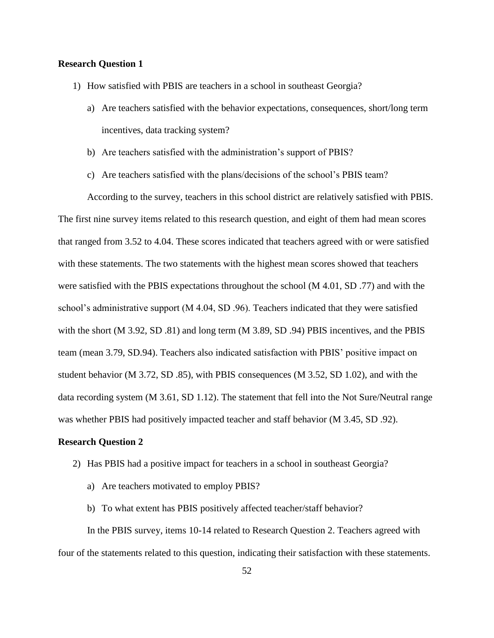## **Research Question 1**

- 1) How satisfied with PBIS are teachers in a school in southeast Georgia?
	- a) Are teachers satisfied with the behavior expectations, consequences, short/long term incentives, data tracking system?
	- b) Are teachers satisfied with the administration's support of PBIS?
	- c) Are teachers satisfied with the plans/decisions of the school's PBIS team?

According to the survey, teachers in this school district are relatively satisfied with PBIS. The first nine survey items related to this research question, and eight of them had mean scores that ranged from 3.52 to 4.04. These scores indicated that teachers agreed with or were satisfied with these statements. The two statements with the highest mean scores showed that teachers were satisfied with the PBIS expectations throughout the school (M 4.01, SD .77) and with the school's administrative support (M 4.04, SD .96). Teachers indicated that they were satisfied with the short (M 3.92, SD .81) and long term (M 3.89, SD .94) PBIS incentives, and the PBIS team (mean 3.79, SD.94). Teachers also indicated satisfaction with PBIS' positive impact on student behavior (M 3.72, SD .85), with PBIS consequences (M 3.52, SD 1.02), and with the data recording system (M 3.61, SD 1.12). The statement that fell into the Not Sure/Neutral range was whether PBIS had positively impacted teacher and staff behavior (M 3.45, SD .92).

#### **Research Question 2**

- 2) Has PBIS had a positive impact for teachers in a school in southeast Georgia?
	- a) Are teachers motivated to employ PBIS?
	- b) To what extent has PBIS positively affected teacher/staff behavior?

In the PBIS survey, items 10-14 related to Research Question 2. Teachers agreed with four of the statements related to this question, indicating their satisfaction with these statements.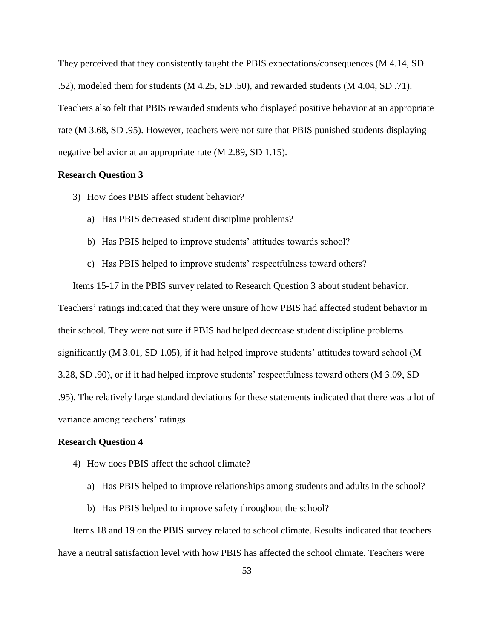They perceived that they consistently taught the PBIS expectations/consequences (M 4.14, SD .52), modeled them for students (M 4.25, SD .50), and rewarded students (M 4.04, SD .71). Teachers also felt that PBIS rewarded students who displayed positive behavior at an appropriate rate (M 3.68, SD .95). However, teachers were not sure that PBIS punished students displaying negative behavior at an appropriate rate (M 2.89, SD 1.15).

### **Research Question 3**

- 3) How does PBIS affect student behavior?
	- a) Has PBIS decreased student discipline problems?
	- b) Has PBIS helped to improve students' attitudes towards school?
	- c) Has PBIS helped to improve students' respectfulness toward others?

Items 15-17 in the PBIS survey related to Research Question 3 about student behavior. Teachers' ratings indicated that they were unsure of how PBIS had affected student behavior in their school. They were not sure if PBIS had helped decrease student discipline problems significantly (M 3.01, SD 1.05), if it had helped improve students' attitudes toward school (M 3.28, SD .90), or if it had helped improve students' respectfulness toward others (M 3.09, SD .95). The relatively large standard deviations for these statements indicated that there was a lot of variance among teachers' ratings.

#### **Research Question 4**

- 4) How does PBIS affect the school climate?
	- a) Has PBIS helped to improve relationships among students and adults in the school?
	- b) Has PBIS helped to improve safety throughout the school?

Items 18 and 19 on the PBIS survey related to school climate. Results indicated that teachers have a neutral satisfaction level with how PBIS has affected the school climate. Teachers were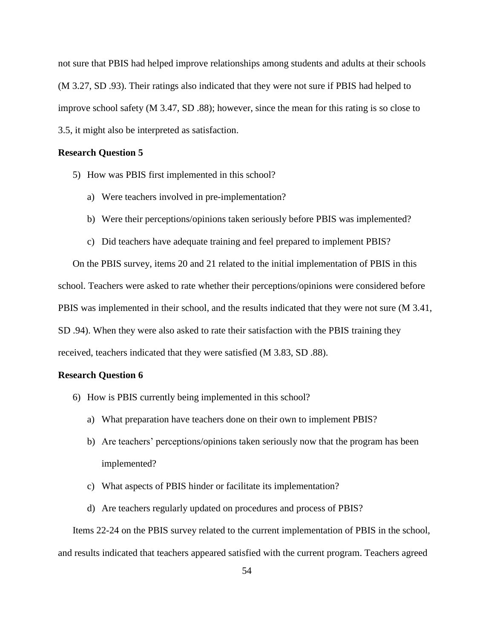not sure that PBIS had helped improve relationships among students and adults at their schools (M 3.27, SD .93). Their ratings also indicated that they were not sure if PBIS had helped to improve school safety (M 3.47, SD .88); however, since the mean for this rating is so close to 3.5, it might also be interpreted as satisfaction.

#### **Research Question 5**

- 5) How was PBIS first implemented in this school?
	- a) Were teachers involved in pre-implementation?
	- b) Were their perceptions/opinions taken seriously before PBIS was implemented?
	- c) Did teachers have adequate training and feel prepared to implement PBIS?

On the PBIS survey, items 20 and 21 related to the initial implementation of PBIS in this school. Teachers were asked to rate whether their perceptions/opinions were considered before PBIS was implemented in their school, and the results indicated that they were not sure (M 3.41, SD .94). When they were also asked to rate their satisfaction with the PBIS training they received, teachers indicated that they were satisfied (M 3.83, SD .88).

#### **Research Question 6**

- 6) How is PBIS currently being implemented in this school?
	- a) What preparation have teachers done on their own to implement PBIS?
	- b) Are teachers' perceptions/opinions taken seriously now that the program has been implemented?
	- c) What aspects of PBIS hinder or facilitate its implementation?
	- d) Are teachers regularly updated on procedures and process of PBIS?

Items 22-24 on the PBIS survey related to the current implementation of PBIS in the school, and results indicated that teachers appeared satisfied with the current program. Teachers agreed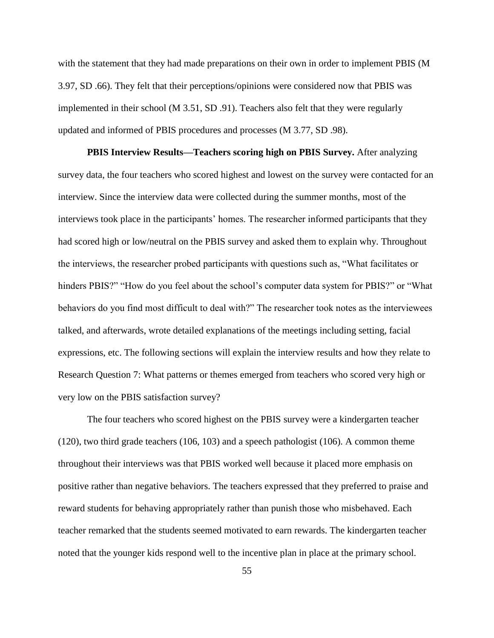with the statement that they had made preparations on their own in order to implement PBIS (M 3.97, SD .66). They felt that their perceptions/opinions were considered now that PBIS was implemented in their school (M 3.51, SD .91). Teachers also felt that they were regularly updated and informed of PBIS procedures and processes (M 3.77, SD .98).

**PBIS Interview Results—Teachers scoring high on PBIS Survey.** After analyzing survey data, the four teachers who scored highest and lowest on the survey were contacted for an interview. Since the interview data were collected during the summer months, most of the interviews took place in the participants' homes. The researcher informed participants that they had scored high or low/neutral on the PBIS survey and asked them to explain why. Throughout the interviews, the researcher probed participants with questions such as, "What facilitates or hinders PBIS?" "How do you feel about the school's computer data system for PBIS?" or "What behaviors do you find most difficult to deal with?" The researcher took notes as the interviewees talked, and afterwards, wrote detailed explanations of the meetings including setting, facial expressions, etc. The following sections will explain the interview results and how they relate to Research Question 7: What patterns or themes emerged from teachers who scored very high or very low on the PBIS satisfaction survey?

The four teachers who scored highest on the PBIS survey were a kindergarten teacher (120), two third grade teachers (106, 103) and a speech pathologist (106). A common theme throughout their interviews was that PBIS worked well because it placed more emphasis on positive rather than negative behaviors. The teachers expressed that they preferred to praise and reward students for behaving appropriately rather than punish those who misbehaved. Each teacher remarked that the students seemed motivated to earn rewards. The kindergarten teacher noted that the younger kids respond well to the incentive plan in place at the primary school.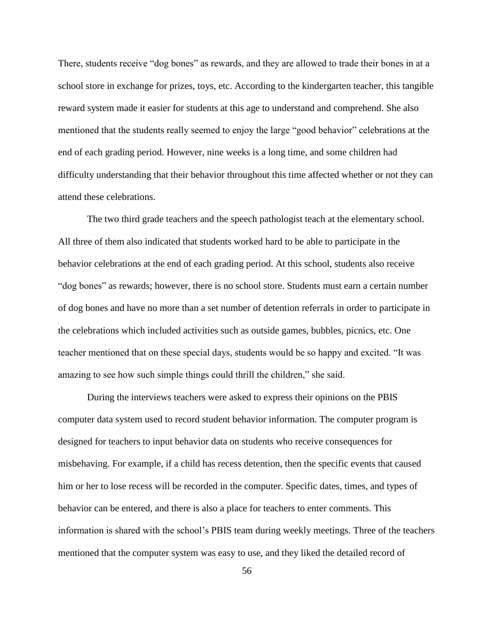There, students receive "dog bones" as rewards, and they are allowed to trade their bones in at a school store in exchange for prizes, toys, etc. According to the kindergarten teacher, this tangible reward system made it easier for students at this age to understand and comprehend. She also mentioned that the students really seemed to enjoy the large "good behavior" celebrations at the end of each grading period. However, nine weeks is a long time, and some children had difficulty understanding that their behavior throughout this time affected whether or not they can attend these celebrations.

The two third grade teachers and the speech pathologist teach at the elementary school. All three of them also indicated that students worked hard to be able to participate in the behavior celebrations at the end of each grading period. At this school, students also receive "dog bones" as rewards; however, there is no school store. Students must earn a certain number of dog bones and have no more than a set number of detention referrals in order to participate in the celebrations which included activities such as outside games, bubbles, picnics, etc. One teacher mentioned that on these special days, students would be so happy and excited. "It was amazing to see how such simple things could thrill the children," she said.

During the interviews teachers were asked to express their opinions on the PBIS computer data system used to record student behavior information. The computer program is designed for teachers to input behavior data on students who receive consequences for misbehaving. For example, if a child has recess detention, then the specific events that caused him or her to lose recess will be recorded in the computer. Specific dates, times, and types of behavior can be entered, and there is also a place for teachers to enter comments. This information is shared with the school's PBIS team during weekly meetings. Three of the teachers mentioned that the computer system was easy to use, and they liked the detailed record of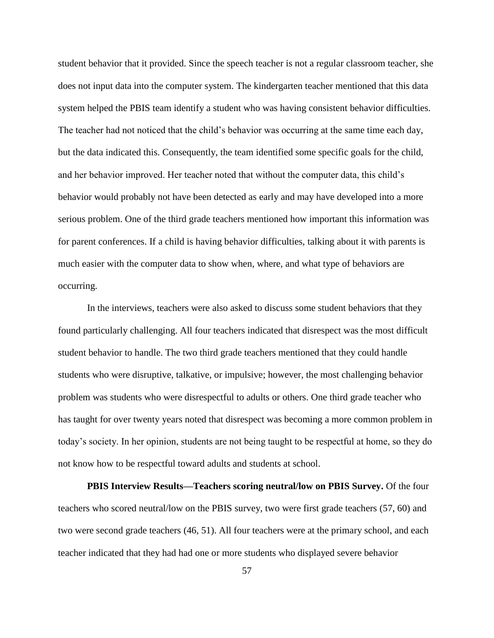student behavior that it provided. Since the speech teacher is not a regular classroom teacher, she does not input data into the computer system. The kindergarten teacher mentioned that this data system helped the PBIS team identify a student who was having consistent behavior difficulties. The teacher had not noticed that the child's behavior was occurring at the same time each day, but the data indicated this. Consequently, the team identified some specific goals for the child, and her behavior improved. Her teacher noted that without the computer data, this child's behavior would probably not have been detected as early and may have developed into a more serious problem. One of the third grade teachers mentioned how important this information was for parent conferences. If a child is having behavior difficulties, talking about it with parents is much easier with the computer data to show when, where, and what type of behaviors are occurring.

In the interviews, teachers were also asked to discuss some student behaviors that they found particularly challenging. All four teachers indicated that disrespect was the most difficult student behavior to handle. The two third grade teachers mentioned that they could handle students who were disruptive, talkative, or impulsive; however, the most challenging behavior problem was students who were disrespectful to adults or others. One third grade teacher who has taught for over twenty years noted that disrespect was becoming a more common problem in today's society. In her opinion, students are not being taught to be respectful at home, so they do not know how to be respectful toward adults and students at school.

**PBIS Interview Results—Teachers scoring neutral/low on PBIS Survey.** Of the four teachers who scored neutral/low on the PBIS survey, two were first grade teachers (57, 60) and two were second grade teachers (46, 51). All four teachers were at the primary school, and each teacher indicated that they had had one or more students who displayed severe behavior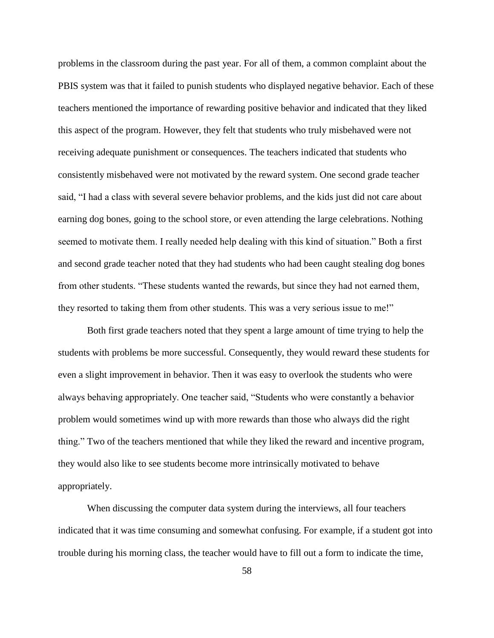problems in the classroom during the past year. For all of them, a common complaint about the PBIS system was that it failed to punish students who displayed negative behavior. Each of these teachers mentioned the importance of rewarding positive behavior and indicated that they liked this aspect of the program. However, they felt that students who truly misbehaved were not receiving adequate punishment or consequences. The teachers indicated that students who consistently misbehaved were not motivated by the reward system. One second grade teacher said, "I had a class with several severe behavior problems, and the kids just did not care about earning dog bones, going to the school store, or even attending the large celebrations. Nothing seemed to motivate them. I really needed help dealing with this kind of situation." Both a first and second grade teacher noted that they had students who had been caught stealing dog bones from other students. "These students wanted the rewards, but since they had not earned them, they resorted to taking them from other students. This was a very serious issue to me!"

Both first grade teachers noted that they spent a large amount of time trying to help the students with problems be more successful. Consequently, they would reward these students for even a slight improvement in behavior. Then it was easy to overlook the students who were always behaving appropriately. One teacher said, "Students who were constantly a behavior problem would sometimes wind up with more rewards than those who always did the right thing." Two of the teachers mentioned that while they liked the reward and incentive program, they would also like to see students become more intrinsically motivated to behave appropriately.

When discussing the computer data system during the interviews, all four teachers indicated that it was time consuming and somewhat confusing. For example, if a student got into trouble during his morning class, the teacher would have to fill out a form to indicate the time,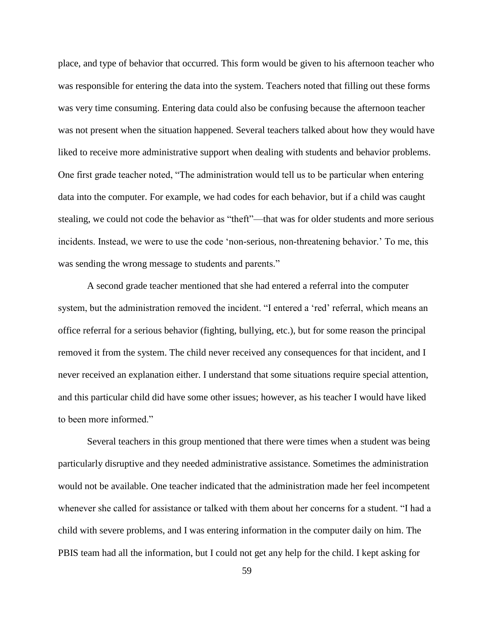place, and type of behavior that occurred. This form would be given to his afternoon teacher who was responsible for entering the data into the system. Teachers noted that filling out these forms was very time consuming. Entering data could also be confusing because the afternoon teacher was not present when the situation happened. Several teachers talked about how they would have liked to receive more administrative support when dealing with students and behavior problems. One first grade teacher noted, "The administration would tell us to be particular when entering data into the computer. For example, we had codes for each behavior, but if a child was caught stealing, we could not code the behavior as "theft"—that was for older students and more serious incidents. Instead, we were to use the code 'non-serious, non-threatening behavior.' To me, this was sending the wrong message to students and parents."

A second grade teacher mentioned that she had entered a referral into the computer system, but the administration removed the incident. "I entered a 'red' referral, which means an office referral for a serious behavior (fighting, bullying, etc.), but for some reason the principal removed it from the system. The child never received any consequences for that incident, and I never received an explanation either. I understand that some situations require special attention, and this particular child did have some other issues; however, as his teacher I would have liked to been more informed."

Several teachers in this group mentioned that there were times when a student was being particularly disruptive and they needed administrative assistance. Sometimes the administration would not be available. One teacher indicated that the administration made her feel incompetent whenever she called for assistance or talked with them about her concerns for a student. "I had a child with severe problems, and I was entering information in the computer daily on him. The PBIS team had all the information, but I could not get any help for the child. I kept asking for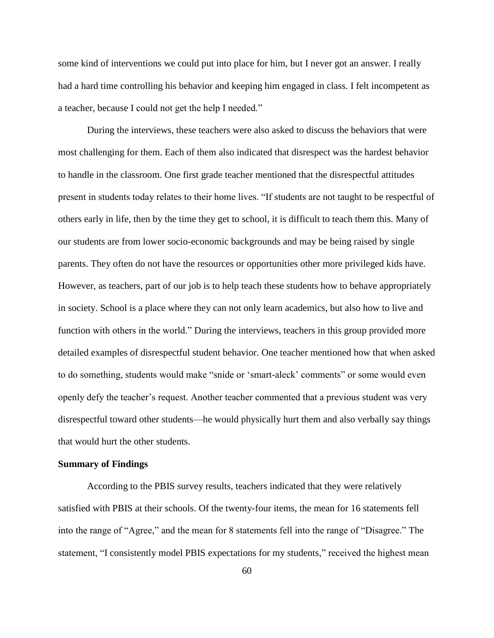some kind of interventions we could put into place for him, but I never got an answer. I really had a hard time controlling his behavior and keeping him engaged in class. I felt incompetent as a teacher, because I could not get the help I needed."

During the interviews, these teachers were also asked to discuss the behaviors that were most challenging for them. Each of them also indicated that disrespect was the hardest behavior to handle in the classroom. One first grade teacher mentioned that the disrespectful attitudes present in students today relates to their home lives. "If students are not taught to be respectful of others early in life, then by the time they get to school, it is difficult to teach them this. Many of our students are from lower socio-economic backgrounds and may be being raised by single parents. They often do not have the resources or opportunities other more privileged kids have. However, as teachers, part of our job is to help teach these students how to behave appropriately in society. School is a place where they can not only learn academics, but also how to live and function with others in the world." During the interviews, teachers in this group provided more detailed examples of disrespectful student behavior. One teacher mentioned how that when asked to do something, students would make "snide or 'smart-aleck' comments" or some would even openly defy the teacher's request. Another teacher commented that a previous student was very disrespectful toward other students—he would physically hurt them and also verbally say things that would hurt the other students.

#### **Summary of Findings**

According to the PBIS survey results, teachers indicated that they were relatively satisfied with PBIS at their schools. Of the twenty-four items, the mean for 16 statements fell into the range of "Agree," and the mean for 8 statements fell into the range of "Disagree." The statement, "I consistently model PBIS expectations for my students," received the highest mean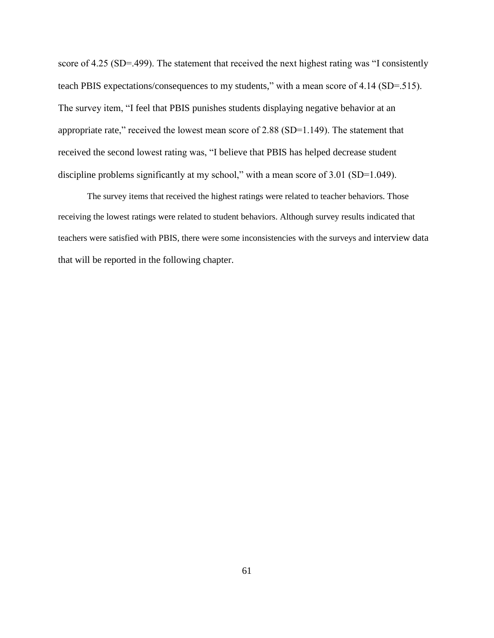score of 4.25 (SD=.499). The statement that received the next highest rating was "I consistently teach PBIS expectations/consequences to my students," with a mean score of 4.14 (SD=.515). The survey item, "I feel that PBIS punishes students displaying negative behavior at an appropriate rate," received the lowest mean score of 2.88 (SD=1.149). The statement that received the second lowest rating was, "I believe that PBIS has helped decrease student discipline problems significantly at my school," with a mean score of 3.01 (SD=1.049).

The survey items that received the highest ratings were related to teacher behaviors. Those receiving the lowest ratings were related to student behaviors. Although survey results indicated that teachers were satisfied with PBIS, there were some inconsistencies with the surveys and interview data that will be reported in the following chapter.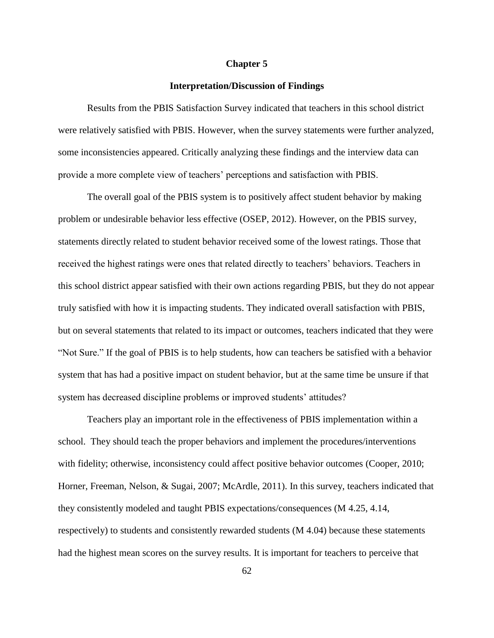#### **Chapter 5**

#### **Interpretation/Discussion of Findings**

Results from the PBIS Satisfaction Survey indicated that teachers in this school district were relatively satisfied with PBIS. However, when the survey statements were further analyzed, some inconsistencies appeared. Critically analyzing these findings and the interview data can provide a more complete view of teachers' perceptions and satisfaction with PBIS.

The overall goal of the PBIS system is to positively affect student behavior by making problem or undesirable behavior less effective (OSEP, 2012). However, on the PBIS survey, statements directly related to student behavior received some of the lowest ratings. Those that received the highest ratings were ones that related directly to teachers' behaviors. Teachers in this school district appear satisfied with their own actions regarding PBIS, but they do not appear truly satisfied with how it is impacting students. They indicated overall satisfaction with PBIS, but on several statements that related to its impact or outcomes, teachers indicated that they were "Not Sure." If the goal of PBIS is to help students, how can teachers be satisfied with a behavior system that has had a positive impact on student behavior, but at the same time be unsure if that system has decreased discipline problems or improved students' attitudes?

Teachers play an important role in the effectiveness of PBIS implementation within a school. They should teach the proper behaviors and implement the procedures/interventions with fidelity; otherwise, inconsistency could affect positive behavior outcomes (Cooper, 2010; Horner, Freeman, Nelson, & Sugai, 2007; McArdle, 2011). In this survey, teachers indicated that they consistently modeled and taught PBIS expectations/consequences (M 4.25, 4.14, respectively) to students and consistently rewarded students (M 4.04) because these statements had the highest mean scores on the survey results. It is important for teachers to perceive that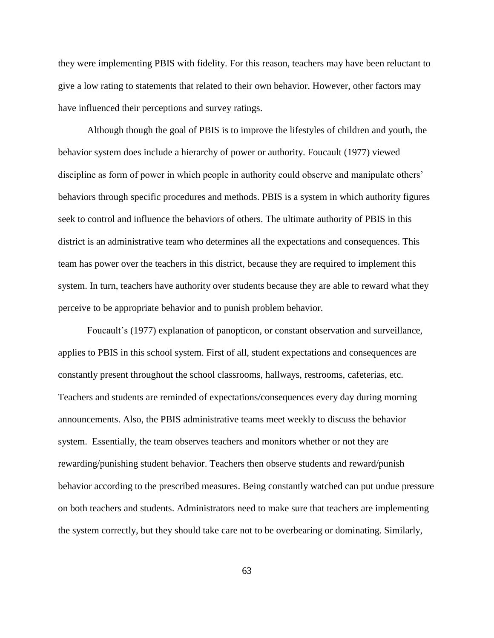they were implementing PBIS with fidelity. For this reason, teachers may have been reluctant to give a low rating to statements that related to their own behavior. However, other factors may have influenced their perceptions and survey ratings.

Although though the goal of PBIS is to improve the lifestyles of children and youth, the behavior system does include a hierarchy of power or authority. Foucault (1977) viewed discipline as form of power in which people in authority could observe and manipulate others' behaviors through specific procedures and methods. PBIS is a system in which authority figures seek to control and influence the behaviors of others. The ultimate authority of PBIS in this district is an administrative team who determines all the expectations and consequences. This team has power over the teachers in this district, because they are required to implement this system. In turn, teachers have authority over students because they are able to reward what they perceive to be appropriate behavior and to punish problem behavior.

Foucault's (1977) explanation of panopticon, or constant observation and surveillance, applies to PBIS in this school system. First of all, student expectations and consequences are constantly present throughout the school classrooms, hallways, restrooms, cafeterias, etc. Teachers and students are reminded of expectations/consequences every day during morning announcements. Also, the PBIS administrative teams meet weekly to discuss the behavior system. Essentially, the team observes teachers and monitors whether or not they are rewarding/punishing student behavior. Teachers then observe students and reward/punish behavior according to the prescribed measures. Being constantly watched can put undue pressure on both teachers and students. Administrators need to make sure that teachers are implementing the system correctly, but they should take care not to be overbearing or dominating. Similarly,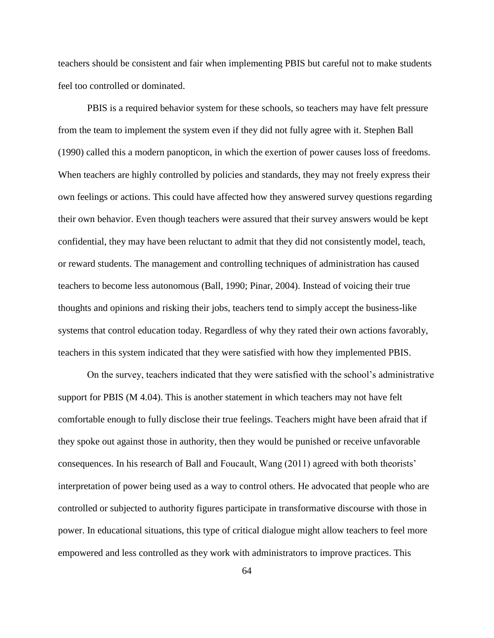teachers should be consistent and fair when implementing PBIS but careful not to make students feel too controlled or dominated.

PBIS is a required behavior system for these schools, so teachers may have felt pressure from the team to implement the system even if they did not fully agree with it. Stephen Ball (1990) called this a modern panopticon, in which the exertion of power causes loss of freedoms. When teachers are highly controlled by policies and standards, they may not freely express their own feelings or actions. This could have affected how they answered survey questions regarding their own behavior. Even though teachers were assured that their survey answers would be kept confidential, they may have been reluctant to admit that they did not consistently model, teach, or reward students. The management and controlling techniques of administration has caused teachers to become less autonomous (Ball, 1990; Pinar, 2004). Instead of voicing their true thoughts and opinions and risking their jobs, teachers tend to simply accept the business-like systems that control education today. Regardless of why they rated their own actions favorably, teachers in this system indicated that they were satisfied with how they implemented PBIS.

On the survey, teachers indicated that they were satisfied with the school's administrative support for PBIS (M 4.04). This is another statement in which teachers may not have felt comfortable enough to fully disclose their true feelings. Teachers might have been afraid that if they spoke out against those in authority, then they would be punished or receive unfavorable consequences. In his research of Ball and Foucault, Wang (2011) agreed with both theorists' interpretation of power being used as a way to control others. He advocated that people who are controlled or subjected to authority figures participate in transformative discourse with those in power. In educational situations, this type of critical dialogue might allow teachers to feel more empowered and less controlled as they work with administrators to improve practices. This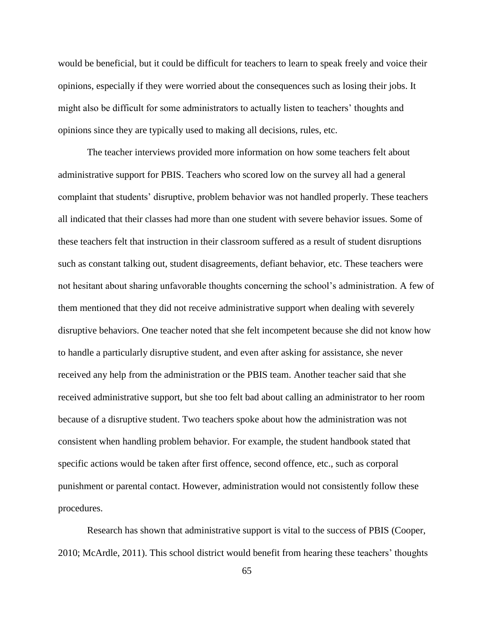would be beneficial, but it could be difficult for teachers to learn to speak freely and voice their opinions, especially if they were worried about the consequences such as losing their jobs. It might also be difficult for some administrators to actually listen to teachers' thoughts and opinions since they are typically used to making all decisions, rules, etc.

The teacher interviews provided more information on how some teachers felt about administrative support for PBIS. Teachers who scored low on the survey all had a general complaint that students' disruptive, problem behavior was not handled properly. These teachers all indicated that their classes had more than one student with severe behavior issues. Some of these teachers felt that instruction in their classroom suffered as a result of student disruptions such as constant talking out, student disagreements, defiant behavior, etc. These teachers were not hesitant about sharing unfavorable thoughts concerning the school's administration. A few of them mentioned that they did not receive administrative support when dealing with severely disruptive behaviors. One teacher noted that she felt incompetent because she did not know how to handle a particularly disruptive student, and even after asking for assistance, she never received any help from the administration or the PBIS team. Another teacher said that she received administrative support, but she too felt bad about calling an administrator to her room because of a disruptive student. Two teachers spoke about how the administration was not consistent when handling problem behavior. For example, the student handbook stated that specific actions would be taken after first offence, second offence, etc., such as corporal punishment or parental contact. However, administration would not consistently follow these procedures.

Research has shown that administrative support is vital to the success of PBIS (Cooper, 2010; McArdle, 2011). This school district would benefit from hearing these teachers' thoughts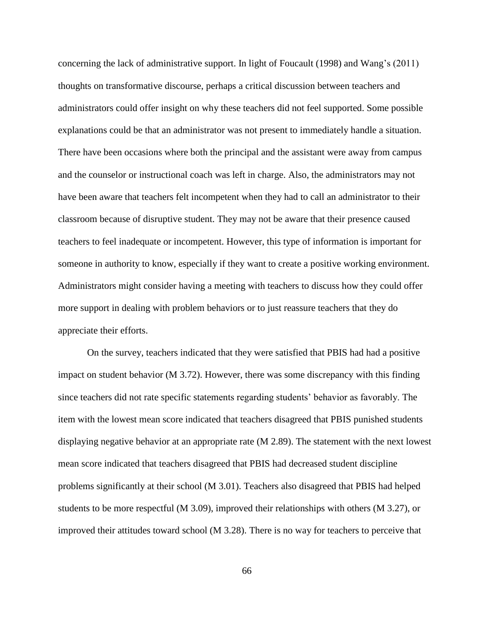concerning the lack of administrative support. In light of Foucault (1998) and Wang's (2011) thoughts on transformative discourse, perhaps a critical discussion between teachers and administrators could offer insight on why these teachers did not feel supported. Some possible explanations could be that an administrator was not present to immediately handle a situation. There have been occasions where both the principal and the assistant were away from campus and the counselor or instructional coach was left in charge. Also, the administrators may not have been aware that teachers felt incompetent when they had to call an administrator to their classroom because of disruptive student. They may not be aware that their presence caused teachers to feel inadequate or incompetent. However, this type of information is important for someone in authority to know, especially if they want to create a positive working environment. Administrators might consider having a meeting with teachers to discuss how they could offer more support in dealing with problem behaviors or to just reassure teachers that they do appreciate their efforts.

On the survey, teachers indicated that they were satisfied that PBIS had had a positive impact on student behavior (M 3.72). However, there was some discrepancy with this finding since teachers did not rate specific statements regarding students' behavior as favorably. The item with the lowest mean score indicated that teachers disagreed that PBIS punished students displaying negative behavior at an appropriate rate (M 2.89). The statement with the next lowest mean score indicated that teachers disagreed that PBIS had decreased student discipline problems significantly at their school (M 3.01). Teachers also disagreed that PBIS had helped students to be more respectful (M 3.09), improved their relationships with others (M 3.27), or improved their attitudes toward school (M 3.28). There is no way for teachers to perceive that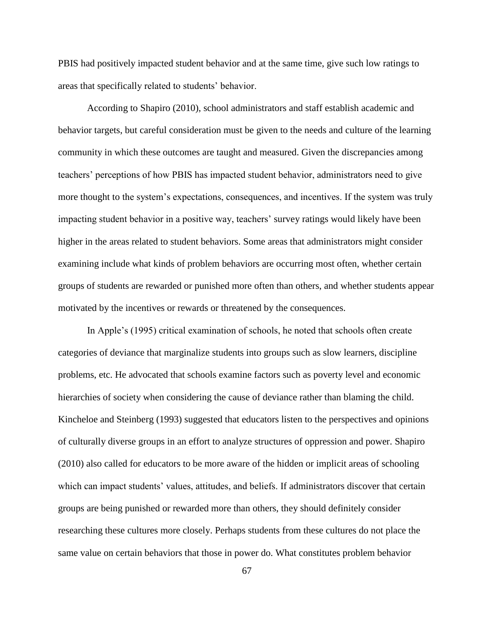PBIS had positively impacted student behavior and at the same time, give such low ratings to areas that specifically related to students' behavior.

According to Shapiro (2010), school administrators and staff establish academic and behavior targets, but careful consideration must be given to the needs and culture of the learning community in which these outcomes are taught and measured. Given the discrepancies among teachers' perceptions of how PBIS has impacted student behavior, administrators need to give more thought to the system's expectations, consequences, and incentives. If the system was truly impacting student behavior in a positive way, teachers' survey ratings would likely have been higher in the areas related to student behaviors. Some areas that administrators might consider examining include what kinds of problem behaviors are occurring most often, whether certain groups of students are rewarded or punished more often than others, and whether students appear motivated by the incentives or rewards or threatened by the consequences.

In Apple's (1995) critical examination of schools, he noted that schools often create categories of deviance that marginalize students into groups such as slow learners, discipline problems, etc. He advocated that schools examine factors such as poverty level and economic hierarchies of society when considering the cause of deviance rather than blaming the child. Kincheloe and Steinberg (1993) suggested that educators listen to the perspectives and opinions of culturally diverse groups in an effort to analyze structures of oppression and power. Shapiro (2010) also called for educators to be more aware of the hidden or implicit areas of schooling which can impact students' values, attitudes, and beliefs. If administrators discover that certain groups are being punished or rewarded more than others, they should definitely consider researching these cultures more closely. Perhaps students from these cultures do not place the same value on certain behaviors that those in power do. What constitutes problem behavior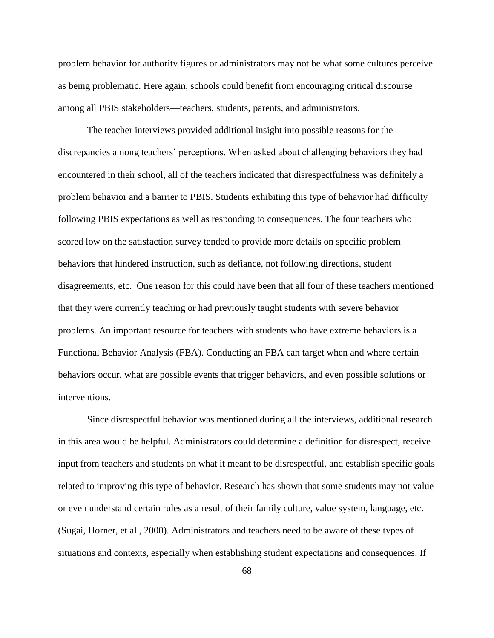problem behavior for authority figures or administrators may not be what some cultures perceive as being problematic. Here again, schools could benefit from encouraging critical discourse among all PBIS stakeholders—teachers, students, parents, and administrators.

The teacher interviews provided additional insight into possible reasons for the discrepancies among teachers' perceptions. When asked about challenging behaviors they had encountered in their school, all of the teachers indicated that disrespectfulness was definitely a problem behavior and a barrier to PBIS. Students exhibiting this type of behavior had difficulty following PBIS expectations as well as responding to consequences. The four teachers who scored low on the satisfaction survey tended to provide more details on specific problem behaviors that hindered instruction, such as defiance, not following directions, student disagreements, etc. One reason for this could have been that all four of these teachers mentioned that they were currently teaching or had previously taught students with severe behavior problems. An important resource for teachers with students who have extreme behaviors is a Functional Behavior Analysis (FBA). Conducting an FBA can target when and where certain behaviors occur, what are possible events that trigger behaviors, and even possible solutions or interventions.

Since disrespectful behavior was mentioned during all the interviews, additional research in this area would be helpful. Administrators could determine a definition for disrespect, receive input from teachers and students on what it meant to be disrespectful, and establish specific goals related to improving this type of behavior. Research has shown that some students may not value or even understand certain rules as a result of their family culture, value system, language, etc. (Sugai, Horner, et al., 2000). Administrators and teachers need to be aware of these types of situations and contexts, especially when establishing student expectations and consequences. If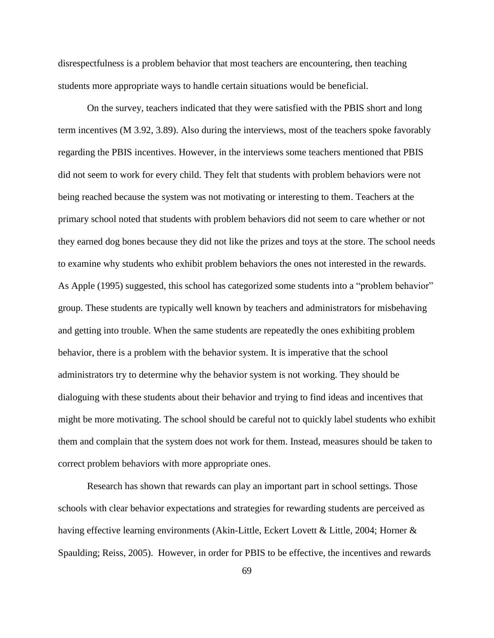disrespectfulness is a problem behavior that most teachers are encountering, then teaching students more appropriate ways to handle certain situations would be beneficial.

On the survey, teachers indicated that they were satisfied with the PBIS short and long term incentives (M 3.92, 3.89). Also during the interviews, most of the teachers spoke favorably regarding the PBIS incentives. However, in the interviews some teachers mentioned that PBIS did not seem to work for every child. They felt that students with problem behaviors were not being reached because the system was not motivating or interesting to them. Teachers at the primary school noted that students with problem behaviors did not seem to care whether or not they earned dog bones because they did not like the prizes and toys at the store. The school needs to examine why students who exhibit problem behaviors the ones not interested in the rewards. As Apple (1995) suggested, this school has categorized some students into a "problem behavior" group. These students are typically well known by teachers and administrators for misbehaving and getting into trouble. When the same students are repeatedly the ones exhibiting problem behavior, there is a problem with the behavior system. It is imperative that the school administrators try to determine why the behavior system is not working. They should be dialoguing with these students about their behavior and trying to find ideas and incentives that might be more motivating. The school should be careful not to quickly label students who exhibit them and complain that the system does not work for them. Instead, measures should be taken to correct problem behaviors with more appropriate ones.

Research has shown that rewards can play an important part in school settings. Those schools with clear behavior expectations and strategies for rewarding students are perceived as having effective learning environments (Akin-Little, Eckert Lovett & Little, 2004; Horner & Spaulding; Reiss, 2005). However, in order for PBIS to be effective, the incentives and rewards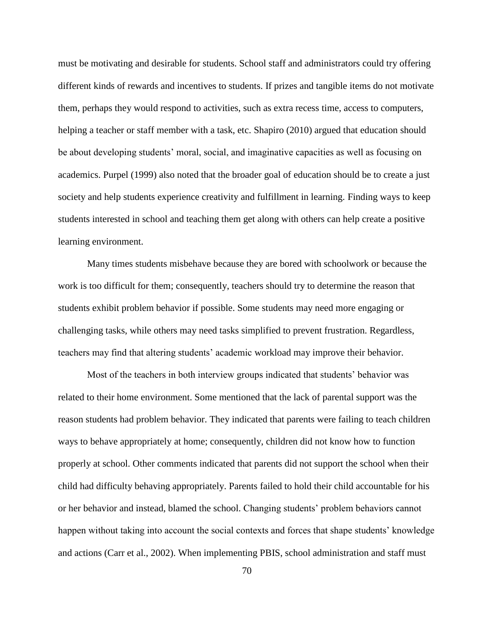must be motivating and desirable for students. School staff and administrators could try offering different kinds of rewards and incentives to students. If prizes and tangible items do not motivate them, perhaps they would respond to activities, such as extra recess time, access to computers, helping a teacher or staff member with a task, etc. Shapiro (2010) argued that education should be about developing students' moral, social, and imaginative capacities as well as focusing on academics. Purpel (1999) also noted that the broader goal of education should be to create a just society and help students experience creativity and fulfillment in learning. Finding ways to keep students interested in school and teaching them get along with others can help create a positive learning environment.

Many times students misbehave because they are bored with schoolwork or because the work is too difficult for them; consequently, teachers should try to determine the reason that students exhibit problem behavior if possible. Some students may need more engaging or challenging tasks, while others may need tasks simplified to prevent frustration. Regardless, teachers may find that altering students' academic workload may improve their behavior.

Most of the teachers in both interview groups indicated that students' behavior was related to their home environment. Some mentioned that the lack of parental support was the reason students had problem behavior. They indicated that parents were failing to teach children ways to behave appropriately at home; consequently, children did not know how to function properly at school. Other comments indicated that parents did not support the school when their child had difficulty behaving appropriately. Parents failed to hold their child accountable for his or her behavior and instead, blamed the school. Changing students' problem behaviors cannot happen without taking into account the social contexts and forces that shape students' knowledge and actions (Carr et al., 2002). When implementing PBIS, school administration and staff must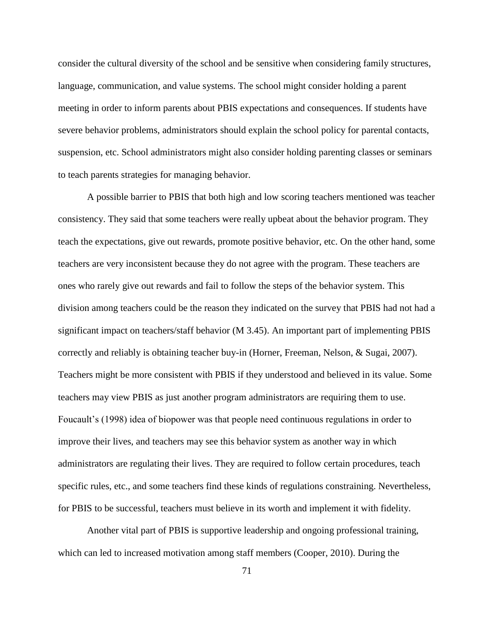consider the cultural diversity of the school and be sensitive when considering family structures, language, communication, and value systems. The school might consider holding a parent meeting in order to inform parents about PBIS expectations and consequences. If students have severe behavior problems, administrators should explain the school policy for parental contacts, suspension, etc. School administrators might also consider holding parenting classes or seminars to teach parents strategies for managing behavior.

A possible barrier to PBIS that both high and low scoring teachers mentioned was teacher consistency. They said that some teachers were really upbeat about the behavior program. They teach the expectations, give out rewards, promote positive behavior, etc. On the other hand, some teachers are very inconsistent because they do not agree with the program. These teachers are ones who rarely give out rewards and fail to follow the steps of the behavior system. This division among teachers could be the reason they indicated on the survey that PBIS had not had a significant impact on teachers/staff behavior (M 3.45). An important part of implementing PBIS correctly and reliably is obtaining teacher buy-in (Horner, Freeman, Nelson, & Sugai, 2007). Teachers might be more consistent with PBIS if they understood and believed in its value. Some teachers may view PBIS as just another program administrators are requiring them to use. Foucault's (1998) idea of biopower was that people need continuous regulations in order to improve their lives, and teachers may see this behavior system as another way in which administrators are regulating their lives. They are required to follow certain procedures, teach specific rules, etc., and some teachers find these kinds of regulations constraining. Nevertheless, for PBIS to be successful, teachers must believe in its worth and implement it with fidelity.

Another vital part of PBIS is supportive leadership and ongoing professional training, which can led to increased motivation among staff members (Cooper, 2010). During the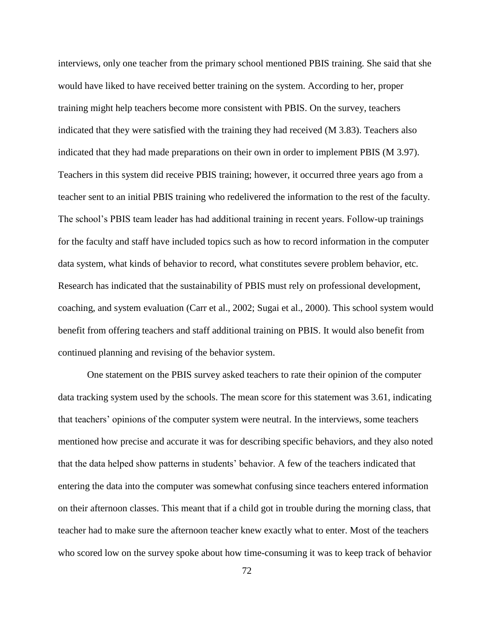interviews, only one teacher from the primary school mentioned PBIS training. She said that she would have liked to have received better training on the system. According to her, proper training might help teachers become more consistent with PBIS. On the survey, teachers indicated that they were satisfied with the training they had received (M 3.83). Teachers also indicated that they had made preparations on their own in order to implement PBIS (M 3.97). Teachers in this system did receive PBIS training; however, it occurred three years ago from a teacher sent to an initial PBIS training who redelivered the information to the rest of the faculty. The school's PBIS team leader has had additional training in recent years. Follow-up trainings for the faculty and staff have included topics such as how to record information in the computer data system, what kinds of behavior to record, what constitutes severe problem behavior, etc. Research has indicated that the sustainability of PBIS must rely on professional development, coaching, and system evaluation (Carr et al., 2002; Sugai et al., 2000). This school system would benefit from offering teachers and staff additional training on PBIS. It would also benefit from continued planning and revising of the behavior system.

One statement on the PBIS survey asked teachers to rate their opinion of the computer data tracking system used by the schools. The mean score for this statement was 3.61, indicating that teachers' opinions of the computer system were neutral. In the interviews, some teachers mentioned how precise and accurate it was for describing specific behaviors, and they also noted that the data helped show patterns in students' behavior. A few of the teachers indicated that entering the data into the computer was somewhat confusing since teachers entered information on their afternoon classes. This meant that if a child got in trouble during the morning class, that teacher had to make sure the afternoon teacher knew exactly what to enter. Most of the teachers who scored low on the survey spoke about how time-consuming it was to keep track of behavior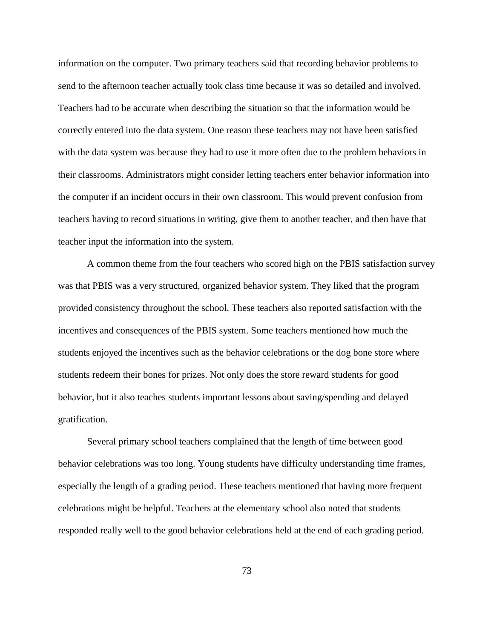information on the computer. Two primary teachers said that recording behavior problems to send to the afternoon teacher actually took class time because it was so detailed and involved. Teachers had to be accurate when describing the situation so that the information would be correctly entered into the data system. One reason these teachers may not have been satisfied with the data system was because they had to use it more often due to the problem behaviors in their classrooms. Administrators might consider letting teachers enter behavior information into the computer if an incident occurs in their own classroom. This would prevent confusion from teachers having to record situations in writing, give them to another teacher, and then have that teacher input the information into the system.

A common theme from the four teachers who scored high on the PBIS satisfaction survey was that PBIS was a very structured, organized behavior system. They liked that the program provided consistency throughout the school. These teachers also reported satisfaction with the incentives and consequences of the PBIS system. Some teachers mentioned how much the students enjoyed the incentives such as the behavior celebrations or the dog bone store where students redeem their bones for prizes. Not only does the store reward students for good behavior, but it also teaches students important lessons about saving/spending and delayed gratification.

Several primary school teachers complained that the length of time between good behavior celebrations was too long. Young students have difficulty understanding time frames, especially the length of a grading period. These teachers mentioned that having more frequent celebrations might be helpful. Teachers at the elementary school also noted that students responded really well to the good behavior celebrations held at the end of each grading period.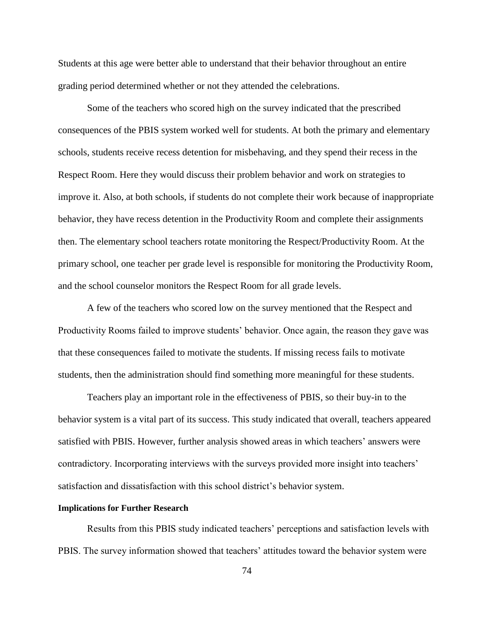Students at this age were better able to understand that their behavior throughout an entire grading period determined whether or not they attended the celebrations.

Some of the teachers who scored high on the survey indicated that the prescribed consequences of the PBIS system worked well for students. At both the primary and elementary schools, students receive recess detention for misbehaving, and they spend their recess in the Respect Room. Here they would discuss their problem behavior and work on strategies to improve it. Also, at both schools, if students do not complete their work because of inappropriate behavior, they have recess detention in the Productivity Room and complete their assignments then. The elementary school teachers rotate monitoring the Respect/Productivity Room. At the primary school, one teacher per grade level is responsible for monitoring the Productivity Room, and the school counselor monitors the Respect Room for all grade levels.

A few of the teachers who scored low on the survey mentioned that the Respect and Productivity Rooms failed to improve students' behavior. Once again, the reason they gave was that these consequences failed to motivate the students. If missing recess fails to motivate students, then the administration should find something more meaningful for these students.

Teachers play an important role in the effectiveness of PBIS, so their buy-in to the behavior system is a vital part of its success. This study indicated that overall, teachers appeared satisfied with PBIS. However, further analysis showed areas in which teachers' answers were contradictory. Incorporating interviews with the surveys provided more insight into teachers' satisfaction and dissatisfaction with this school district's behavior system.

#### **Implications for Further Research**

Results from this PBIS study indicated teachers' perceptions and satisfaction levels with PBIS. The survey information showed that teachers' attitudes toward the behavior system were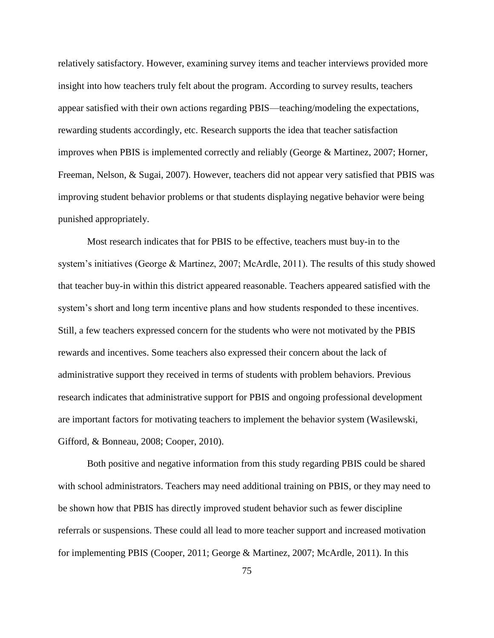relatively satisfactory. However, examining survey items and teacher interviews provided more insight into how teachers truly felt about the program. According to survey results, teachers appear satisfied with their own actions regarding PBIS—teaching/modeling the expectations, rewarding students accordingly, etc. Research supports the idea that teacher satisfaction improves when PBIS is implemented correctly and reliably (George & Martinez, 2007; Horner, Freeman, Nelson, & Sugai, 2007). However, teachers did not appear very satisfied that PBIS was improving student behavior problems or that students displaying negative behavior were being punished appropriately.

Most research indicates that for PBIS to be effective, teachers must buy-in to the system's initiatives (George  $\&$  Martinez, 2007; McArdle, 2011). The results of this study showed that teacher buy-in within this district appeared reasonable. Teachers appeared satisfied with the system's short and long term incentive plans and how students responded to these incentives. Still, a few teachers expressed concern for the students who were not motivated by the PBIS rewards and incentives. Some teachers also expressed their concern about the lack of administrative support they received in terms of students with problem behaviors. Previous research indicates that administrative support for PBIS and ongoing professional development are important factors for motivating teachers to implement the behavior system (Wasilewski, Gifford, & Bonneau, 2008; Cooper, 2010).

Both positive and negative information from this study regarding PBIS could be shared with school administrators. Teachers may need additional training on PBIS, or they may need to be shown how that PBIS has directly improved student behavior such as fewer discipline referrals or suspensions. These could all lead to more teacher support and increased motivation for implementing PBIS (Cooper, 2011; George & Martinez, 2007; McArdle, 2011). In this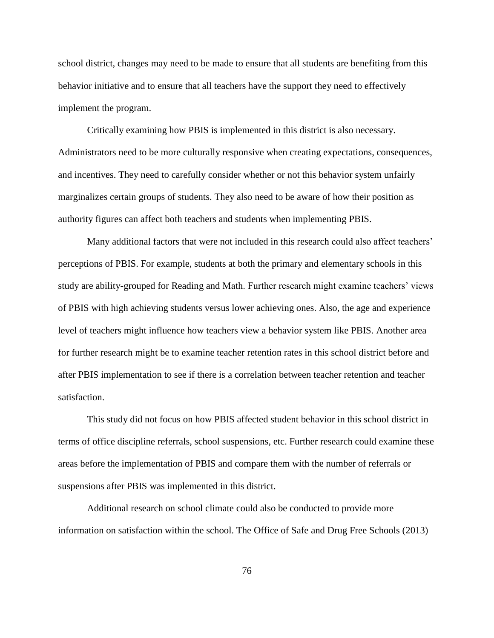school district, changes may need to be made to ensure that all students are benefiting from this behavior initiative and to ensure that all teachers have the support they need to effectively implement the program.

Critically examining how PBIS is implemented in this district is also necessary. Administrators need to be more culturally responsive when creating expectations, consequences, and incentives. They need to carefully consider whether or not this behavior system unfairly marginalizes certain groups of students. They also need to be aware of how their position as authority figures can affect both teachers and students when implementing PBIS.

Many additional factors that were not included in this research could also affect teachers' perceptions of PBIS. For example, students at both the primary and elementary schools in this study are ability-grouped for Reading and Math. Further research might examine teachers' views of PBIS with high achieving students versus lower achieving ones. Also, the age and experience level of teachers might influence how teachers view a behavior system like PBIS. Another area for further research might be to examine teacher retention rates in this school district before and after PBIS implementation to see if there is a correlation between teacher retention and teacher satisfaction.

This study did not focus on how PBIS affected student behavior in this school district in terms of office discipline referrals, school suspensions, etc. Further research could examine these areas before the implementation of PBIS and compare them with the number of referrals or suspensions after PBIS was implemented in this district.

Additional research on school climate could also be conducted to provide more information on satisfaction within the school. The Office of Safe and Drug Free Schools (2013)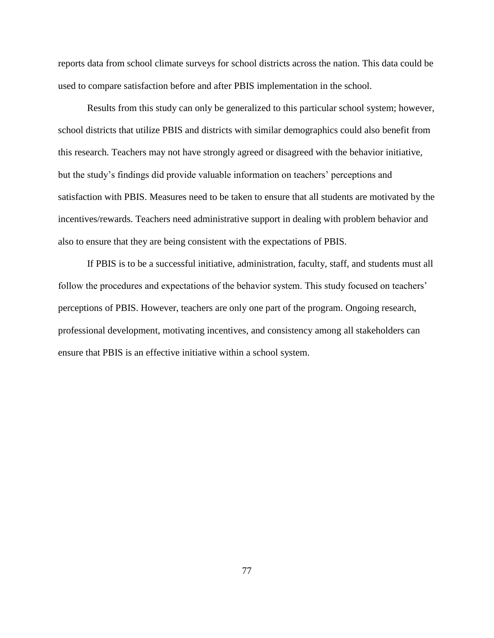reports data from school climate surveys for school districts across the nation. This data could be used to compare satisfaction before and after PBIS implementation in the school.

Results from this study can only be generalized to this particular school system; however, school districts that utilize PBIS and districts with similar demographics could also benefit from this research. Teachers may not have strongly agreed or disagreed with the behavior initiative, but the study's findings did provide valuable information on teachers' perceptions and satisfaction with PBIS. Measures need to be taken to ensure that all students are motivated by the incentives/rewards. Teachers need administrative support in dealing with problem behavior and also to ensure that they are being consistent with the expectations of PBIS.

If PBIS is to be a successful initiative, administration, faculty, staff, and students must all follow the procedures and expectations of the behavior system. This study focused on teachers' perceptions of PBIS. However, teachers are only one part of the program. Ongoing research, professional development, motivating incentives, and consistency among all stakeholders can ensure that PBIS is an effective initiative within a school system.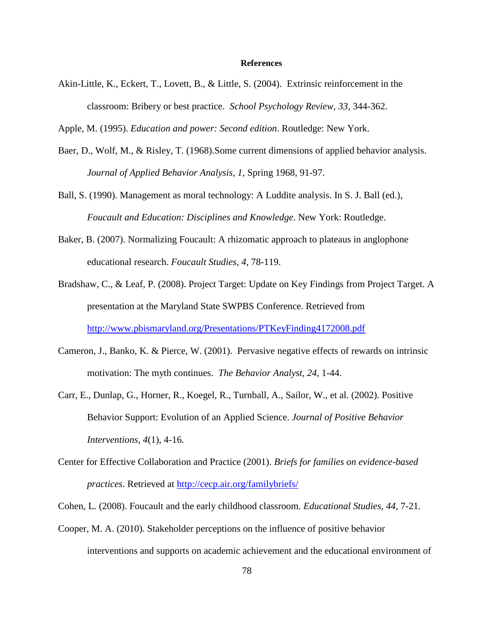#### **References**

Akin-Little, K., Eckert, T., Lovett, B., & Little, S. (2004). Extrinsic reinforcement in the classroom: Bribery or best practice. *School Psychology Review, 33,* 344-362.

Apple, M. (1995). *Education and power: Second edition*. Routledge: New York.

- Baer, D., Wolf, M., & Risley, T. (1968).Some current dimensions of applied behavior analysis. *Journal of Applied Behavior Analysis, 1*, Spring 1968, 91-97.
- Ball, S. (1990). Management as moral technology: A Luddite analysis. In S. J. Ball (ed.), *Foucault and Education: Disciplines and Knowledge*. New York: Routledge.
- Baker, B. (2007). Normalizing Foucault: A rhizomatic approach to plateaus in anglophone educational research. *Foucault Studies*, *4*, 78-119.
- Bradshaw, C., & Leaf, P. (2008). Project Target: Update on Key Findings from Project Target. A presentation at the Maryland State SWPBS Conference. Retrieved from <http://www.pbismaryland.org/Presentations/PTKeyFinding4172008.pdf>
- Cameron, J., Banko, K. & Pierce, W. (2001). Pervasive negative effects of rewards on intrinsic motivation: The myth continues. *The Behavior Analyst, 24,* 1-44.
- Carr, E., Dunlap, G., Horner, R., Koegel, R., Turnball, A., Sailor, W., et al. (2002). Positive Behavior Support: Evolution of an Applied Science. *Journal of Positive Behavior Interventions*, *4*(1), 4-16.
- Center for Effective Collaboration and Practice (2001). *Briefs for families on evidence-based practices*. Retrieved at<http://cecp.air.org/familybriefs/>

Cohen, L. (2008). Foucault and the early childhood classroom. *Educational Studies*, *44*, 7-21.

Cooper, M. A. (2010). Stakeholder perceptions on the influence of positive behavior interventions and supports on academic achievement and the educational environment of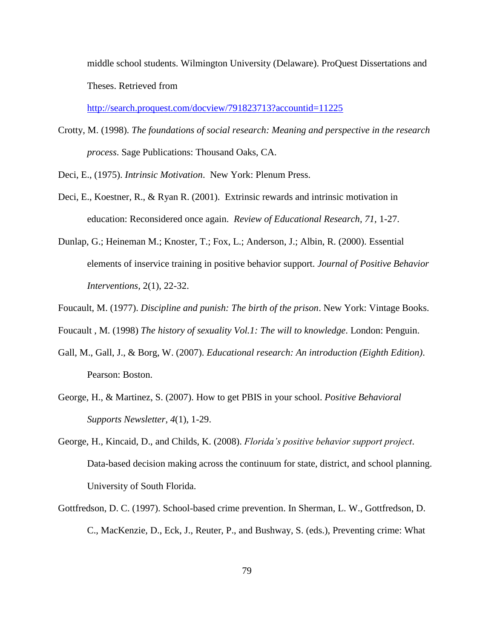middle school students. Wilmington University (Delaware). ProQuest Dissertations and Theses. Retrieved from

<http://search.proquest.com/docview/791823713?accountid=11225>

- Crotty, M. (1998). *The foundations of social research: Meaning and perspective in the research process*. Sage Publications: Thousand Oaks, CA.
- Deci, E., (1975). *Intrinsic Motivation*. New York: Plenum Press.
- Deci, E., Koestner, R., & Ryan R. (2001). Extrinsic rewards and intrinsic motivation in education: Reconsidered once again. *Review of Educational Research, 71,* 1-27.
- Dunlap, G.; Heineman M.; Knoster, T.; Fox, L.; Anderson, J.; Albin, R. (2000). Essential elements of inservice training in positive behavior support. *Journal of Positive Behavior Interventions,* 2(1), 22-32.
- Foucault, M. (1977). *Discipline and punish: The birth of the prison*. New York: Vintage Books.
- Foucault , M. (1998) *The history of sexuality Vol.1: The will to knowledge*. London: Penguin.
- Gall, M., Gall, J., & Borg, W. (2007). *Educational research: An introduction (Eighth Edition)*. Pearson: Boston.
- George, H., & Martinez, S. (2007). How to get PBIS in your school. *Positive Behavioral Supports Newsletter*, *4*(1), 1-29.
- George, H., Kincaid, D., and Childs, K. (2008). *Florida's positive behavior support project*. Data-based decision making across the continuum for state, district, and school planning. University of South Florida.
- Gottfredson, D. C. (1997). School-based crime prevention. In Sherman, L. W., Gottfredson, D. C., MacKenzie, D., Eck, J., Reuter, P., and Bushway, S. (eds.), Preventing crime: What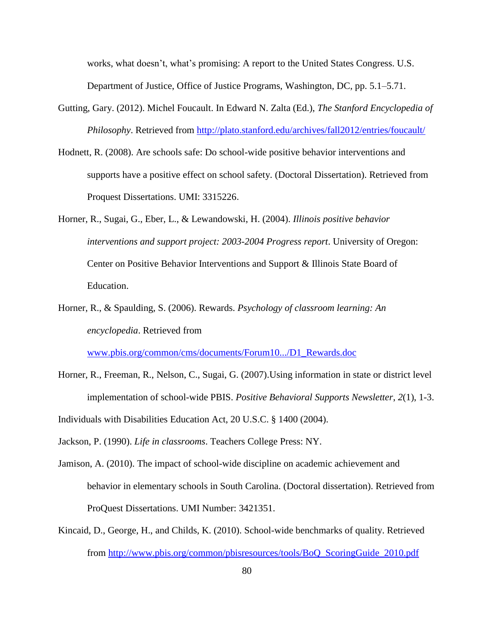works, what doesn't, what's promising: A report to the United States Congress. U.S. Department of Justice, Office of Justice Programs, Washington, DC, pp. 5.1–5.71.

- Gutting, Gary. (2012). Michel Foucault. In Edward N. Zalta (Ed.), *The Stanford Encyclopedia of Philosophy*. Retrieved from<http://plato.stanford.edu/archives/fall2012/entries/foucault/>
- Hodnett, R. (2008). Are schools safe: Do school-wide positive behavior interventions and supports have a positive effect on school safety. (Doctoral Dissertation). Retrieved from Proquest Dissertations. UMI: 3315226.
- Horner, R., Sugai, G., Eber, L., & Lewandowski, H. (2004). *Illinois positive behavior interventions and support project: 2003-2004 Progress report*. University of Oregon: Center on Positive Behavior Interventions and Support & Illinois State Board of Education.
- Horner, R., & Spaulding, S. (2006). Rewards. *Psychology of classroom learning: An encyclopedia*. Retrieved from

[www.pbis.org/common/cms/documents/Forum10.../D1\\_Rewards.doc](http://www.pbis.org/common/cms/documents/Forum10.../D1_Rewards.doc)

Horner, R., Freeman, R., Nelson, C., Sugai, G. (2007).Using information in state or district level implementation of school-wide PBIS. *Positive Behavioral Supports Newsletter*, *2*(1), 1-3.

Individuals with Disabilities Education Act, 20 U.S.C. § 1400 (2004).

Jackson, P. (1990). *Life in classrooms*. Teachers College Press: NY.

- Jamison, A. (2010). The impact of school-wide discipline on academic achievement and behavior in elementary schools in South Carolina. (Doctoral dissertation). Retrieved from ProQuest Dissertations. UMI Number: 3421351.
- Kincaid, D., George, H., and Childs, K. (2010). School-wide benchmarks of quality. Retrieved from [http://www.pbis.org/common/pbisresources/tools/BoQ\\_ScoringGuide\\_2010.pdf](http://www.pbis.org/common/pbisresources/tools/BoQ_ScoringGuide_2010.pdf)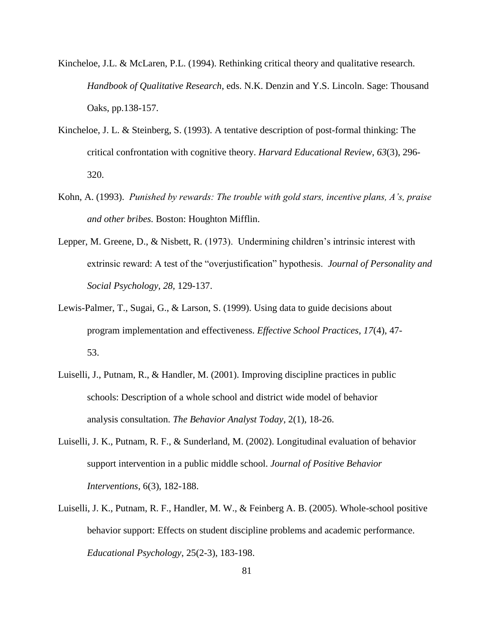- Kincheloe, J.L. & McLaren, P.L. (1994). Rethinking critical theory and qualitative research. *Handbook of Qualitative Research*, eds. N.K. Denzin and Y.S. Lincoln. Sage: Thousand Oaks, pp.138-157.
- Kincheloe, J. L. & Steinberg, S. (1993). A tentative description of post-formal thinking: The critical confrontation with cognitive theory. *Harvard Educational Review*, *63*(3), 296- 320.
- Kohn, A. (1993). *Punished by rewards: The trouble with gold stars, incentive plans, A's, praise and other bribes.* Boston: Houghton Mifflin.
- Lepper, M. Greene, D., & Nisbett, R. (1973). Undermining children's intrinsic interest with extrinsic reward: A test of the "overjustification" hypothesis. *Journal of Personality and Social Psychology, 28,* 129-137.
- Lewis-Palmer, T., Sugai, G., & Larson, S. (1999). Using data to guide decisions about program implementation and effectiveness. *Effective School Practices, 17*(4), 47- 53.
- Luiselli, J., Putnam, R., & Handler, M. (2001). Improving discipline practices in public schools: Description of a whole school and district wide model of behavior analysis consultation. *The Behavior Analyst Today*, 2(1), 18-26.
- Luiselli, J. K., Putnam, R. F., & Sunderland, M. (2002). Longitudinal evaluation of behavior support intervention in a public middle school. *Journal of Positive Behavior Interventions*, 6(3), 182-188.
- Luiselli, J. K., Putnam, R. F., Handler, M. W., & Feinberg A. B. (2005). Whole-school positive behavior support: Effects on student discipline problems and academic performance. *Educational Psychology*, 25(2-3), 183-198.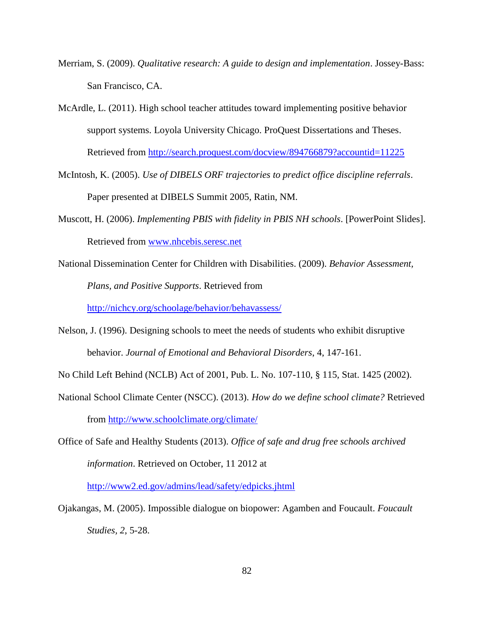- Merriam, S. (2009). *Qualitative research: A guide to design and implementation*. Jossey-Bass: San Francisco, CA.
- McArdle, L. (2011). High school teacher attitudes toward implementing positive behavior support systems. Loyola University Chicago. ProQuest Dissertations and Theses. Retrieved from<http://search.proquest.com/docview/894766879?accountid=11225>
- McIntosh, K. (2005). *Use of DIBELS ORF trajectories to predict office discipline referrals*. Paper presented at DIBELS Summit 2005, Ratin, NM.
- Muscott, H. (2006). *Implementing PBIS with fidelity in PBIS NH schools*. [PowerPoint Slides]. Retrieved from [www.nhcebis.seresc.net](http://www.nhcebis.seresc.net/)
- National Dissemination Center for Children with Disabilities. (2009). *Behavior Assessment, Plans, and Positive Supports*. Retrieved from

<http://nichcy.org/schoolage/behavior/behavassess/>

- Nelson, J. (1996). Designing schools to meet the needs of students who exhibit disruptive behavior. *Journal of Emotional and Behavioral Disorders*, 4, 147-161.
- No Child Left Behind (NCLB) Act of 2001, Pub. L. No. 107-110, § 115, Stat. 1425 (2002).
- National School Climate Center (NSCC). (2013). *How do we define school climate?* Retrieved from <http://www.schoolclimate.org/climate/>
- Office of Safe and Healthy Students (2013). *Office of safe and drug free schools archived information*. Retrieved on October, 11 2012 at

<http://www2.ed.gov/admins/lead/safety/edpicks.jhtml>

Ojakangas, M. (2005). Impossible dialogue on biopower: Agamben and Foucault. *Foucault Studies, 2*, 5-28.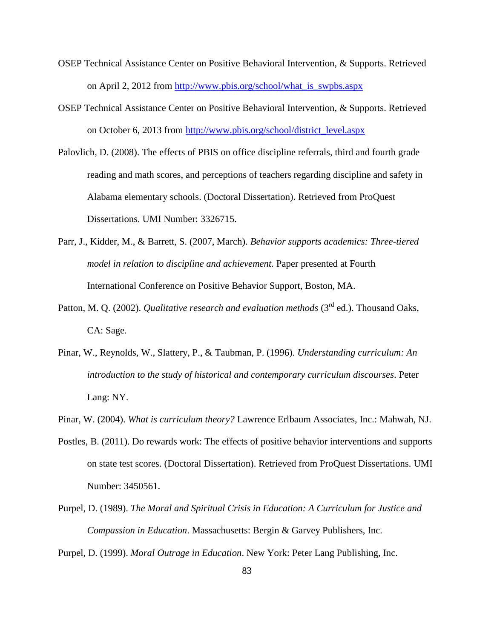- OSEP Technical Assistance Center on Positive Behavioral Intervention, & Supports. Retrieved on April 2, 2012 from [http://www.pbis.org/school/what\\_is\\_swpbs.aspx](http://www.pbis.org/school/what_is_swpbs.aspx)
- OSEP Technical Assistance Center on Positive Behavioral Intervention, & Supports. Retrieved on October 6, 2013 from [http://www.pbis.org/school/district\\_level.aspx](http://www.pbis.org/school/district_level.aspx)
- Palovlich, D. (2008). The effects of PBIS on office discipline referrals, third and fourth grade reading and math scores, and perceptions of teachers regarding discipline and safety in Alabama elementary schools. (Doctoral Dissertation). Retrieved from ProQuest Dissertations. UMI Number: 3326715.
- Parr, J., Kidder, M., & Barrett, S. (2007, March). *Behavior supports academics: Three-tiered model in relation to discipline and achievement.* Paper presented at Fourth International Conference on Positive Behavior Support, Boston, MA.
- Patton, M. O. (2002). *Qualitative research and evaluation methods* (3<sup>rd</sup> ed.). Thousand Oaks, CA: Sage.
- Pinar, W., Reynolds, W., Slattery, P., & Taubman, P. (1996). *Understanding curriculum: An introduction to the study of historical and contemporary curriculum discourses*. Peter Lang: NY.
- Pinar, W. (2004). *What is curriculum theory?* Lawrence Erlbaum Associates, Inc.: Mahwah, NJ.
- Postles, B. (2011). Do rewards work: The effects of positive behavior interventions and supports on state test scores. (Doctoral Dissertation). Retrieved from ProQuest Dissertations. UMI Number: 3450561.
- Purpel, D. (1989). *The Moral and Spiritual Crisis in Education: A Curriculum for Justice and Compassion in Education*. Massachusetts: Bergin & Garvey Publishers, Inc.

Purpel, D. (1999). *Moral Outrage in Education*. New York: Peter Lang Publishing, Inc.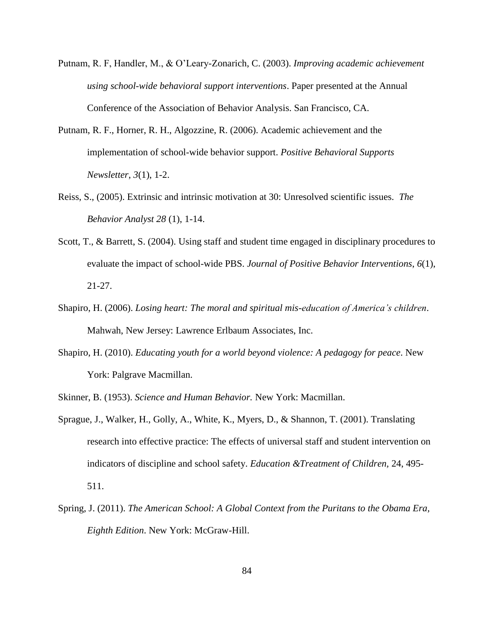- Putnam, R. F, Handler, M., & O'Leary-Zonarich, C. (2003). *Improving academic achievement using school-wide behavioral support interventions*. Paper presented at the Annual Conference of the Association of Behavior Analysis. San Francisco, CA.
- Putnam, R. F., Horner, R. H., Algozzine, R. (2006). Academic achievement and the implementation of school-wide behavior support. *Positive Behavioral Supports Newsletter*, *3*(1), 1-2.
- Reiss, S., (2005). Extrinsic and intrinsic motivation at 30: Unresolved scientific issues. *The Behavior Analyst 28* (1), 1-14.
- Scott, T., & Barrett, S. (2004). Using staff and student time engaged in disciplinary procedures to evaluate the impact of school-wide PBS. *Journal of Positive Behavior Interventions*, *6*(1), 21-27.
- Shapiro, H. (2006). *Losing heart: The moral and spiritual mis-education of America's children*. Mahwah, New Jersey: Lawrence Erlbaum Associates, Inc.
- Shapiro, H. (2010). *Educating youth for a world beyond violence: A pedagogy for peace*. New York: Palgrave Macmillan.
- Skinner, B. (1953). *Science and Human Behavior.* New York: Macmillan.
- Sprague, J., Walker, H., Golly, A., White, K., Myers, D., & Shannon, T. (2001). Translating research into effective practice: The effects of universal staff and student intervention on indicators of discipline and school safety. *Education &Treatment of Children,* 24, 495- 511.
- Spring, J. (2011). *The American School: A Global Context from the Puritans to the Obama Era, Eighth Edition*. New York: McGraw-Hill.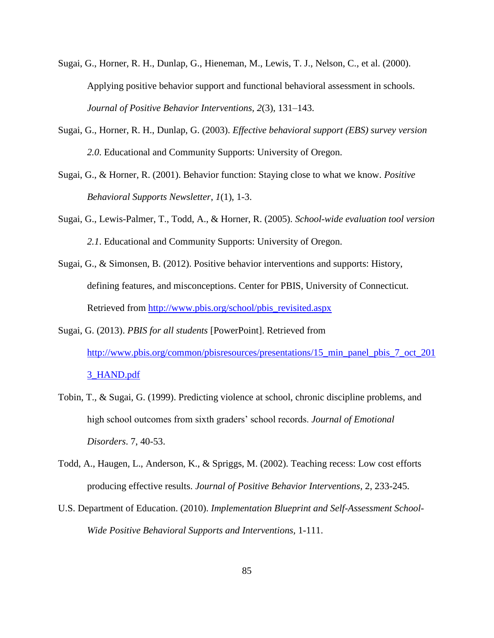- Sugai, G., Horner, R. H., Dunlap, G., Hieneman, M., Lewis, T. J., Nelson, C., et al. (2000). Applying positive behavior support and functional behavioral assessment in schools. *Journal of Positive Behavior Interventions, 2*(3), 131–143.
- Sugai, G., Horner, R. H., Dunlap, G. (2003). *Effective behavioral support (EBS) survey version 2.0*. Educational and Community Supports: University of Oregon.
- Sugai, G., & Horner, R. (2001). Behavior function: Staying close to what we know. *Positive Behavioral Supports Newsletter*, *1*(1), 1-3.
- Sugai, G., Lewis-Palmer, T., Todd, A., & Horner, R. (2005). *School-wide evaluation tool version 2.1*. Educational and Community Supports: University of Oregon.
- Sugai, G., & Simonsen, B. (2012). Positive behavior interventions and supports: History, defining features, and misconceptions. Center for PBIS, University of Connecticut. Retrieved from [http://www.pbis.org/school/pbis\\_revisited.aspx](http://www.pbis.org/school/pbis_revisited.aspx)
- Sugai, G. (2013). *PBIS for all students* [PowerPoint]. Retrieved from http://www.pbis.org/common/pbisresources/presentations/15 min\_panel\_pbis\_7\_oct\_201 [3\\_HAND.pdf](http://www.pbis.org/common/pbisresources/presentations/15_min_panel_pbis_7_oct_2013_HAND.pdf)
- Tobin, T., & Sugai, G. (1999). Predicting violence at school, chronic discipline problems, and high school outcomes from sixth graders' school records. *Journal of Emotional Disorders*. 7, 40-53.
- Todd, A., Haugen, L., Anderson, K., & Spriggs, M. (2002). Teaching recess: Low cost efforts producing effective results. *Journal of Positive Behavior Interventions*, 2, 233-245.
- U.S. Department of Education. (2010). *Implementation Blueprint and Self-Assessment School-Wide Positive Behavioral Supports and Interventions,* 1-111.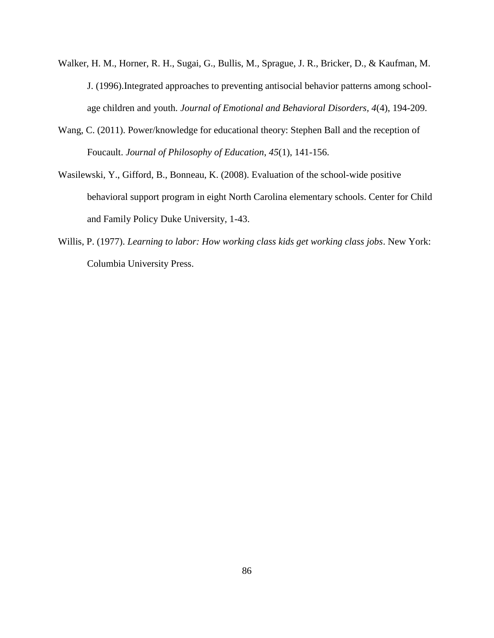- Walker, H. M., Horner, R. H., Sugai, G., Bullis, M., Sprague, J. R., Bricker, D., & Kaufman, M. J. (1996).Integrated approaches to preventing antisocial behavior patterns among schoolage children and youth. *Journal of Emotional and Behavioral Disorders, 4*(4), 194-209.
- Wang, C. (2011). Power/knowledge for educational theory: Stephen Ball and the reception of Foucault. *Journal of Philosophy of Education*, *45*(1), 141-156.
- Wasilewski, Y., Gifford, B., Bonneau, K. (2008). Evaluation of the school-wide positive behavioral support program in eight North Carolina elementary schools. Center for Child and Family Policy Duke University, 1-43.
- Willis, P. (1977). *Learning to labor: How working class kids get working class jobs*. New York: Columbia University Press.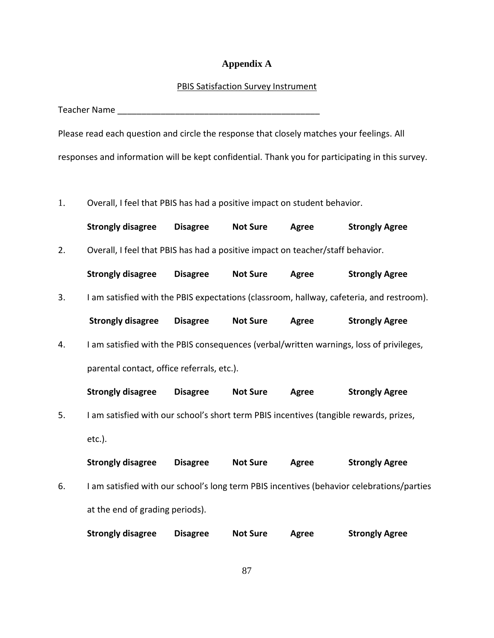# **Appendix A**

#### PBIS Satisfaction Survey Instrument

Teacher Name \_\_\_\_\_\_\_\_\_\_\_\_\_\_\_\_\_\_\_\_\_\_\_\_\_\_\_\_\_\_\_\_\_\_\_\_\_\_\_\_\_\_

Please read each question and circle the response that closely matches your feelings. All responses and information will be kept confidential. Thank you for participating in this survey.

1. Overall, I feel that PBIS has had a positive impact on student behavior.

|    | <b>Strongly disagree</b>                                                                | <b>Disagree</b> | <b>Not Sure</b> | Agree | <b>Strongly Agree</b>                                                                     |
|----|-----------------------------------------------------------------------------------------|-----------------|-----------------|-------|-------------------------------------------------------------------------------------------|
| 2. | Overall, I feel that PBIS has had a positive impact on teacher/staff behavior.          |                 |                 |       |                                                                                           |
|    | <b>Strongly disagree</b>                                                                | <b>Disagree</b> | <b>Not Sure</b> | Agree | <b>Strongly Agree</b>                                                                     |
| 3. |                                                                                         |                 |                 |       | I am satisfied with the PBIS expectations (classroom, hallway, cafeteria, and restroom).  |
|    | <b>Strongly disagree</b>                                                                | <b>Disagree</b> | <b>Not Sure</b> | Agree | <b>Strongly Agree</b>                                                                     |
| 4. | I am satisfied with the PBIS consequences (verbal/written warnings, loss of privileges, |                 |                 |       |                                                                                           |
|    | parental contact, office referrals, etc.).                                              |                 |                 |       |                                                                                           |
|    | <b>Strongly disagree</b>                                                                | <b>Disagree</b> | <b>Not Sure</b> | Agree | <b>Strongly Agree</b>                                                                     |
| 5. | I am satisfied with our school's short term PBIS incentives (tangible rewards, prizes,  |                 |                 |       |                                                                                           |
|    | $etc.$ ).                                                                               |                 |                 |       |                                                                                           |
|    | <b>Strongly disagree</b>                                                                | <b>Disagree</b> | <b>Not Sure</b> | Agree | <b>Strongly Agree</b>                                                                     |
|    |                                                                                         |                 |                 |       |                                                                                           |
| 6. |                                                                                         |                 |                 |       | I am satisfied with our school's long term PBIS incentives (behavior celebrations/parties |
|    | at the end of grading periods).                                                         |                 |                 |       |                                                                                           |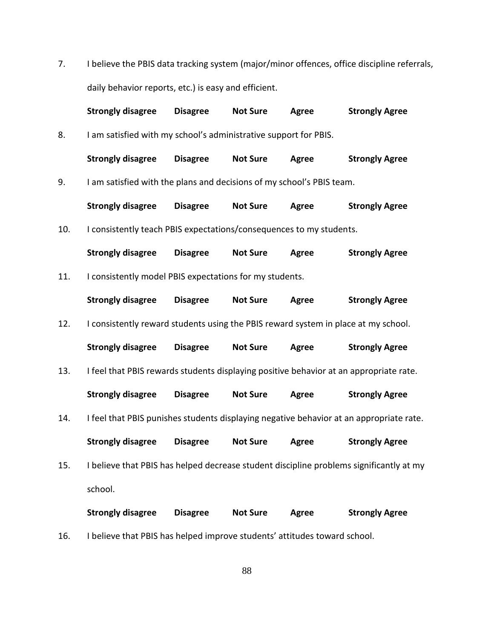7. I believe the PBIS data tracking system (major/minor offences, office discipline referrals, daily behavior reports, etc.) is easy and efficient.

|     | <b>Strongly disagree</b>                                                                | <b>Disagree</b> | <b>Not Sure</b> | Agree        | <b>Strongly Agree</b> |
|-----|-----------------------------------------------------------------------------------------|-----------------|-----------------|--------------|-----------------------|
| 8.  | I am satisfied with my school's administrative support for PBIS.                        |                 |                 |              |                       |
|     | <b>Strongly disagree</b>                                                                | <b>Disagree</b> | <b>Not Sure</b> | Agree        | <b>Strongly Agree</b> |
| 9.  | I am satisfied with the plans and decisions of my school's PBIS team.                   |                 |                 |              |                       |
|     | <b>Strongly disagree</b>                                                                | <b>Disagree</b> | <b>Not Sure</b> | Agree        | <b>Strongly Agree</b> |
| 10. | I consistently teach PBIS expectations/consequences to my students.                     |                 |                 |              |                       |
|     | <b>Strongly disagree</b>                                                                | <b>Disagree</b> | <b>Not Sure</b> | Agree        | <b>Strongly Agree</b> |
| 11. | I consistently model PBIS expectations for my students.                                 |                 |                 |              |                       |
|     | <b>Strongly disagree</b>                                                                | <b>Disagree</b> | <b>Not Sure</b> | Agree        | <b>Strongly Agree</b> |
| 12. | I consistently reward students using the PBIS reward system in place at my school.      |                 |                 |              |                       |
|     | <b>Strongly disagree</b>                                                                | <b>Disagree</b> | <b>Not Sure</b> | Agree        | <b>Strongly Agree</b> |
| 13. | I feel that PBIS rewards students displaying positive behavior at an appropriate rate.  |                 |                 |              |                       |
|     | <b>Strongly disagree</b>                                                                | <b>Disagree</b> | <b>Not Sure</b> | Agree        | <b>Strongly Agree</b> |
| 14. | I feel that PBIS punishes students displaying negative behavior at an appropriate rate. |                 |                 |              |                       |
|     | <b>Strongly disagree</b>                                                                | <b>Disagree</b> | <b>Not Sure</b> | Agree        | <b>Strongly Agree</b> |
| 15. | I believe that PBIS has helped decrease student discipline problems significantly at my |                 |                 |              |                       |
|     | school.                                                                                 |                 |                 |              |                       |
|     | <b>Strongly disagree</b>                                                                | <b>Disagree</b> | <b>Not Sure</b> | <b>Agree</b> | <b>Strongly Agree</b> |

88

16. I believe that PBIS has helped improve students' attitudes toward school.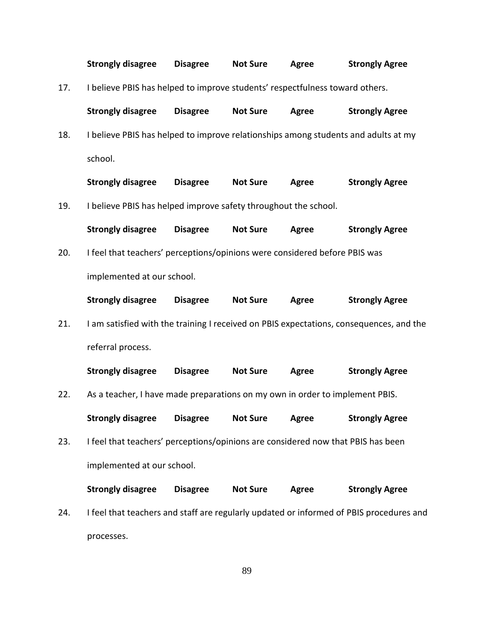|     | <b>Strongly disagree</b>                                                           | <b>Disagree</b> | <b>Not Sure</b>         | Agree | <b>Strongly Agree</b>                                                                   |
|-----|------------------------------------------------------------------------------------|-----------------|-------------------------|-------|-----------------------------------------------------------------------------------------|
| 17. | I believe PBIS has helped to improve students' respectfulness toward others.       |                 |                         |       |                                                                                         |
|     | <b>Strongly disagree</b>                                                           | <b>Disagree</b> | <b>Not Sure</b>         | Agree | <b>Strongly Agree</b>                                                                   |
| 18. | I believe PBIS has helped to improve relationships among students and adults at my |                 |                         |       |                                                                                         |
|     | school.                                                                            |                 |                         |       |                                                                                         |
|     | <b>Strongly disagree</b>                                                           | <b>Disagree</b> | <b>Not Sure</b>         | Agree | <b>Strongly Agree</b>                                                                   |
| 19. | I believe PBIS has helped improve safety throughout the school.                    |                 |                         |       |                                                                                         |
|     | <b>Strongly disagree</b>                                                           | <b>Disagree</b> | <b>Not Sure</b>         | Agree | <b>Strongly Agree</b>                                                                   |
| 20. | I feel that teachers' perceptions/opinions were considered before PBIS was         |                 |                         |       |                                                                                         |
|     | implemented at our school.                                                         |                 |                         |       |                                                                                         |
|     | <b>Strongly disagree</b>                                                           | <b>Disagree</b> | <b>Not Sure</b>         | Agree | <b>Strongly Agree</b>                                                                   |
| 21. |                                                                                    |                 |                         |       | I am satisfied with the training I received on PBIS expectations, consequences, and the |
|     | referral process.                                                                  |                 |                         |       |                                                                                         |
|     | <b>Strongly disagree</b>                                                           | <b>Disagree</b> | <b>Not Sure</b>         | Agree | <b>Strongly Agree</b>                                                                   |
| 22. | As a teacher, I have made preparations on my own in order to implement PBIS.       |                 |                         |       |                                                                                         |
|     | <b>Strongly disagree</b>                                                           |                 | Disagree Not Sure Agree |       | <b>Strongly Agree</b>                                                                   |
| 23. | I feel that teachers' perceptions/opinions are considered now that PBIS has been   |                 |                         |       |                                                                                         |
|     | implemented at our school.                                                         |                 |                         |       |                                                                                         |
|     | <b>Strongly disagree</b>                                                           | <b>Disagree</b> | <b>Not Sure</b>         | Agree | <b>Strongly Agree</b>                                                                   |
| 24. |                                                                                    |                 |                         |       | I feel that teachers and staff are regularly updated or informed of PBIS procedures and |
|     | processes.                                                                         |                 |                         |       |                                                                                         |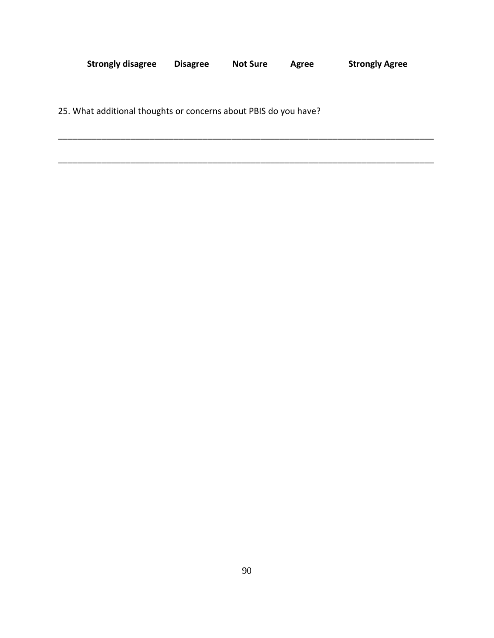| <b>Strongly disagree</b> | <b>Disagree</b> | <b>Not Sure</b> | Agree | <b>Strongly Agree</b> |
|--------------------------|-----------------|-----------------|-------|-----------------------|
|                          |                 |                 |       |                       |

\_\_\_\_\_\_\_\_\_\_\_\_\_\_\_\_\_\_\_\_\_\_\_\_\_\_\_\_\_\_\_\_\_\_\_\_\_\_\_\_\_\_\_\_\_\_\_\_\_\_\_\_\_\_\_\_\_\_\_\_\_\_\_\_\_\_\_\_\_\_\_\_\_\_\_\_\_\_

\_\_\_\_\_\_\_\_\_\_\_\_\_\_\_\_\_\_\_\_\_\_\_\_\_\_\_\_\_\_\_\_\_\_\_\_\_\_\_\_\_\_\_\_\_\_\_\_\_\_\_\_\_\_\_\_\_\_\_\_\_\_\_\_\_\_\_\_\_\_\_\_\_\_\_\_\_\_

25. What additional thoughts or concerns about PBIS do you have?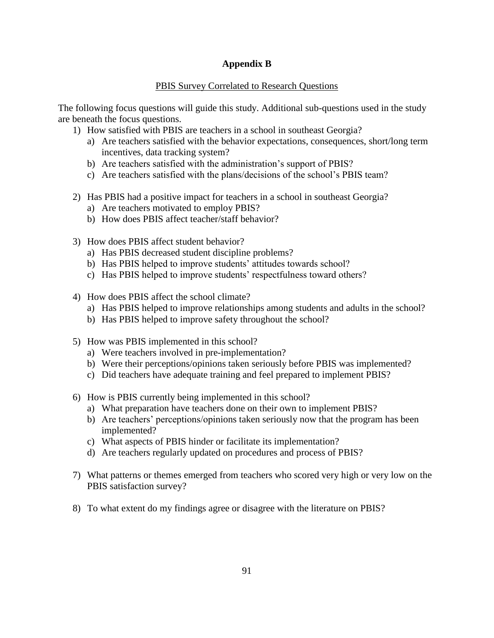## **Appendix B**

## PBIS Survey Correlated to Research Questions

The following focus questions will guide this study. Additional sub-questions used in the study are beneath the focus questions.

- 1) How satisfied with PBIS are teachers in a school in southeast Georgia?
	- a) Are teachers satisfied with the behavior expectations, consequences, short/long term incentives, data tracking system?
	- b) Are teachers satisfied with the administration's support of PBIS?
	- c) Are teachers satisfied with the plans/decisions of the school's PBIS team?
- 2) Has PBIS had a positive impact for teachers in a school in southeast Georgia?
	- a) Are teachers motivated to employ PBIS?
	- b) How does PBIS affect teacher/staff behavior?
- 3) How does PBIS affect student behavior?
	- a) Has PBIS decreased student discipline problems?
	- b) Has PBIS helped to improve students' attitudes towards school?
	- c) Has PBIS helped to improve students' respectfulness toward others?
- 4) How does PBIS affect the school climate?
	- a) Has PBIS helped to improve relationships among students and adults in the school?
	- b) Has PBIS helped to improve safety throughout the school?
- 5) How was PBIS implemented in this school?
	- a) Were teachers involved in pre-implementation?
	- b) Were their perceptions/opinions taken seriously before PBIS was implemented?
	- c) Did teachers have adequate training and feel prepared to implement PBIS?
- 6) How is PBIS currently being implemented in this school?
	- a) What preparation have teachers done on their own to implement PBIS?
	- b) Are teachers' perceptions/opinions taken seriously now that the program has been implemented?
	- c) What aspects of PBIS hinder or facilitate its implementation?
	- d) Are teachers regularly updated on procedures and process of PBIS?
- 7) What patterns or themes emerged from teachers who scored very high or very low on the PBIS satisfaction survey?
- 8) To what extent do my findings agree or disagree with the literature on PBIS?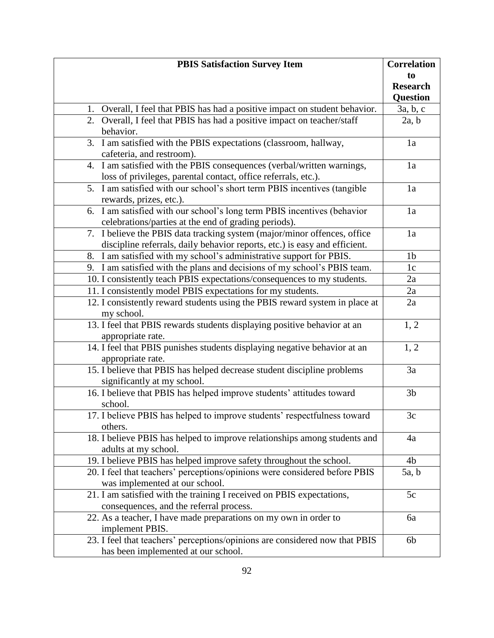| <b>PBIS Satisfaction Survey Item</b>                                        | <b>Correlation</b> |
|-----------------------------------------------------------------------------|--------------------|
|                                                                             | to                 |
|                                                                             | <b>Research</b>    |
|                                                                             | Question           |
| 1. Overall, I feel that PBIS has had a positive impact on student behavior. | 3a, b, c           |
| 2. Overall, I feel that PBIS has had a positive impact on teacher/staff     | 2a, b              |
| behavior.                                                                   |                    |
| 3. I am satisfied with the PBIS expectations (classroom, hallway,           | 1a                 |
| cafeteria, and restroom).                                                   |                    |
| 4. I am satisfied with the PBIS consequences (verbal/written warnings,      | 1a                 |
| loss of privileges, parental contact, office referrals, etc.).              |                    |
| 5. I am satisfied with our school's short term PBIS incentives (tangible    | 1a                 |
| rewards, prizes, etc.).                                                     |                    |
| 6. I am satisfied with our school's long term PBIS incentives (behavior     | 1a                 |
| celebrations/parties at the end of grading periods).                        |                    |
| 7. I believe the PBIS data tracking system (major/minor offences, office    | 1a                 |
| discipline referrals, daily behavior reports, etc.) is easy and efficient.  |                    |
| 8. I am satisfied with my school's administrative support for PBIS.         | 1 <sub>b</sub>     |
| 9. I am satisfied with the plans and decisions of my school's PBIS team.    | 1c                 |
| 10. I consistently teach PBIS expectations/consequences to my students.     | 2a                 |
| 11. I consistently model PBIS expectations for my students.                 | 2a                 |
| 12. I consistently reward students using the PBIS reward system in place at | 2a                 |
| my school.                                                                  |                    |
| 13. I feel that PBIS rewards students displaying positive behavior at an    | 1, 2               |
| appropriate rate.                                                           |                    |
| 14. I feel that PBIS punishes students displaying negative behavior at an   | 1, 2               |
| appropriate rate.                                                           |                    |
| 15. I believe that PBIS has helped decrease student discipline problems     | 3a                 |
| significantly at my school.                                                 |                    |
| 16. I believe that PBIS has helped improve students' attitudes toward       | 3 <sub>b</sub>     |
| school.                                                                     |                    |
| 17. I believe PBIS has helped to improve students' respectfulness toward    | 3c                 |
| others.                                                                     |                    |
| 18. I believe PBIS has helped to improve relationships among students and   | 4a                 |
| adults at my school.                                                        |                    |
| 19. I believe PBIS has helped improve safety throughout the school.         | 4 <sub>b</sub>     |
| 20. I feel that teachers' perceptions/opinions were considered before PBIS  | 5a, b              |
| was implemented at our school.                                              |                    |
| 21. I am satisfied with the training I received on PBIS expectations,       | 5c                 |
| consequences, and the referral process.                                     |                    |
| 22. As a teacher, I have made preparations on my own in order to            | 6a                 |
| implement PBIS.                                                             |                    |
| 23. I feel that teachers' perceptions/opinions are considered now that PBIS | 6 <sub>b</sub>     |
| has been implemented at our school.                                         |                    |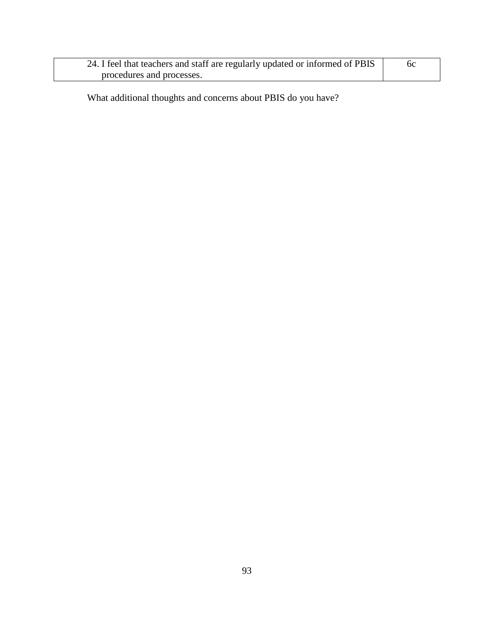| 24. I feel that teachers and staff are regularly updated or informed of PBIS |  |
|------------------------------------------------------------------------------|--|
| procedures and processes.                                                    |  |

What additional thoughts and concerns about PBIS do you have?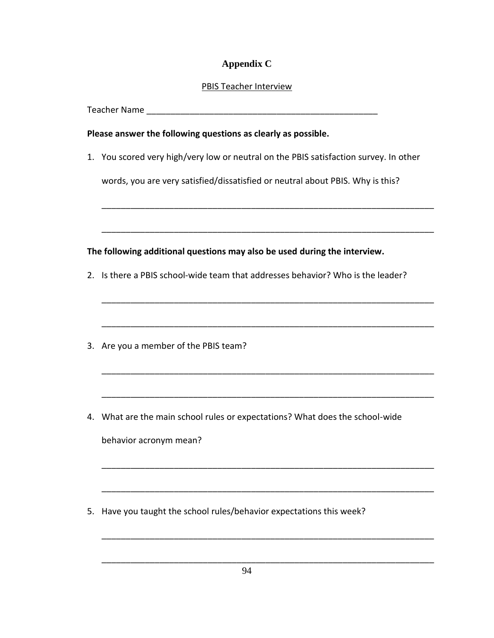## **Appendix C**

## PBIS Teacher Interview

Teacher Name **Law and Teacher Name** 

## **Please answer the following questions as clearly as possible.**

1. You scored very high/very low or neutral on the PBIS satisfaction survey. In other

words, you are very satisfied/dissatisfied or neutral about PBIS. Why is this?

\_\_\_\_\_\_\_\_\_\_\_\_\_\_\_\_\_\_\_\_\_\_\_\_\_\_\_\_\_\_\_\_\_\_\_\_\_\_\_\_\_\_\_\_\_\_\_\_\_\_\_\_\_\_\_\_\_\_\_\_\_\_\_\_\_\_\_\_\_

\_\_\_\_\_\_\_\_\_\_\_\_\_\_\_\_\_\_\_\_\_\_\_\_\_\_\_\_\_\_\_\_\_\_\_\_\_\_\_\_\_\_\_\_\_\_\_\_\_\_\_\_\_\_\_\_\_\_\_\_\_\_\_\_\_\_\_\_\_

\_\_\_\_\_\_\_\_\_\_\_\_\_\_\_\_\_\_\_\_\_\_\_\_\_\_\_\_\_\_\_\_\_\_\_\_\_\_\_\_\_\_\_\_\_\_\_\_\_\_\_\_\_\_\_\_\_\_\_\_\_\_\_\_\_\_\_\_\_

\_\_\_\_\_\_\_\_\_\_\_\_\_\_\_\_\_\_\_\_\_\_\_\_\_\_\_\_\_\_\_\_\_\_\_\_\_\_\_\_\_\_\_\_\_\_\_\_\_\_\_\_\_\_\_\_\_\_\_\_\_\_\_\_\_\_\_\_\_

\_\_\_\_\_\_\_\_\_\_\_\_\_\_\_\_\_\_\_\_\_\_\_\_\_\_\_\_\_\_\_\_\_\_\_\_\_\_\_\_\_\_\_\_\_\_\_\_\_\_\_\_\_\_\_\_\_\_\_\_\_\_\_\_\_\_\_\_\_

\_\_\_\_\_\_\_\_\_\_\_\_\_\_\_\_\_\_\_\_\_\_\_\_\_\_\_\_\_\_\_\_\_\_\_\_\_\_\_\_\_\_\_\_\_\_\_\_\_\_\_\_\_\_\_\_\_\_\_\_\_\_\_\_\_\_\_\_\_

\_\_\_\_\_\_\_\_\_\_\_\_\_\_\_\_\_\_\_\_\_\_\_\_\_\_\_\_\_\_\_\_\_\_\_\_\_\_\_\_\_\_\_\_\_\_\_\_\_\_\_\_\_\_\_\_\_\_\_\_\_\_\_\_\_\_\_\_\_

\_\_\_\_\_\_\_\_\_\_\_\_\_\_\_\_\_\_\_\_\_\_\_\_\_\_\_\_\_\_\_\_\_\_\_\_\_\_\_\_\_\_\_\_\_\_\_\_\_\_\_\_\_\_\_\_\_\_\_\_\_\_\_\_\_\_\_\_\_

\_\_\_\_\_\_\_\_\_\_\_\_\_\_\_\_\_\_\_\_\_\_\_\_\_\_\_\_\_\_\_\_\_\_\_\_\_\_\_\_\_\_\_\_\_\_\_\_\_\_\_\_\_\_\_\_\_\_\_\_\_\_\_\_\_\_\_\_\_

\_\_\_\_\_\_\_\_\_\_\_\_\_\_\_\_\_\_\_\_\_\_\_\_\_\_\_\_\_\_\_\_\_\_\_\_\_\_\_\_\_\_\_\_\_\_\_\_\_\_\_\_\_\_\_\_\_\_\_\_\_\_\_\_\_\_\_\_\_

**The following additional questions may also be used during the interview.**

- 2. Is there a PBIS school-wide team that addresses behavior? Who is the leader?
- 3. Are you a member of the PBIS team?
- 4. What are the main school rules or expectations? What does the school-wide

behavior acronym mean?

5. Have you taught the school rules/behavior expectations this week?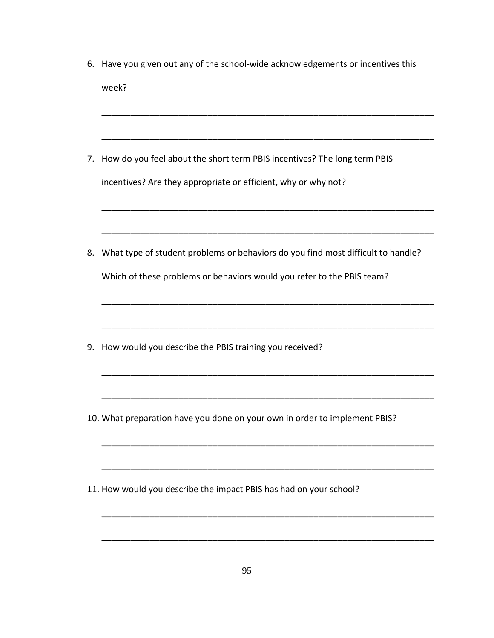| 6. | Have you given out any of the school-wide acknowledgements or incentives this    |
|----|----------------------------------------------------------------------------------|
|    | week?                                                                            |
|    |                                                                                  |
| 7. | How do you feel about the short term PBIS incentives? The long term PBIS         |
|    | incentives? Are they appropriate or efficient, why or why not?                   |
|    |                                                                                  |
| 8. | What type of student problems or behaviors do you find most difficult to handle? |
|    | Which of these problems or behaviors would you refer to the PBIS team?           |
|    |                                                                                  |
| 9. | How would you describe the PBIS training you received?                           |
|    |                                                                                  |
|    | 10. What preparation have you done on your own in order to implement PBIS?       |
|    |                                                                                  |
|    | 11. How would you describe the impact PBIS has had on your school?               |
|    |                                                                                  |